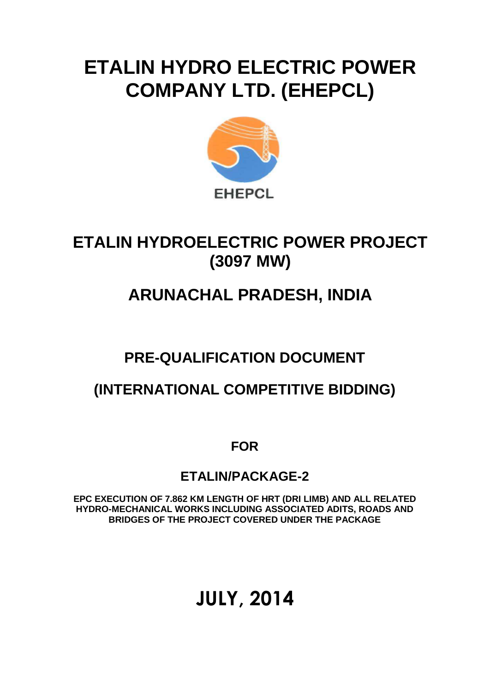## **ETALIN HYDRO ELECTRIC POWER COMPANY LTD. (EHEPCL)**



## **ETALIN HYDROELECTRIC POWER PROJECT (3097 MW)**

## **ARUNACHAL PRADESH, INDIA**

## **PRE-QUALIFICATION DOCUMENT**

### **(INTERNATIONAL COMPETITIVE BIDDING)**

**FOR**

### **ETALIN/PACKAGE-2**

**EPC EXECUTION OF 7.862 KM LENGTH OF HRT (DRI LIMB) AND ALL RELATED HYDRO-MECHANICAL WORKS INCLUDING ASSOCIATED ADITS, ROADS AND BRIDGES OF THE PROJECT COVERED UNDER THE PACKAGE** 

## **JULY, 2014**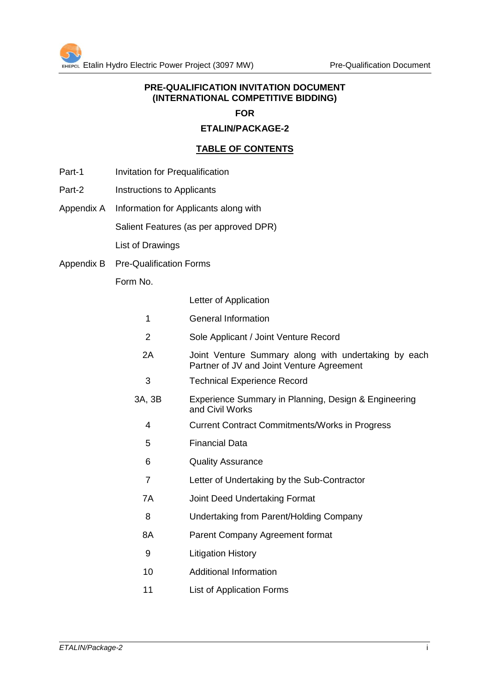#### **PRE-QUALIFICATION INVITATION DOCUMENT (INTERNATIONAL COMPETITIVE BIDDING)**

#### **FOR**

#### **ETALIN/PACKAGE-2**

#### **TABLE OF CONTENTS**

- Part-1 Invitation for Prequalification
- Part-2 Instructions to Applicants
- Appendix A Information for Applicants along with

Salient Features (as per approved DPR)

List of Drawings

Appendix B Pre-Qualification Forms

Form No.

Letter of Application

- 1 General Information
- 2 Sole Applicant / Joint Venture Record
- 2A Joint Venture Summary along with undertaking by each Partner of JV and Joint Venture Agreement
- 3 Technical Experience Record
- 3A, 3B Experience Summary in Planning, Design & Engineering and Civil Works
	- 4 Current Contract Commitments/Works in Progress
	- 5 Financial Data
	- 6 Quality Assurance
	- 7 Letter of Undertaking by the Sub-Contractor
	- 7A Joint Deed Undertaking Format
	- 8 Undertaking from Parent/Holding Company
	- 8A Parent Company Agreement format
	- 9 Litigation History
	- 10 Additional Information
	- 11 List of Application Forms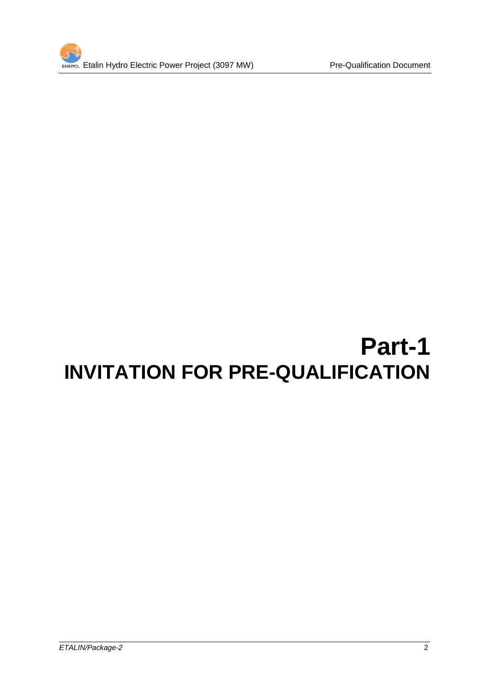

# **Part-1 INVITATION FOR PRE-QUALIFICATION**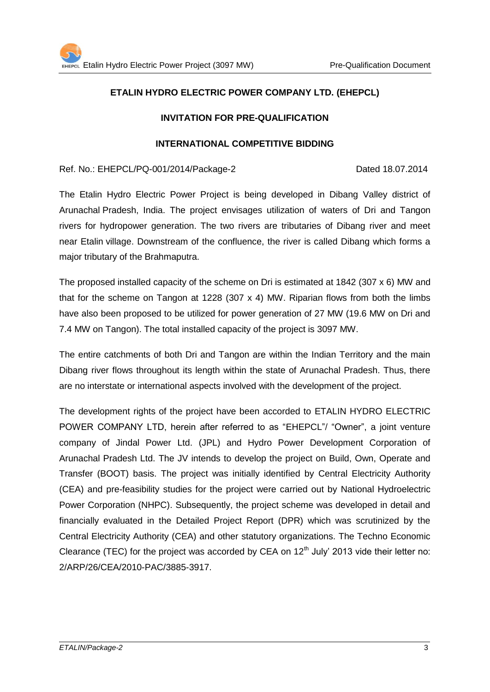#### **ETALIN HYDRO ELECTRIC POWER COMPANY LTD. (EHEPCL)**

#### **INVITATION FOR PRE-QUALIFICATION**

#### **INTERNATIONAL COMPETITIVE BIDDING**

Ref. No.: EHEPCL/PQ-001/2014/Package-2 Dated 18.07.2014

The Etalin Hydro Electric Power Project is being developed in Dibang Valley district of Arunachal Pradesh, India. The project envisages utilization of waters of Dri and Tangon rivers for hydropower generation. The two rivers are tributaries of Dibang river and meet near Etalin village. Downstream of the confluence, the river is called Dibang which forms a major tributary of the Brahmaputra.

The proposed installed capacity of the scheme on Dri is estimated at 1842 (307 x 6) MW and that for the scheme on Tangon at 1228 (307  $\times$  4) MW. Riparian flows from both the limbs have also been proposed to be utilized for power generation of 27 MW (19.6 MW on Dri and 7.4 MW on Tangon). The total installed capacity of the project is 3097 MW.

The entire catchments of both Dri and Tangon are within the Indian Territory and the main Dibang river flows throughout its length within the state of Arunachal Pradesh. Thus, there are no interstate or international aspects involved with the development of the project.

The development rights of the project have been accorded to ETALIN HYDRO ELECTRIC POWER COMPANY LTD, herein after referred to as "EHEPCL"/ "Owner", a joint venture company of Jindal Power Ltd. (JPL) and Hydro Power Development Corporation of Arunachal Pradesh Ltd. The JV intends to develop the project on Build, Own, Operate and Transfer (BOOT) basis. The project was initially identified by Central Electricity Authority (CEA) and pre-feasibility studies for the project were carried out by National Hydroelectric Power Corporation (NHPC). Subsequently, the project scheme was developed in detail and financially evaluated in the Detailed Project Report (DPR) which was scrutinized by the Central Electricity Authority (CEA) and other statutory organizations. The Techno Economic Clearance (TEC) for the project was accorded by CEA on  $12<sup>th</sup>$  July' 2013 vide their letter no: 2/ARP/26/CEA/2010-PAC/3885-3917.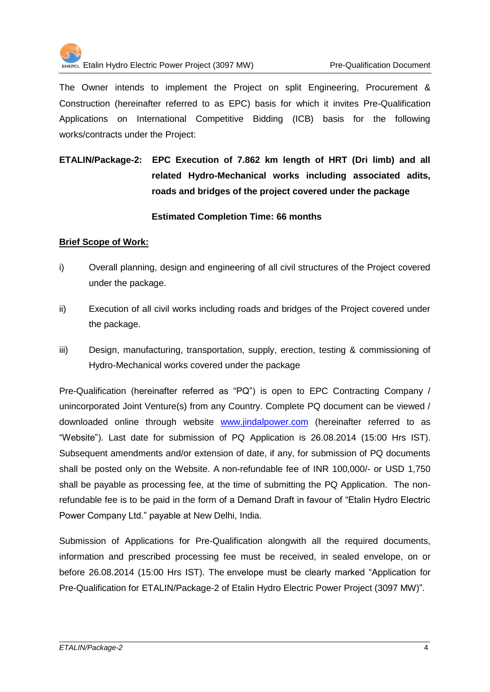

The Owner intends to implement the Project on split Engineering, Procurement & Construction (hereinafter referred to as EPC) basis for which it invites Pre-Qualification Applications on International Competitive Bidding (ICB) basis for the following works/contracts under the Project:

### **ETALIN/Package-2: EPC Execution of 7.862 km length of HRT (Dri limb) and all related Hydro-Mechanical works including associated adits, roads and bridges of the project covered under the package**

#### **Estimated Completion Time: 66 months**

#### **Brief Scope of Work:**

- i) Overall planning, design and engineering of all civil structures of the Project covered under the package.
- ii) Execution of all civil works including roads and bridges of the Project covered under the package.
- iii) Design, manufacturing, transportation, supply, erection, testing & commissioning of Hydro-Mechanical works covered under the package

Pre-Qualification (hereinafter referred as "PQ") is open to EPC Contracting Company / unincorporated Joint Venture(s) from any Country. Complete PQ document can be viewed / downloaded online through website [www.jindalpower.com](http://www.jindalpower.com/) (hereinafter referred to as "Website"). Last date for submission of PQ Application is 26.08.2014 (15:00 Hrs IST). Subsequent amendments and/or extension of date, if any, for submission of PQ documents shall be posted only on the Website. A non-refundable fee of INR 100,000/- or USD 1,750 shall be payable as processing fee, at the time of submitting the PQ Application. The nonrefundable fee is to be paid in the form of a Demand Draft in favour of "Etalin Hydro Electric Power Company Ltd." payable at New Delhi, India.

Submission of Applications for Pre-Qualification alongwith all the required documents, information and prescribed processing fee must be received, in sealed envelope, on or before 26.08.2014 (15:00 Hrs IST). The envelope must be clearly marked "Application for Pre-Qualification for ETALIN/Package-2 of Etalin Hydro Electric Power Project (3097 MW)".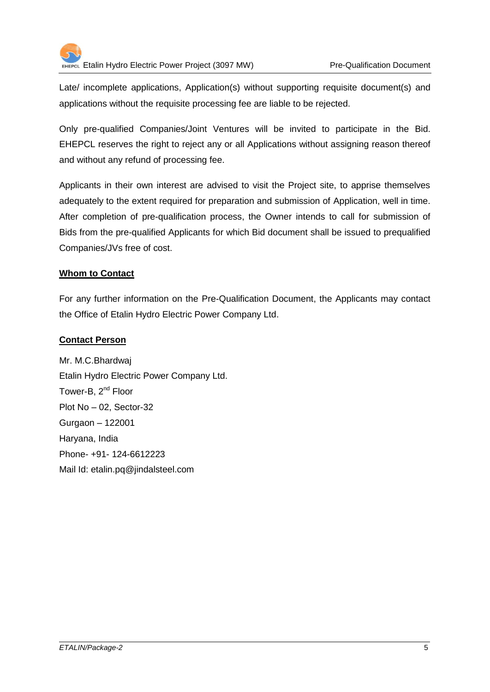

Late/ incomplete applications, Application(s) without supporting requisite document(s) and applications without the requisite processing fee are liable to be rejected.

Only pre-qualified Companies/Joint Ventures will be invited to participate in the Bid. EHEPCL reserves the right to reject any or all Applications without assigning reason thereof and without any refund of processing fee.

Applicants in their own interest are advised to visit the Project site, to apprise themselves adequately to the extent required for preparation and submission of Application, well in time. After completion of pre-qualification process, the Owner intends to call for submission of Bids from the pre-qualified Applicants for which Bid document shall be issued to prequalified Companies/JVs free of cost.

#### **Whom to Contact**

For any further information on the Pre-Qualification Document, the Applicants may contact the Office of Etalin Hydro Electric Power Company Ltd.

#### **Contact Person**

Mr. M.C.Bhardwaj Etalin Hydro Electric Power Company Ltd. Tower-B, 2<sup>nd</sup> Floor Plot No – 02, Sector-32 Gurgaon – 122001 Haryana, India Phone- +91- 124-6612223 Mail Id: etalin.pq@jindalsteel.com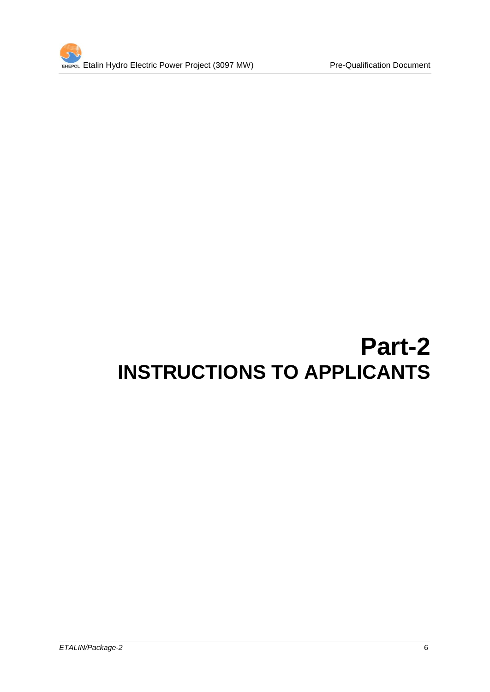

# **Part-2 INSTRUCTIONS TO APPLICANTS**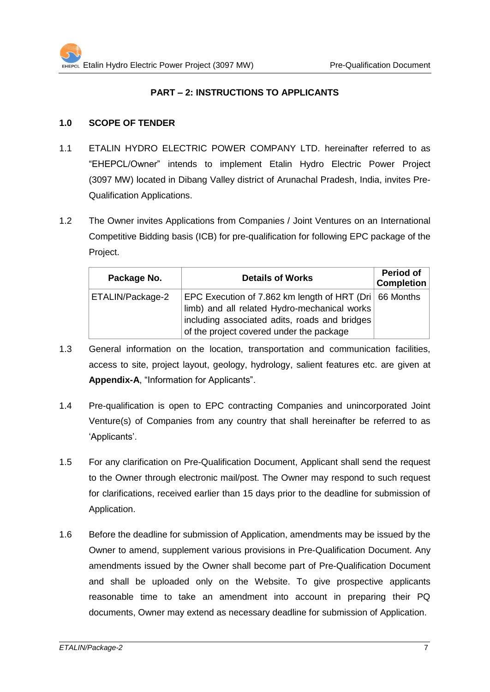#### **PART – 2: INSTRUCTIONS TO APPLICANTS**

#### **1.0 SCOPE OF TENDER**

- 1.1 ETALIN HYDRO ELECTRIC POWER COMPANY LTD. hereinafter referred to as "EHEPCL/Owner" intends to implement Etalin Hydro Electric Power Project (3097 MW) located in Dibang Valley district of Arunachal Pradesh, India, invites Pre-Qualification Applications.
- 1.2 The Owner invites Applications from Companies / Joint Ventures on an International Competitive Bidding basis (ICB) for pre-qualification for following EPC package of the Project.

| Package No.      | <b>Details of Works</b>                                                                                                                                                                             | <b>Period of</b><br><b>Completion</b> |
|------------------|-----------------------------------------------------------------------------------------------------------------------------------------------------------------------------------------------------|---------------------------------------|
| ETALIN/Package-2 | EPC Execution of 7.862 km length of HRT (Dri 66 Months<br>limb) and all related Hydro-mechanical works<br>including associated adits, roads and bridges<br>of the project covered under the package |                                       |

- 1.3 General information on the location, transportation and communication facilities, access to site, project layout, geology, hydrology, salient features etc. are given at **Appendix-A**, "Information for Applicants".
- 1.4 Pre-qualification is open to EPC contracting Companies and unincorporated Joint Venture(s) of Companies from any country that shall hereinafter be referred to as 'Applicants'.
- 1.5 For any clarification on Pre-Qualification Document, Applicant shall send the request to the Owner through electronic mail/post. The Owner may respond to such request for clarifications, received earlier than 15 days prior to the deadline for submission of Application.
- 1.6 Before the deadline for submission of Application, amendments may be issued by the Owner to amend, supplement various provisions in Pre-Qualification Document. Any amendments issued by the Owner shall become part of Pre-Qualification Document and shall be uploaded only on the Website. To give prospective applicants reasonable time to take an amendment into account in preparing their PQ documents, Owner may extend as necessary deadline for submission of Application.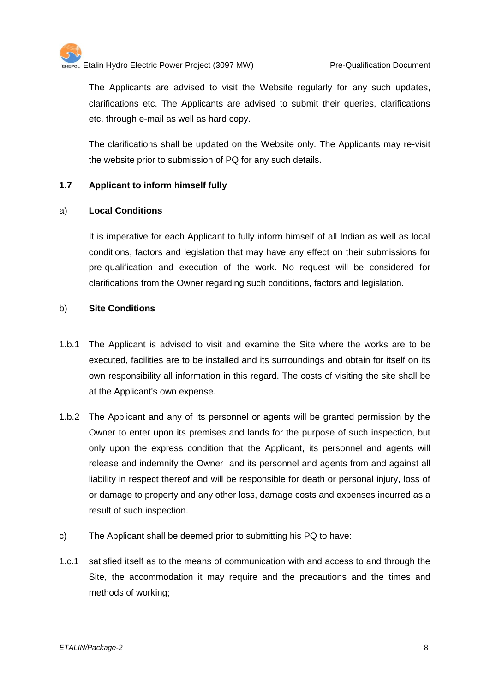The Applicants are advised to visit the Website regularly for any such updates, clarifications etc. The Applicants are advised to submit their queries, clarifications etc. through e-mail as well as hard copy.

The clarifications shall be updated on the Website only. The Applicants may re-visit the website prior to submission of PQ for any such details.

#### **1.7 Applicant to inform himself fully**

#### a) **Local Conditions**

It is imperative for each Applicant to fully inform himself of all Indian as well as local conditions, factors and legislation that may have any effect on their submissions for pre-qualification and execution of the work. No request will be considered for clarifications from the Owner regarding such conditions, factors and legislation.

#### b) **Site Conditions**

- 1.b.1 The Applicant is advised to visit and examine the Site where the works are to be executed, facilities are to be installed and its surroundings and obtain for itself on its own responsibility all information in this regard. The costs of visiting the site shall be at the Applicant's own expense.
- 1.b.2 The Applicant and any of its personnel or agents will be granted permission by the Owner to enter upon its premises and lands for the purpose of such inspection, but only upon the express condition that the Applicant, its personnel and agents will release and indemnify the Owner and its personnel and agents from and against all liability in respect thereof and will be responsible for death or personal injury, loss of or damage to property and any other loss, damage costs and expenses incurred as a result of such inspection.
- c) The Applicant shall be deemed prior to submitting his PQ to have:
- 1.c.1 satisfied itself as to the means of communication with and access to and through the Site, the accommodation it may require and the precautions and the times and methods of working;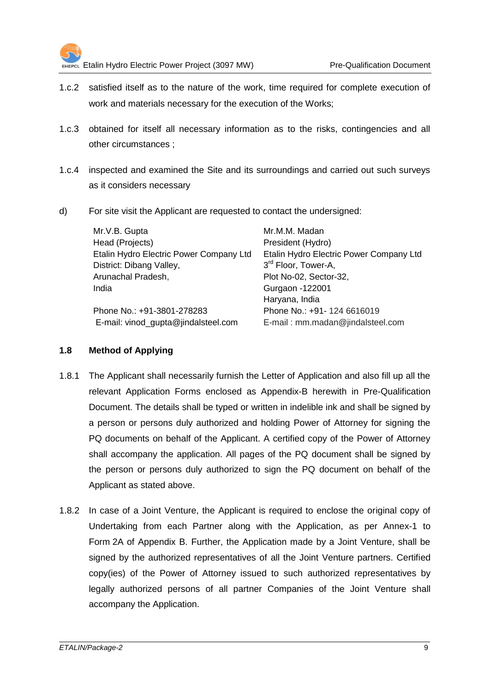

- 1.c.2 satisfied itself as to the nature of the work, time required for complete execution of work and materials necessary for the execution of the Works;
- 1.c.3 obtained for itself all necessary information as to the risks, contingencies and all other circumstances ;
- 1.c.4 inspected and examined the Site and its surroundings and carried out such surveys as it considers necessary
- d) For site visit the Applicant are requested to contact the undersigned:

| Mr.V.B. Gupta                           | Mr.M.M. Madan                           |
|-----------------------------------------|-----------------------------------------|
| Head (Projects)                         | President (Hydro)                       |
| Etalin Hydro Electric Power Company Ltd | Etalin Hydro Electric Power Company Ltd |
| District: Dibang Valley,                | 3 <sup>rd</sup> Floor, Tower-A,         |
| Arunachal Pradesh,                      | Plot No-02, Sector-32,                  |
| India                                   | Gurgaon -122001                         |
|                                         | Haryana, India                          |
| Phone No.: +91-3801-278283              | Phone No.: +91- 124 6616019             |
| E-mail: vinod_gupta@jindalsteel.com     | E-mail: mm.madan@jindalsteel.com        |

#### **1.8 Method of Applying**

- 1.8.1 The Applicant shall necessarily furnish the Letter of Application and also fill up all the relevant Application Forms enclosed as Appendix-B herewith in Pre-Qualification Document. The details shall be typed or written in indelible ink and shall be signed by a person or persons duly authorized and holding Power of Attorney for signing the PQ documents on behalf of the Applicant. A certified copy of the Power of Attorney shall accompany the application. All pages of the PQ document shall be signed by the person or persons duly authorized to sign the PQ document on behalf of the Applicant as stated above.
- 1.8.2 In case of a Joint Venture, the Applicant is required to enclose the original copy of Undertaking from each Partner along with the Application, as per Annex-1 to Form 2A of Appendix B. Further, the Application made by a Joint Venture, shall be signed by the authorized representatives of all the Joint Venture partners. Certified copy(ies) of the Power of Attorney issued to such authorized representatives by legally authorized persons of all partner Companies of the Joint Venture shall accompany the Application.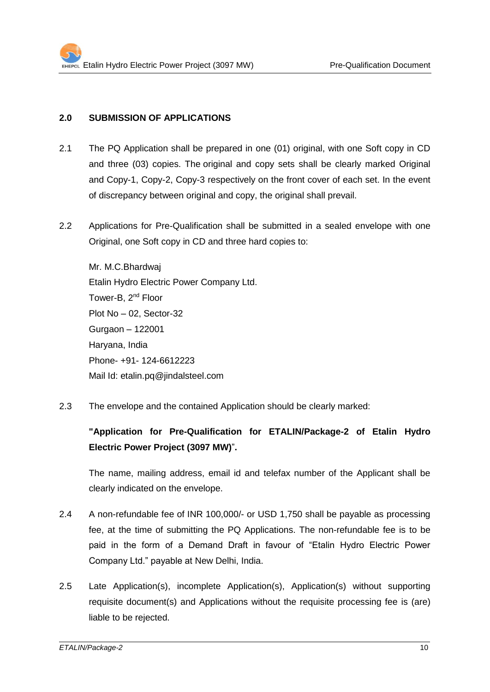#### **2.0 SUBMISSION OF APPLICATIONS**

- 2.1 The PQ Application shall be prepared in one (01) original, with one Soft copy in CD and three (03) copies. The original and copy sets shall be clearly marked Original and Copy-1, Copy-2, Copy-3 respectively on the front cover of each set. In the event of discrepancy between original and copy, the original shall prevail.
- 2.2 Applications for Pre-Qualification shall be submitted in a sealed envelope with one Original, one Soft copy in CD and three hard copies to:

Mr. M.C.Bhardwaj Etalin Hydro Electric Power Company Ltd. Tower-B, 2<sup>nd</sup> Floor Plot No – 02, Sector-32 Gurgaon – 122001 Haryana, India Phone- +91- 124-6612223 Mail Id: etalin.pq@jindalsteel.com

2.3 The envelope and the contained Application should be clearly marked:

#### **"Application for Pre-Qualification for ETALIN/Package-2 of Etalin Hydro Electric Power Project (3097 MW)**"**.**

The name, mailing address, email id and telefax number of the Applicant shall be clearly indicated on the envelope.

- 2.4 A non-refundable fee of INR 100,000/- or USD 1,750 shall be payable as processing fee, at the time of submitting the PQ Applications. The non-refundable fee is to be paid in the form of a Demand Draft in favour of "Etalin Hydro Electric Power Company Ltd." payable at New Delhi, India.
- 2.5 Late Application(s), incomplete Application(s), Application(s) without supporting requisite document(s) and Applications without the requisite processing fee is (are) liable to be rejected.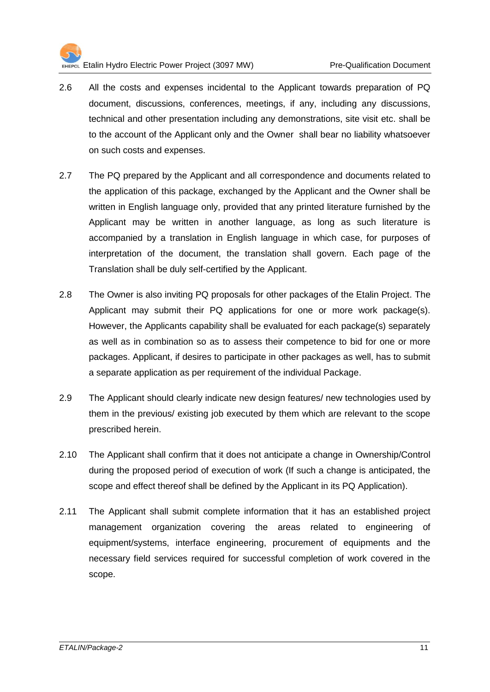

- 2.6 All the costs and expenses incidental to the Applicant towards preparation of PQ document, discussions, conferences, meetings, if any, including any discussions, technical and other presentation including any demonstrations, site visit etc. shall be to the account of the Applicant only and the Owner shall bear no liability whatsoever on such costs and expenses.
- 2.7 The PQ prepared by the Applicant and all correspondence and documents related to the application of this package, exchanged by the Applicant and the Owner shall be written in English language only, provided that any printed literature furnished by the Applicant may be written in another language, as long as such literature is accompanied by a translation in English language in which case, for purposes of interpretation of the document, the translation shall govern. Each page of the Translation shall be duly self-certified by the Applicant.
- 2.8 The Owner is also inviting PQ proposals for other packages of the Etalin Project. The Applicant may submit their PQ applications for one or more work package(s). However, the Applicants capability shall be evaluated for each package(s) separately as well as in combination so as to assess their competence to bid for one or more packages. Applicant, if desires to participate in other packages as well, has to submit a separate application as per requirement of the individual Package.
- 2.9 The Applicant should clearly indicate new design features/ new technologies used by them in the previous/ existing job executed by them which are relevant to the scope prescribed herein.
- 2.10 The Applicant shall confirm that it does not anticipate a change in Ownership/Control during the proposed period of execution of work (If such a change is anticipated, the scope and effect thereof shall be defined by the Applicant in its PQ Application).
- 2.11 The Applicant shall submit complete information that it has an established project management organization covering the areas related to engineering of equipment/systems, interface engineering, procurement of equipments and the necessary field services required for successful completion of work covered in the scope.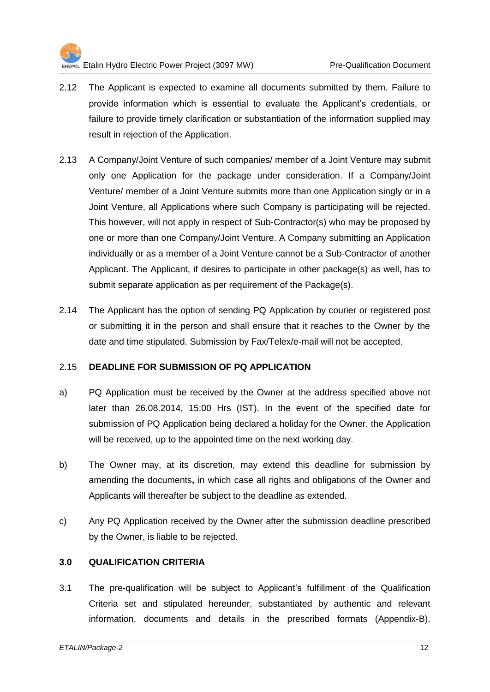

- 2.12 The Applicant is expected to examine all documents submitted by them. Failure to provide information which is essential to evaluate the Applicant's credentials, or failure to provide timely clarification or substantiation of the information supplied may result in rejection of the Application.
- 2.13 A Company/Joint Venture of such companies/ member of a Joint Venture may submit only one Application for the package under consideration. If a Company/Joint Venture/ member of a Joint Venture submits more than one Application singly or in a Joint Venture, all Applications where such Company is participating will be rejected. This however, will not apply in respect of Sub-Contractor(s) who may be proposed by one or more than one Company/Joint Venture. A Company submitting an Application individually or as a member of a Joint Venture cannot be a Sub-Contractor of another Applicant. The Applicant, if desires to participate in other package(s) as well, has to submit separate application as per requirement of the Package(s).
- 2.14 The Applicant has the option of sending PQ Application by courier or registered post or submitting it in the person and shall ensure that it reaches to the Owner by the date and time stipulated. Submission by Fax/Telex/e-mail will not be accepted.

#### 2.15 **DEADLINE FOR SUBMISSION OF PQ APPLICATION**

- a) PQ Application must be received by the Owner at the address specified above not later than 26.08.2014, 15:00 Hrs (IST). In the event of the specified date for submission of PQ Application being declared a holiday for the Owner, the Application will be received, up to the appointed time on the next working day.
- b) The Owner may, at its discretion, may extend this deadline for submission by amending the documents**,** in which case all rights and obligations of the Owner and Applicants will thereafter be subject to the deadline as extended.
- c) Any PQ Application received by the Owner after the submission deadline prescribed by the Owner, is liable to be rejected.

#### **3.0 QUALIFICATION CRITERIA**

3.1 The pre-qualification will be subject to Applicant's fulfillment of the Qualification Criteria set and stipulated hereunder, substantiated by authentic and relevant information, documents and details in the prescribed formats (Appendix-B).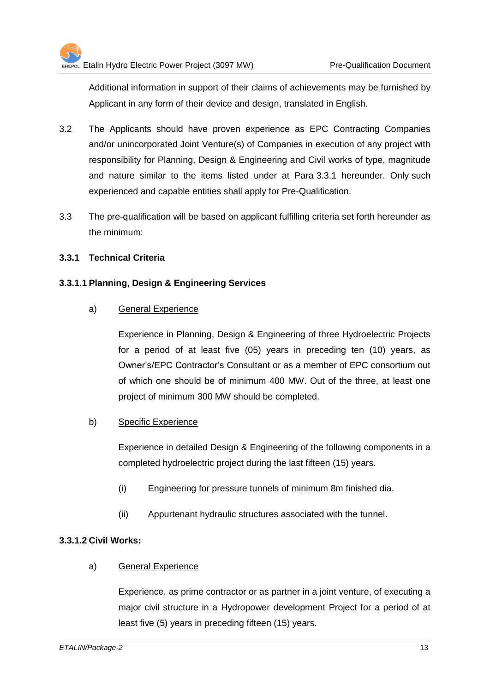Additional information in support of their claims of achievements may be furnished by Applicant in any form of their device and design, translated in English.

- 3.2 The Applicants should have proven experience as EPC Contracting Companies and/or unincorporated Joint Venture(s) of Companies in execution of any project with responsibility for Planning, Design & Engineering and Civil works of type, magnitude and nature similar to the items listed under at Para 3.3.1 hereunder. Only such experienced and capable entities shall apply for Pre-Qualification.
- 3.3 The pre-qualification will be based on applicant fulfilling criteria set forth hereunder as the minimum:

#### **3.3.1 Technical Criteria**

#### **3.3.1.1 Planning, Design & Engineering Services**

a) General Experience

Experience in Planning, Design & Engineering of three Hydroelectric Projects for a period of at least five (05) years in preceding ten (10) years, as Owner's/EPC Contractor's Consultant or as a member of EPC consortium out of which one should be of minimum 400 MW. Out of the three, at least one project of minimum 300 MW should be completed.

#### b) Specific Experience

Experience in detailed Design & Engineering of the following components in a completed hydroelectric project during the last fifteen (15) years.

- (i) Engineering for pressure tunnels of minimum 8m finished dia.
- (ii) Appurtenant hydraulic structures associated with the tunnel.

#### **3.3.1.2 Civil Works:**

#### a) General Experience

Experience, as prime contractor or as partner in a joint venture, of executing a major civil structure in a Hydropower development Project for a period of at least five (5) years in preceding fifteen (15) years.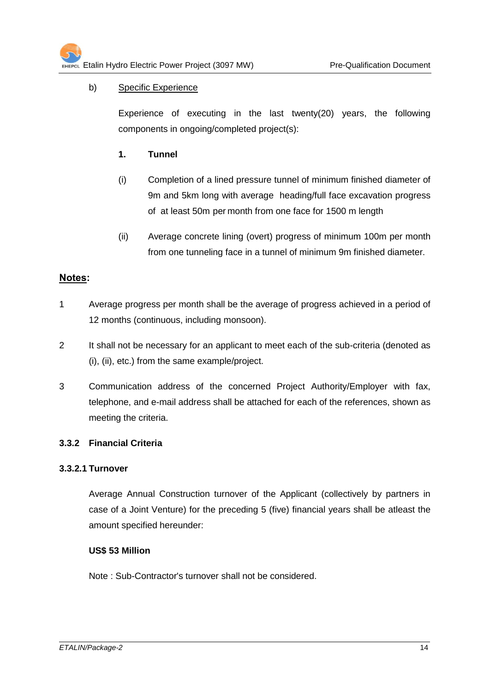#### b) Specific Experience

Experience of executing in the last twenty(20) years, the following components in ongoing/completed project(s):

- **1. Tunnel**
- (i) Completion of a lined pressure tunnel of minimum finished diameter of 9m and 5km long with average heading/full face excavation progress of at least 50m per month from one face for 1500 m length
- (ii) Average concrete lining (overt) progress of minimum 100m per month from one tunneling face in a tunnel of minimum 9m finished diameter.

#### **Notes:**

- 1 Average progress per month shall be the average of progress achieved in a period of 12 months (continuous, including monsoon).
- 2 It shall not be necessary for an applicant to meet each of the sub-criteria (denoted as (i), (ii), etc.) from the same example/project.
- 3 Communication address of the concerned Project Authority/Employer with fax, telephone, and e-mail address shall be attached for each of the references, shown as meeting the criteria.

#### **3.3.2 Financial Criteria**

#### **3.3.2.1 Turnover**

Average Annual Construction turnover of the Applicant (collectively by partners in case of a Joint Venture) for the preceding 5 (five) financial years shall be atleast the amount specified hereunder:

#### **US\$ 53 Million**

Note : Sub-Contractor's turnover shall not be considered.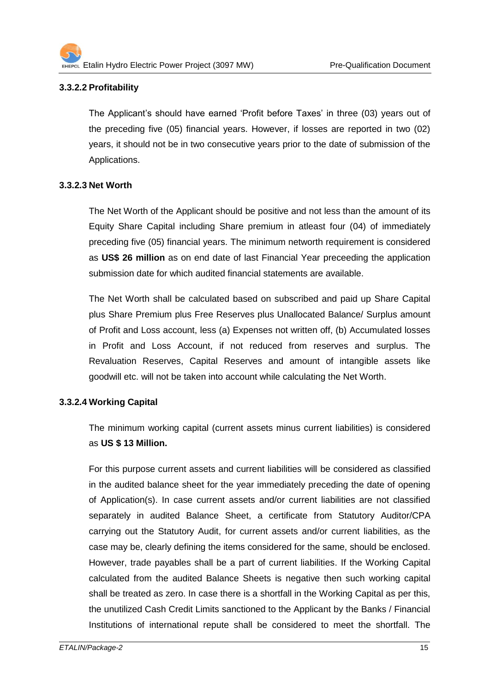#### **3.3.2.2 Profitability**

The Applicant's should have earned 'Profit before Taxes' in three (03) years out of the preceding five (05) financial years. However, if losses are reported in two (02) years, it should not be in two consecutive years prior to the date of submission of the Applications.

#### **3.3.2.3 Net Worth**

The Net Worth of the Applicant should be positive and not less than the amount of its Equity Share Capital including Share premium in atleast four (04) of immediately preceding five (05) financial years. The minimum networth requirement is considered as **US\$ 26 million** as on end date of last Financial Year preceeding the application submission date for which audited financial statements are available.

The Net Worth shall be calculated based on subscribed and paid up Share Capital plus Share Premium plus Free Reserves plus Unallocated Balance/ Surplus amount of Profit and Loss account, less (a) Expenses not written off, (b) Accumulated losses in Profit and Loss Account, if not reduced from reserves and surplus. The Revaluation Reserves, Capital Reserves and amount of intangible assets like goodwill etc. will not be taken into account while calculating the Net Worth.

#### **3.3.2.4 Working Capital**

The minimum working capital (current assets minus current liabilities) is considered as **US \$ 13 Million.**

For this purpose current assets and current liabilities will be considered as classified in the audited balance sheet for the year immediately preceding the date of opening of Application(s). In case current assets and/or current liabilities are not classified separately in audited Balance Sheet, a certificate from Statutory Auditor/CPA carrying out the Statutory Audit, for current assets and/or current liabilities, as the case may be, clearly defining the items considered for the same, should be enclosed. However, trade payables shall be a part of current liabilities. If the Working Capital calculated from the audited Balance Sheets is negative then such working capital shall be treated as zero. In case there is a shortfall in the Working Capital as per this, the unutilized Cash Credit Limits sanctioned to the Applicant by the Banks / Financial Institutions of international repute shall be considered to meet the shortfall. The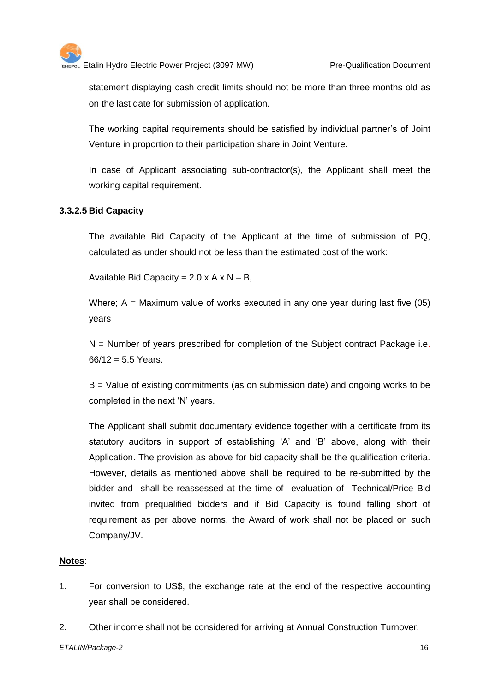statement displaying cash credit limits should not be more than three months old as on the last date for submission of application.

The working capital requirements should be satisfied by individual partner's of Joint Venture in proportion to their participation share in Joint Venture.

In case of Applicant associating sub-contractor(s), the Applicant shall meet the working capital requirement.

#### **3.3.2.5 Bid Capacity**

The available Bid Capacity of the Applicant at the time of submission of PQ, calculated as under should not be less than the estimated cost of the work:

Available Bid Capacity =  $2.0 \times A \times N - B$ ,

Where;  $A =$  Maximum value of works executed in any one year during last five (05) years

 $N =$  Number of years prescribed for completion of the Subject contract Package i.e.  $66/12 = 5.5$  Years.

B = Value of existing commitments (as on submission date) and ongoing works to be completed in the next 'N' years.

The Applicant shall submit documentary evidence together with a certificate from its statutory auditors in support of establishing 'A' and 'B' above, along with their Application. The provision as above for bid capacity shall be the qualification criteria. However, details as mentioned above shall be required to be re-submitted by the bidder and shall be reassessed at the time of evaluation of Technical/Price Bid invited from prequalified bidders and if Bid Capacity is found falling short of requirement as per above norms, the Award of work shall not be placed on such Company/JV.

#### **Notes**:

- 1. For conversion to US\$, the exchange rate at the end of the respective accounting year shall be considered.
- 2. Other income shall not be considered for arriving at Annual Construction Turnover.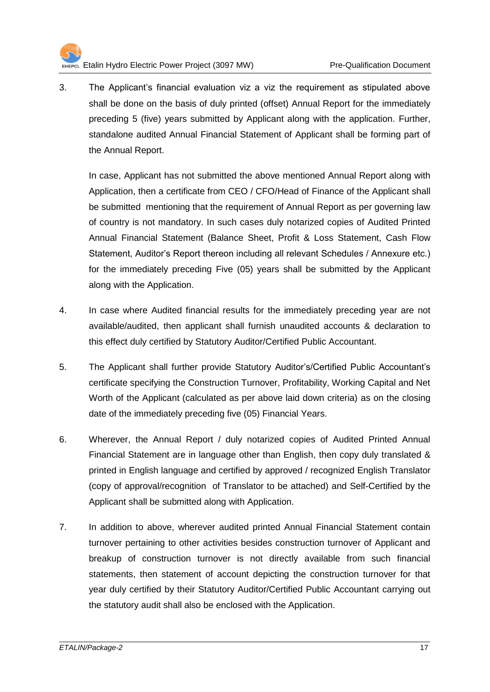

3. The Applicant's financial evaluation viz a viz the requirement as stipulated above shall be done on the basis of duly printed (offset) Annual Report for the immediately preceding 5 (five) years submitted by Applicant along with the application. Further, standalone audited Annual Financial Statement of Applicant shall be forming part of the Annual Report.

In case, Applicant has not submitted the above mentioned Annual Report along with Application, then a certificate from CEO / CFO/Head of Finance of the Applicant shall be submitted mentioning that the requirement of Annual Report as per governing law of country is not mandatory. In such cases duly notarized copies of Audited Printed Annual Financial Statement (Balance Sheet, Profit & Loss Statement, Cash Flow Statement, Auditor's Report thereon including all relevant Schedules / Annexure etc.) for the immediately preceding Five (05) years shall be submitted by the Applicant along with the Application.

- 4. In case where Audited financial results for the immediately preceding year are not available/audited, then applicant shall furnish unaudited accounts & declaration to this effect duly certified by Statutory Auditor/Certified Public Accountant.
- 5. The Applicant shall further provide Statutory Auditor's/Certified Public Accountant's certificate specifying the Construction Turnover, Profitability, Working Capital and Net Worth of the Applicant (calculated as per above laid down criteria) as on the closing date of the immediately preceding five (05) Financial Years.
- 6. Wherever, the Annual Report / duly notarized copies of Audited Printed Annual Financial Statement are in language other than English, then copy duly translated & printed in English language and certified by approved / recognized English Translator (copy of approval/recognition of Translator to be attached) and Self-Certified by the Applicant shall be submitted along with Application.
- 7. In addition to above, wherever audited printed Annual Financial Statement contain turnover pertaining to other activities besides construction turnover of Applicant and breakup of construction turnover is not directly available from such financial statements, then statement of account depicting the construction turnover for that year duly certified by their Statutory Auditor/Certified Public Accountant carrying out the statutory audit shall also be enclosed with the Application.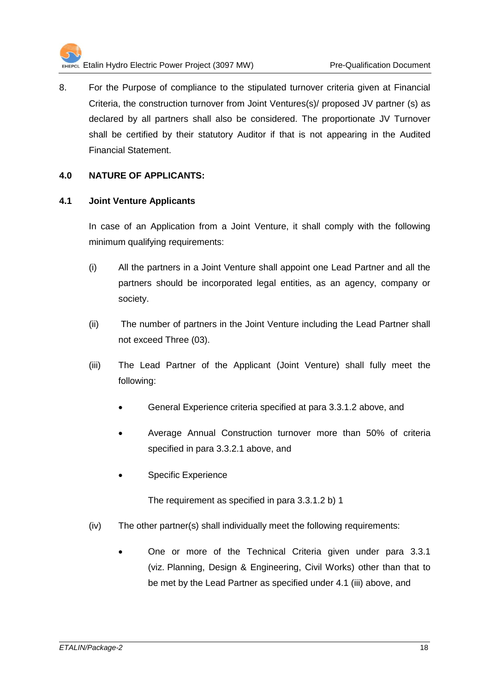

8. For the Purpose of compliance to the stipulated turnover criteria given at Financial Criteria, the construction turnover from Joint Ventures(s)/ proposed JV partner (s) as declared by all partners shall also be considered. The proportionate JV Turnover shall be certified by their statutory Auditor if that is not appearing in the Audited Financial Statement.

#### **4.0 NATURE OF APPLICANTS:**

#### **4.1 Joint Venture Applicants**

In case of an Application from a Joint Venture, it shall comply with the following minimum qualifying requirements:

- (i) All the partners in a Joint Venture shall appoint one Lead Partner and all the partners should be incorporated legal entities, as an agency, company or society.
- (ii) The number of partners in the Joint Venture including the Lead Partner shall not exceed Three (03).
- (iii) The Lead Partner of the Applicant (Joint Venture) shall fully meet the following:
	- General Experience criteria specified at para 3.3.1.2 above, and
	- Average Annual Construction turnover more than 50% of criteria specified in para 3.3.2.1 above, and
	- Specific Experience

The requirement as specified in para 3.3.1.2 b) 1

- (iv) The other partner(s) shall individually meet the following requirements:
	- One or more of the Technical Criteria given under para 3.3.1 (viz. Planning, Design & Engineering, Civil Works) other than that to be met by the Lead Partner as specified under 4.1 (iii) above, and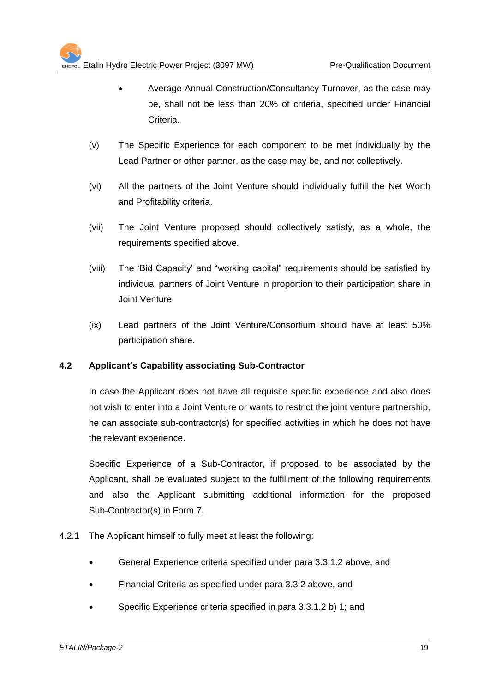- Average Annual Construction/Consultancy Turnover, as the case may be, shall not be less than 20% of criteria, specified under Financial Criteria.
- (v) The Specific Experience for each component to be met individually by the Lead Partner or other partner, as the case may be, and not collectively.
- (vi) All the partners of the Joint Venture should individually fulfill the Net Worth and Profitability criteria.
- (vii) The Joint Venture proposed should collectively satisfy, as a whole, the requirements specified above.
- (viii) The 'Bid Capacity' and "working capital" requirements should be satisfied by individual partners of Joint Venture in proportion to their participation share in Joint Venture.
- (ix) Lead partners of the Joint Venture/Consortium should have at least 50% participation share.

#### **4.2 Applicant's Capability associating Sub-Contractor**

In case the Applicant does not have all requisite specific experience and also does not wish to enter into a Joint Venture or wants to restrict the joint venture partnership, he can associate sub-contractor(s) for specified activities in which he does not have the relevant experience.

Specific Experience of a Sub-Contractor, if proposed to be associated by the Applicant, shall be evaluated subject to the fulfillment of the following requirements and also the Applicant submitting additional information for the proposed Sub-Contractor(s) in Form 7.

- 4.2.1 The Applicant himself to fully meet at least the following:
	- General Experience criteria specified under para 3.3.1.2 above, and
	- Financial Criteria as specified under para 3.3.2 above, and
	- Specific Experience criteria specified in para 3.3.1.2 b) 1; and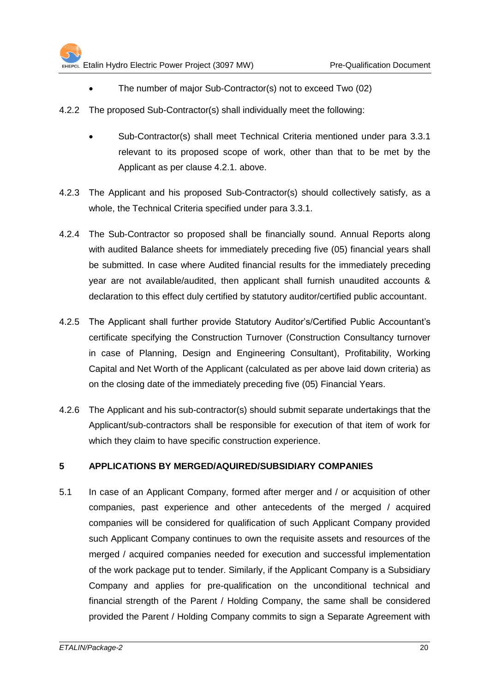- The number of major Sub-Contractor(s) not to exceed Two (02)
- 4.2.2 The proposed Sub-Contractor(s) shall individually meet the following:
	- Sub-Contractor(s) shall meet Technical Criteria mentioned under para 3.3.1 relevant to its proposed scope of work, other than that to be met by the Applicant as per clause 4.2.1. above.
- 4.2.3 The Applicant and his proposed Sub-Contractor(s) should collectively satisfy, as a whole, the Technical Criteria specified under para 3.3.1.
- 4.2.4 The Sub-Contractor so proposed shall be financially sound. Annual Reports along with audited Balance sheets for immediately preceding five (05) financial years shall be submitted. In case where Audited financial results for the immediately preceding year are not available/audited, then applicant shall furnish unaudited accounts & declaration to this effect duly certified by statutory auditor/certified public accountant.
- 4.2.5 The Applicant shall further provide Statutory Auditor's/Certified Public Accountant's certificate specifying the Construction Turnover (Construction Consultancy turnover in case of Planning, Design and Engineering Consultant), Profitability, Working Capital and Net Worth of the Applicant (calculated as per above laid down criteria) as on the closing date of the immediately preceding five (05) Financial Years.
- 4.2.6 The Applicant and his sub-contractor(s) should submit separate undertakings that the Applicant/sub-contractors shall be responsible for execution of that item of work for which they claim to have specific construction experience.

#### **5 APPLICATIONS BY MERGED/AQUIRED/SUBSIDIARY COMPANIES**

5.1 In case of an Applicant Company, formed after merger and / or acquisition of other companies, past experience and other antecedents of the merged / acquired companies will be considered for qualification of such Applicant Company provided such Applicant Company continues to own the requisite assets and resources of the merged / acquired companies needed for execution and successful implementation of the work package put to tender. Similarly, if the Applicant Company is a Subsidiary Company and applies for pre-qualification on the unconditional technical and financial strength of the Parent / Holding Company, the same shall be considered provided the Parent / Holding Company commits to sign a Separate Agreement with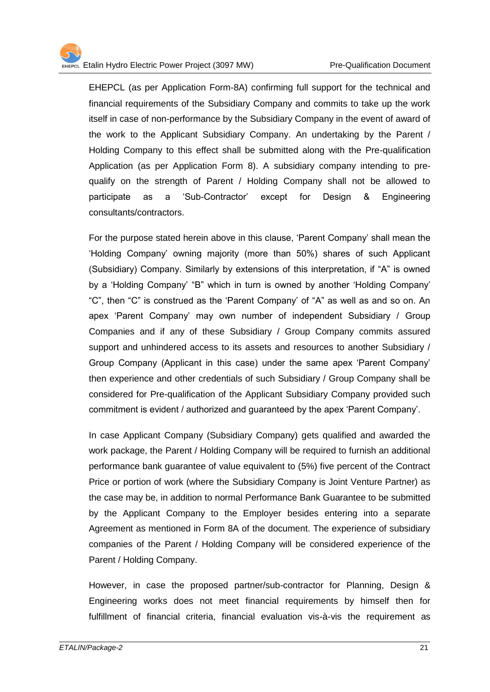EHEPCL (as per Application Form-8A) confirming full support for the technical and financial requirements of the Subsidiary Company and commits to take up the work itself in case of non-performance by the Subsidiary Company in the event of award of the work to the Applicant Subsidiary Company. An undertaking by the Parent / Holding Company to this effect shall be submitted along with the Pre-qualification Application (as per Application Form 8). A subsidiary company intending to prequalify on the strength of Parent / Holding Company shall not be allowed to participate as a 'Sub-Contractor' except for Design & Engineering consultants/contractors.

For the purpose stated herein above in this clause, 'Parent Company' shall mean the 'Holding Company' owning majority (more than 50%) shares of such Applicant (Subsidiary) Company. Similarly by extensions of this interpretation, if "A" is owned by a 'Holding Company' "B" which in turn is owned by another 'Holding Company' "C", then "C" is construed as the 'Parent Company' of "A" as well as and so on. An apex 'Parent Company' may own number of independent Subsidiary / Group Companies and if any of these Subsidiary / Group Company commits assured support and unhindered access to its assets and resources to another Subsidiary / Group Company (Applicant in this case) under the same apex 'Parent Company' then experience and other credentials of such Subsidiary / Group Company shall be considered for Pre-qualification of the Applicant Subsidiary Company provided such commitment is evident / authorized and guaranteed by the apex 'Parent Company'.

In case Applicant Company (Subsidiary Company) gets qualified and awarded the work package, the Parent / Holding Company will be required to furnish an additional performance bank guarantee of value equivalent to (5%) five percent of the Contract Price or portion of work (where the Subsidiary Company is Joint Venture Partner) as the case may be, in addition to normal Performance Bank Guarantee to be submitted by the Applicant Company to the Employer besides entering into a separate Agreement as mentioned in Form 8A of the document. The experience of subsidiary companies of the Parent / Holding Company will be considered experience of the Parent / Holding Company.

However, in case the proposed partner/sub-contractor for Planning, Design & Engineering works does not meet financial requirements by himself then for fulfillment of financial criteria, financial evaluation vis-à-vis the requirement as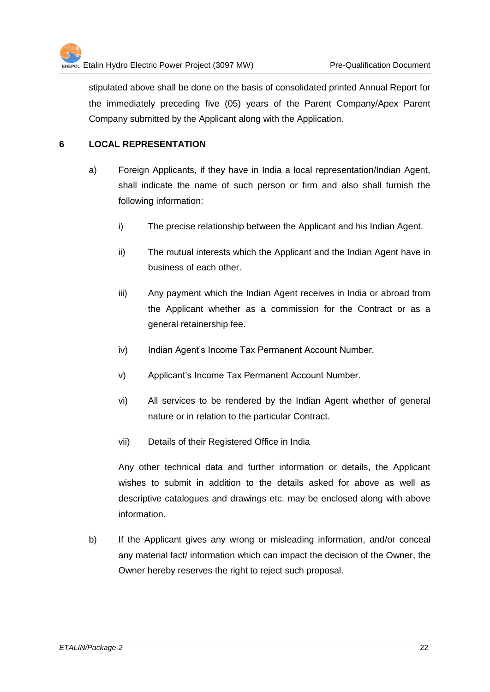stipulated above shall be done on the basis of consolidated printed Annual Report for the immediately preceding five (05) years of the Parent Company/Apex Parent Company submitted by the Applicant along with the Application.

#### **6 LOCAL REPRESENTATION**

- a) Foreign Applicants, if they have in India a local representation/Indian Agent, shall indicate the name of such person or firm and also shall furnish the following information:
	- i) The precise relationship between the Applicant and his Indian Agent.
	- ii) The mutual interests which the Applicant and the Indian Agent have in business of each other.
	- iii) Any payment which the Indian Agent receives in India or abroad from the Applicant whether as a commission for the Contract or as a general retainership fee.
	- iv) Indian Agent's Income Tax Permanent Account Number.
	- v) Applicant's Income Tax Permanent Account Number.
	- vi) All services to be rendered by the Indian Agent whether of general nature or in relation to the particular Contract.
	- vii) Details of their Registered Office in India

Any other technical data and further information or details, the Applicant wishes to submit in addition to the details asked for above as well as descriptive catalogues and drawings etc. may be enclosed along with above information.

b) If the Applicant gives any wrong or misleading information, and/or conceal any material fact/ information which can impact the decision of the Owner, the Owner hereby reserves the right to reject such proposal.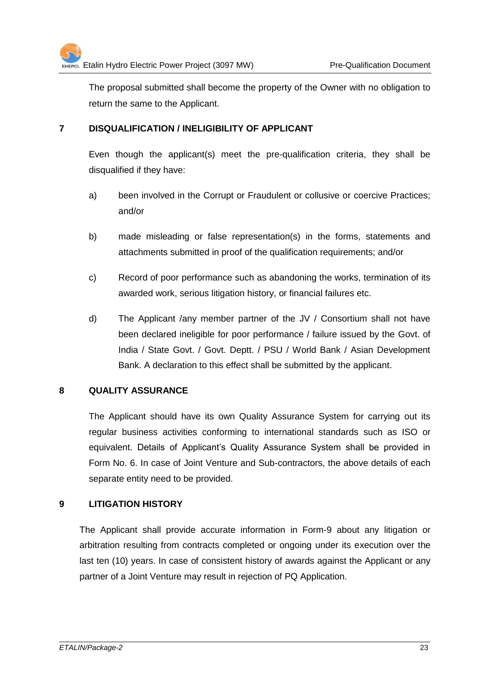The proposal submitted shall become the property of the Owner with no obligation to return the same to the Applicant.

#### **7 DISQUALIFICATION / INELIGIBILITY OF APPLICANT**

Even though the applicant(s) meet the pre-qualification criteria, they shall be disqualified if they have:

- a) been involved in the Corrupt or Fraudulent or collusive or coercive Practices; and/or
- b) made misleading or false representation(s) in the forms, statements and attachments submitted in proof of the qualification requirements; and/or
- c) Record of poor performance such as abandoning the works, termination of its awarded work, serious litigation history, or financial failures etc.
- d) The Applicant /any member partner of the JV / Consortium shall not have been declared ineligible for poor performance / failure issued by the Govt. of India / State Govt. / Govt. Deptt. / PSU / World Bank / Asian Development Bank. A declaration to this effect shall be submitted by the applicant.

#### **8 QUALITY ASSURANCE**

The Applicant should have its own Quality Assurance System for carrying out its regular business activities conforming to international standards such as ISO or equivalent. Details of Applicant's Quality Assurance System shall be provided in Form No. 6. In case of Joint Venture and Sub-contractors, the above details of each separate entity need to be provided.

#### **9 LITIGATION HISTORY**

The Applicant shall provide accurate information in Form-9 about any litigation or arbitration resulting from contracts completed or ongoing under its execution over the last ten (10) years. In case of consistent history of awards against the Applicant or any partner of a Joint Venture may result in rejection of PQ Application.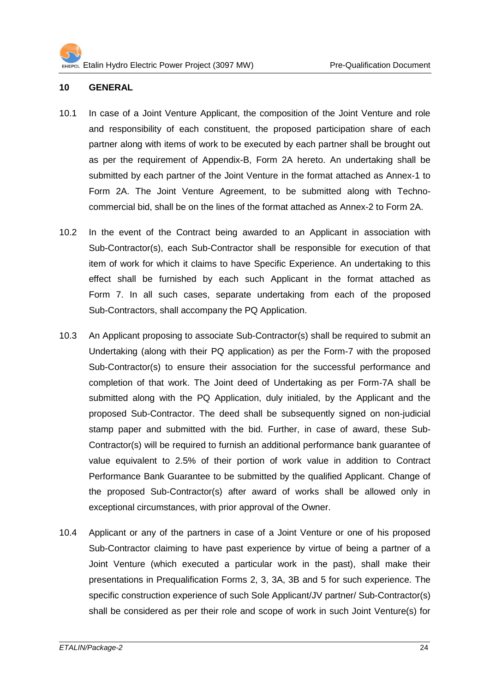#### **10 GENERAL**

- 10.1 In case of a Joint Venture Applicant, the composition of the Joint Venture and role and responsibility of each constituent, the proposed participation share of each partner along with items of work to be executed by each partner shall be brought out as per the requirement of Appendix-B, Form 2A hereto. An undertaking shall be submitted by each partner of the Joint Venture in the format attached as Annex-1 to Form 2A. The Joint Venture Agreement, to be submitted along with Technocommercial bid, shall be on the lines of the format attached as Annex-2 to Form 2A.
- 10.2 In the event of the Contract being awarded to an Applicant in association with Sub-Contractor(s), each Sub-Contractor shall be responsible for execution of that item of work for which it claims to have Specific Experience. An undertaking to this effect shall be furnished by each such Applicant in the format attached as Form 7. In all such cases, separate undertaking from each of the proposed Sub-Contractors, shall accompany the PQ Application.
- 10.3 An Applicant proposing to associate Sub-Contractor(s) shall be required to submit an Undertaking (along with their PQ application) as per the Form-7 with the proposed Sub-Contractor(s) to ensure their association for the successful performance and completion of that work. The Joint deed of Undertaking as per Form-7A shall be submitted along with the PQ Application, duly initialed, by the Applicant and the proposed Sub-Contractor. The deed shall be subsequently signed on non-judicial stamp paper and submitted with the bid. Further, in case of award, these Sub-Contractor(s) will be required to furnish an additional performance bank guarantee of value equivalent to 2.5% of their portion of work value in addition to Contract Performance Bank Guarantee to be submitted by the qualified Applicant. Change of the proposed Sub-Contractor(s) after award of works shall be allowed only in exceptional circumstances, with prior approval of the Owner.
- 10.4 Applicant or any of the partners in case of a Joint Venture or one of his proposed Sub-Contractor claiming to have past experience by virtue of being a partner of a Joint Venture (which executed a particular work in the past), shall make their presentations in Prequalification Forms 2, 3, 3A, 3B and 5 for such experience. The specific construction experience of such Sole Applicant/JV partner/ Sub-Contractor(s) shall be considered as per their role and scope of work in such Joint Venture(s) for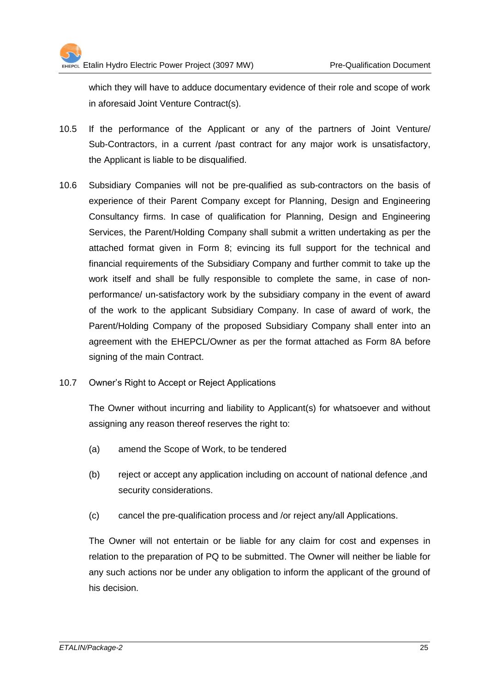which they will have to adduce documentary evidence of their role and scope of work in aforesaid Joint Venture Contract(s).

- 10.5 If the performance of the Applicant or any of the partners of Joint Venture/ Sub-Contractors, in a current /past contract for any major work is unsatisfactory, the Applicant is liable to be disqualified.
- 10.6 Subsidiary Companies will not be pre-qualified as sub-contractors on the basis of experience of their Parent Company except for Planning, Design and Engineering Consultancy firms. In case of qualification for Planning, Design and Engineering Services, the Parent/Holding Company shall submit a written undertaking as per the attached format given in Form 8; evincing its full support for the technical and financial requirements of the Subsidiary Company and further commit to take up the work itself and shall be fully responsible to complete the same, in case of nonperformance/ un-satisfactory work by the subsidiary company in the event of award of the work to the applicant Subsidiary Company. In case of award of work, the Parent/Holding Company of the proposed Subsidiary Company shall enter into an agreement with the EHEPCL/Owner as per the format attached as Form 8A before signing of the main Contract.
- 10.7 Owner's Right to Accept or Reject Applications

The Owner without incurring and liability to Applicant(s) for whatsoever and without assigning any reason thereof reserves the right to:

- (a) amend the Scope of Work, to be tendered
- (b) reject or accept any application including on account of national defence ,and security considerations.
- (c) cancel the pre-qualification process and /or reject any/all Applications.

The Owner will not entertain or be liable for any claim for cost and expenses in relation to the preparation of PQ to be submitted. The Owner will neither be liable for any such actions nor be under any obligation to inform the applicant of the ground of his decision.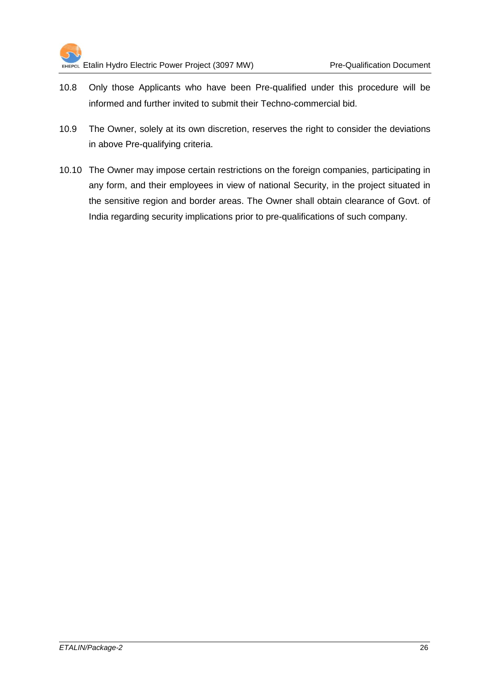

- 10.8 Only those Applicants who have been Pre-qualified under this procedure will be informed and further invited to submit their Techno-commercial bid.
- 10.9 The Owner, solely at its own discretion, reserves the right to consider the deviations in above Pre-qualifying criteria.
- 10.10 The Owner may impose certain restrictions on the foreign companies, participating in any form, and their employees in view of national Security, in the project situated in the sensitive region and border areas. The Owner shall obtain clearance of Govt. of India regarding security implications prior to pre-qualifications of such company.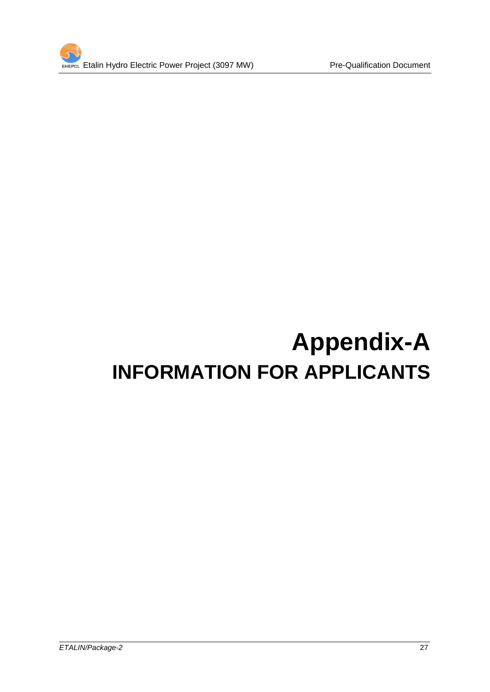

# **Appendix-A INFORMATION FOR APPLICANTS**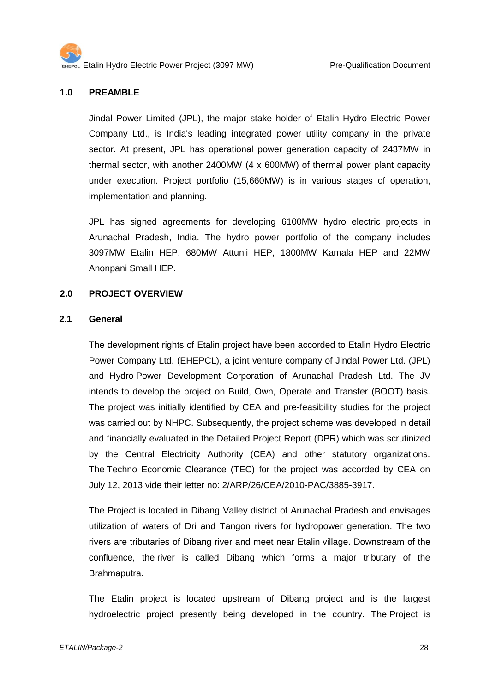#### **1.0 PREAMBLE**

Jindal Power Limited (JPL), the major stake holder of Etalin Hydro Electric Power Company Ltd., is India's leading integrated power utility company in the private sector. At present, JPL has operational power generation capacity of 2437MW in thermal sector, with another 2400MW (4 x 600MW) of thermal power plant capacity under execution. Project portfolio (15,660MW) is in various stages of operation, implementation and planning.

JPL has signed agreements for developing 6100MW hydro electric projects in Arunachal Pradesh, India. The hydro power portfolio of the company includes 3097MW Etalin HEP, 680MW Attunli HEP, 1800MW Kamala HEP and 22MW Anonpani Small HEP.

#### **2.0 PROJECT OVERVIEW**

#### **2.1 General**

The development rights of Etalin project have been accorded to Etalin Hydro Electric Power Company Ltd. (EHEPCL), a joint venture company of Jindal Power Ltd. (JPL) and Hydro Power Development Corporation of Arunachal Pradesh Ltd. The JV intends to develop the project on Build, Own, Operate and Transfer (BOOT) basis. The project was initially identified by CEA and pre-feasibility studies for the project was carried out by NHPC. Subsequently, the project scheme was developed in detail and financially evaluated in the Detailed Project Report (DPR) which was scrutinized by the Central Electricity Authority (CEA) and other statutory organizations. The Techno Economic Clearance (TEC) for the project was accorded by CEA on July 12, 2013 vide their letter no: 2/ARP/26/CEA/2010-PAC/3885-3917.

The Project is located in Dibang Valley district of Arunachal Pradesh and envisages utilization of waters of Dri and Tangon rivers for hydropower generation. The two rivers are tributaries of Dibang river and meet near Etalin village. Downstream of the confluence, the river is called Dibang which forms a major tributary of the Brahmaputra.

The Etalin project is located upstream of Dibang project and is the largest hydroelectric project presently being developed in the country. The Project is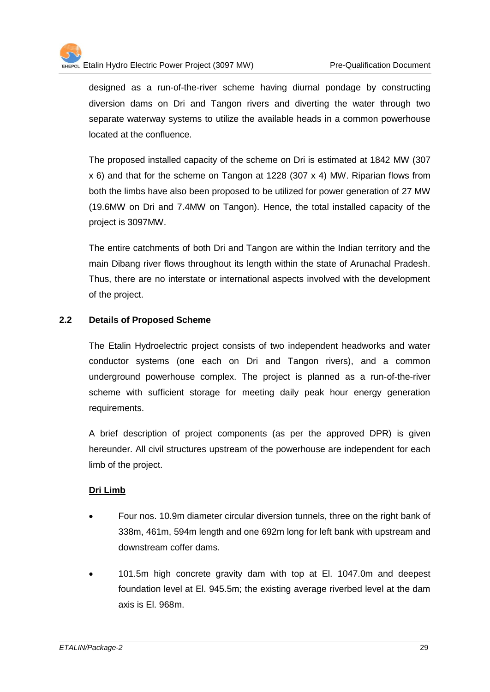

designed as a run-of-the-river scheme having diurnal pondage by constructing diversion dams on Dri and Tangon rivers and diverting the water through two separate waterway systems to utilize the available heads in a common powerhouse located at the confluence.

The proposed installed capacity of the scheme on Dri is estimated at 1842 MW (307 x 6) and that for the scheme on Tangon at 1228 (307 x 4) MW. Riparian flows from both the limbs have also been proposed to be utilized for power generation of 27 MW (19.6MW on Dri and 7.4MW on Tangon). Hence, the total installed capacity of the project is 3097MW.

The entire catchments of both Dri and Tangon are within the Indian territory and the main Dibang river flows throughout its length within the state of Arunachal Pradesh. Thus, there are no interstate or international aspects involved with the development of the project.

#### **2.2 Details of Proposed Scheme**

The Etalin Hydroelectric project consists of two independent headworks and water conductor systems (one each on Dri and Tangon rivers), and a common underground powerhouse complex. The project is planned as a run-of-the-river scheme with sufficient storage for meeting daily peak hour energy generation requirements.

A brief description of project components (as per the approved DPR) is given hereunder. All civil structures upstream of the powerhouse are independent for each limb of the project.

#### **Dri Limb**

- Four nos. 10.9m diameter circular diversion tunnels, three on the right bank of 338m, 461m, 594m length and one 692m long for left bank with upstream and downstream coffer dams.
- 101.5m high concrete gravity dam with top at El. 1047.0m and deepest foundation level at El. 945.5m; the existing average riverbed level at the dam axis is El. 968m.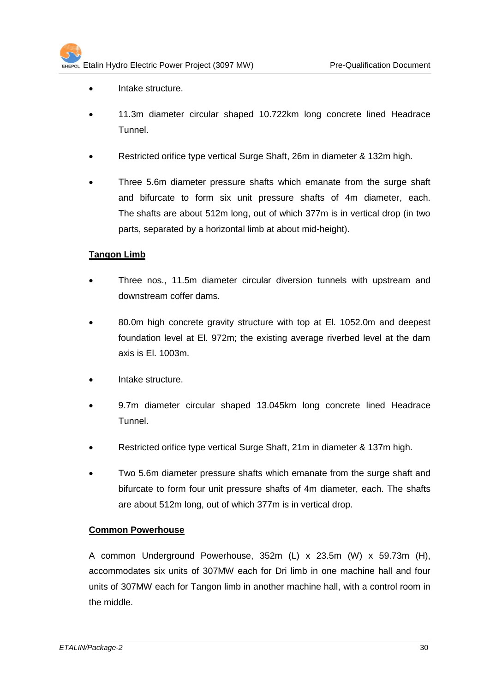- Intake structure.
- 11.3m diameter circular shaped 10.722km long concrete lined Headrace Tunnel.
- Restricted orifice type vertical Surge Shaft, 26m in diameter & 132m high.
- Three 5.6m diameter pressure shafts which emanate from the surge shaft and bifurcate to form six unit pressure shafts of 4m diameter, each. The shafts are about 512m long, out of which 377m is in vertical drop (in two parts, separated by a horizontal limb at about mid-height).

#### **Tangon Limb**

- Three nos., 11.5m diameter circular diversion tunnels with upstream and downstream coffer dams.
- 80.0m high concrete gravity structure with top at El. 1052.0m and deepest foundation level at El. 972m; the existing average riverbed level at the dam axis is El. 1003m.
- Intake structure.
- 9.7m diameter circular shaped 13.045km long concrete lined Headrace Tunnel.
- Restricted orifice type vertical Surge Shaft, 21m in diameter & 137m high.
- Two 5.6m diameter pressure shafts which emanate from the surge shaft and bifurcate to form four unit pressure shafts of 4m diameter, each. The shafts are about 512m long, out of which 377m is in vertical drop.

#### **Common Powerhouse**

A common Underground Powerhouse, 352m (L) x 23.5m (W) x 59.73m (H), accommodates six units of 307MW each for Dri limb in one machine hall and four units of 307MW each for Tangon limb in another machine hall, with a control room in the middle.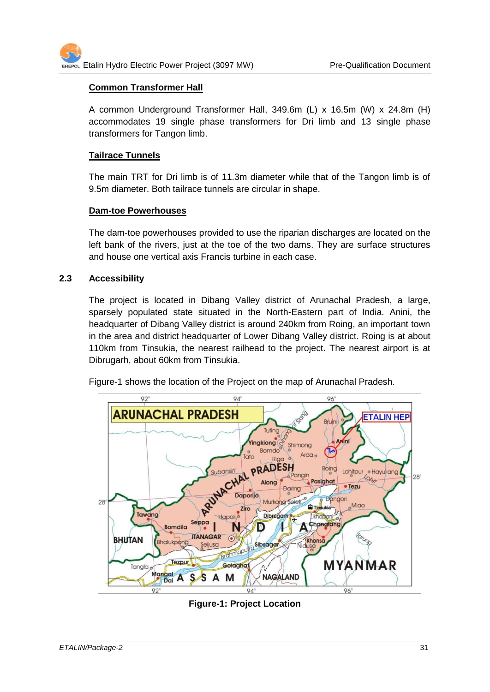#### **Common Transformer Hall**

A common Underground Transformer Hall, 349.6m (L) x 16.5m (W) x 24.8m (H) accommodates 19 single phase transformers for Dri limb and 13 single phase transformers for Tangon limb.

#### **Tailrace Tunnels**

The main TRT for Dri limb is of 11.3m diameter while that of the Tangon limb is of 9.5m diameter. Both tailrace tunnels are circular in shape.

#### **Dam-toe Powerhouses**

The dam-toe powerhouses provided to use the riparian discharges are located on the left bank of the rivers, just at the toe of the two dams. They are surface structures and house one vertical axis Francis turbine in each case.

#### **2.3 Accessibility**

The project is located in Dibang Valley district of Arunachal Pradesh, a large, sparsely populated state situated in the North-Eastern part of India. Anini, the headquarter of Dibang Valley district is around 240km from Roing, an important town in the area and district headquarter of Lower Dibang Valley district. Roing is at about 110km from Tinsukia, the nearest railhead to the project. The nearest airport is at Dibrugarh, about 60km from Tinsukia.

Figure-1 shows the location of the Project on the map of Arunachal Pradesh.



**Figure-1: Project Location**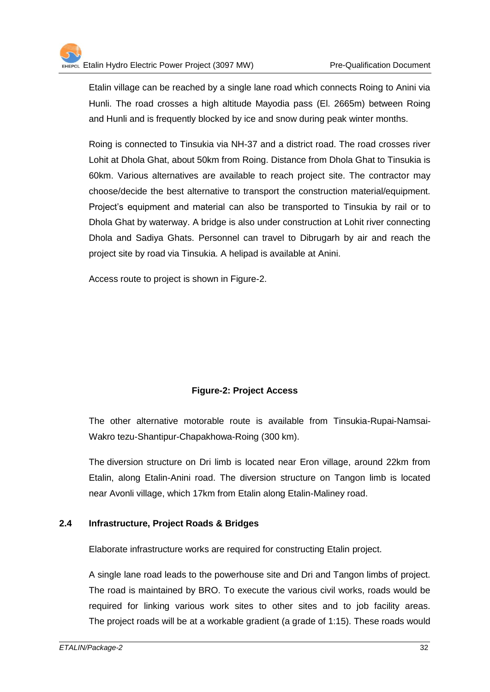Etalin village can be reached by a single lane road which connects Roing to Anini via Hunli. The road crosses a high altitude Mayodia pass (El. 2665m) between Roing and Hunli and is frequently blocked by ice and snow during peak winter months.

Roing is connected to Tinsukia via NH-37 and a district road. The road crosses river Lohit at Dhola Ghat, about 50km from Roing. Distance from Dhola Ghat to Tinsukia is 60km. Various alternatives are available to reach project site. The contractor may choose/decide the best alternative to transport the construction material/equipment. Project's equipment and material can also be transported to Tinsukia by rail or to Dhola Ghat by waterway. A bridge is also under construction at Lohit river connecting Dhola and Sadiya Ghats. Personnel can travel to Dibrugarh by air and reach the project site by road via Tinsukia. A helipad is available at Anini.

Access route to project is shown in Figure-2.

#### **Figure-2: Project Access**

The other alternative motorable route is available from Tinsukia-Rupai-Namsai-Wakro tezu-Shantipur-Chapakhowa-Roing (300 km).

The diversion structure on Dri limb is located near Eron village, around 22km from Etalin, along Etalin-Anini road. The diversion structure on Tangon limb is located near Avonli village, which 17km from Etalin along Etalin-Maliney road.

#### **2.4 Infrastructure, Project Roads & Bridges**

Elaborate infrastructure works are required for constructing Etalin project.

A single lane road leads to the powerhouse site and Dri and Tangon limbs of project. The road is maintained by BRO. To execute the various civil works, roads would be required for linking various work sites to other sites and to job facility areas. The project roads will be at a workable gradient (a grade of 1:15). These roads would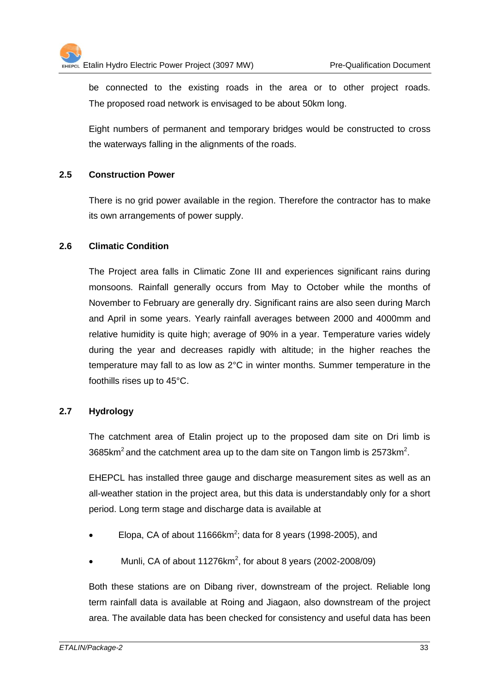be connected to the existing roads in the area or to other project roads. The proposed road network is envisaged to be about 50km long.

Eight numbers of permanent and temporary bridges would be constructed to cross the waterways falling in the alignments of the roads.

#### **2.5 Construction Power**

There is no grid power available in the region. Therefore the contractor has to make its own arrangements of power supply.

#### **2.6 Climatic Condition**

The Project area falls in Climatic Zone III and experiences significant rains during monsoons. Rainfall generally occurs from May to October while the months of November to February are generally dry. Significant rains are also seen during March and April in some years. Yearly rainfall averages between 2000 and 4000mm and relative humidity is quite high; average of 90% in a year. Temperature varies widely during the year and decreases rapidly with altitude; in the higher reaches the temperature may fall to as low as 2°C in winter months. Summer temperature in the foothills rises up to 45°C.

#### **2.7 Hydrology**

The catchment area of Etalin project up to the proposed dam site on Dri limb is 3685km<sup>2</sup> and the catchment area up to the dam site on Tangon limb is 2573km<sup>2</sup>.

EHEPCL has installed three gauge and discharge measurement sites as well as an all-weather station in the project area, but this data is understandably only for a short period. Long term stage and discharge data is available at

- $\bullet$  Elopa, CA of about 11666km<sup>2</sup>; data for 8 years (1998-2005), and
- Munli, CA of about 11276 $km^2$ , for about 8 years (2002-2008/09)

Both these stations are on Dibang river, downstream of the project. Reliable long term rainfall data is available at Roing and Jiagaon, also downstream of the project area. The available data has been checked for consistency and useful data has been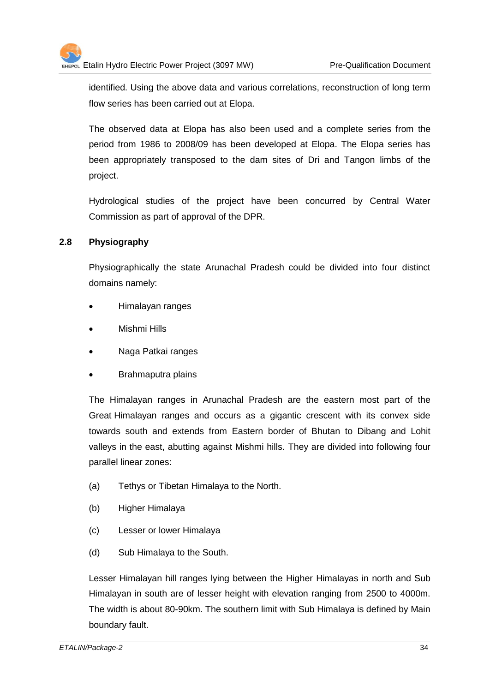identified. Using the above data and various correlations, reconstruction of long term flow series has been carried out at Elopa.

The observed data at Elopa has also been used and a complete series from the period from 1986 to 2008/09 has been developed at Elopa. The Elopa series has been appropriately transposed to the dam sites of Dri and Tangon limbs of the project.

Hydrological studies of the project have been concurred by Central Water Commission as part of approval of the DPR.

#### **2.8 Physiography**

Physiographically the state Arunachal Pradesh could be divided into four distinct domains namely:

- Himalayan ranges
- Mishmi Hills
- Naga Patkai ranges
- Brahmaputra plains

The Himalayan ranges in Arunachal Pradesh are the eastern most part of the Great Himalayan ranges and occurs as a gigantic crescent with its convex side towards south and extends from Eastern border of Bhutan to Dibang and Lohit valleys in the east, abutting against Mishmi hills. They are divided into following four parallel linear zones:

- (a) Tethys or Tibetan Himalaya to the North.
- (b) Higher Himalaya
- (c) Lesser or lower Himalaya
- (d) Sub Himalaya to the South.

Lesser Himalayan hill ranges lying between the Higher Himalayas in north and Sub Himalayan in south are of lesser height with elevation ranging from 2500 to 4000m. The width is about 80-90km. The southern limit with Sub Himalaya is defined by Main boundary fault.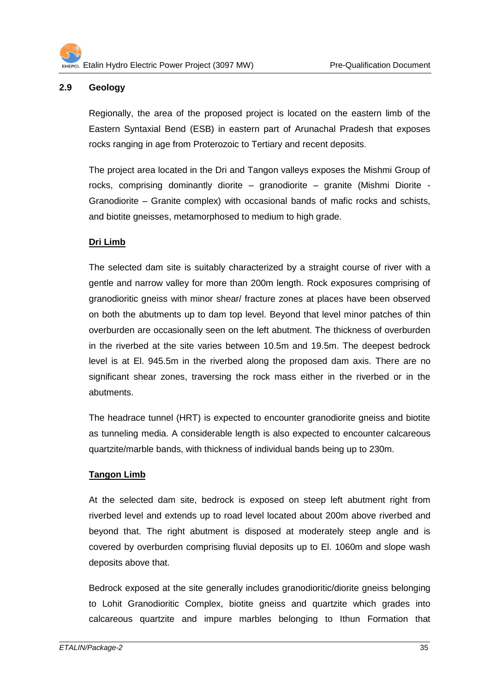#### **2.9 Geology**

Regionally, the area of the proposed project is located on the eastern limb of the Eastern Syntaxial Bend (ESB) in eastern part of Arunachal Pradesh that exposes rocks ranging in age from Proterozoic to Tertiary and recent deposits.

The project area located in the Dri and Tangon valleys exposes the Mishmi Group of rocks, comprising dominantly diorite – granodiorite – granite (Mishmi Diorite - Granodiorite – Granite complex) with occasional bands of mafic rocks and schists, and biotite gneisses, metamorphosed to medium to high grade.

#### **Dri Limb**

The selected dam site is suitably characterized by a straight course of river with a gentle and narrow valley for more than 200m length. Rock exposures comprising of granodioritic gneiss with minor shear/ fracture zones at places have been observed on both the abutments up to dam top level. Beyond that level minor patches of thin overburden are occasionally seen on the left abutment. The thickness of overburden in the riverbed at the site varies between 10.5m and 19.5m. The deepest bedrock level is at El. 945.5m in the riverbed along the proposed dam axis. There are no significant shear zones, traversing the rock mass either in the riverbed or in the abutments.

The headrace tunnel (HRT) is expected to encounter granodiorite gneiss and biotite as tunneling media. A considerable length is also expected to encounter calcareous quartzite/marble bands, with thickness of individual bands being up to 230m.

#### **Tangon Limb**

At the selected dam site, bedrock is exposed on steep left abutment right from riverbed level and extends up to road level located about 200m above riverbed and beyond that. The right abutment is disposed at moderately steep angle and is covered by overburden comprising fluvial deposits up to El. 1060m and slope wash deposits above that.

Bedrock exposed at the site generally includes granodioritic/diorite gneiss belonging to Lohit Granodioritic Complex, biotite gneiss and quartzite which grades into calcareous quartzite and impure marbles belonging to Ithun Formation that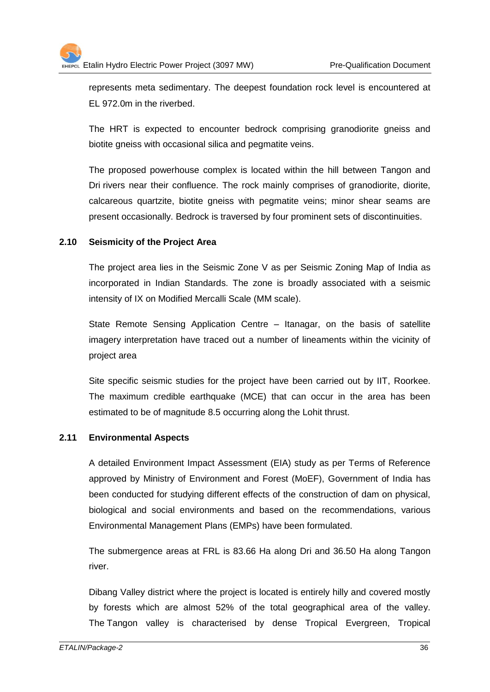represents meta sedimentary. The deepest foundation rock level is encountered at EL 972.0m in the riverbed.

The HRT is expected to encounter bedrock comprising granodiorite gneiss and biotite gneiss with occasional silica and pegmatite veins.

The proposed powerhouse complex is located within the hill between Tangon and Dri rivers near their confluence. The rock mainly comprises of granodiorite, diorite, calcareous quartzite, biotite gneiss with pegmatite veins; minor shear seams are present occasionally. Bedrock is traversed by four prominent sets of discontinuities.

# **2.10 Seismicity of the Project Area**

The project area lies in the Seismic Zone V as per Seismic Zoning Map of India as incorporated in Indian Standards. The zone is broadly associated with a seismic intensity of IX on Modified Mercalli Scale (MM scale).

State Remote Sensing Application Centre – Itanagar, on the basis of satellite imagery interpretation have traced out a number of lineaments within the vicinity of project area

Site specific seismic studies for the project have been carried out by IIT, Roorkee. The maximum credible earthquake (MCE) that can occur in the area has been estimated to be of magnitude 8.5 occurring along the Lohit thrust.

# **2.11 Environmental Aspects**

A detailed Environment Impact Assessment (EIA) study as per Terms of Reference approved by Ministry of Environment and Forest (MoEF), Government of India has been conducted for studying different effects of the construction of dam on physical, biological and social environments and based on the recommendations, various Environmental Management Plans (EMPs) have been formulated.

The submergence areas at FRL is 83.66 Ha along Dri and 36.50 Ha along Tangon river.

Dibang Valley district where the project is located is entirely hilly and covered mostly by forests which are almost 52% of the total geographical area of the valley. The Tangon valley is characterised by dense Tropical Evergreen, Tropical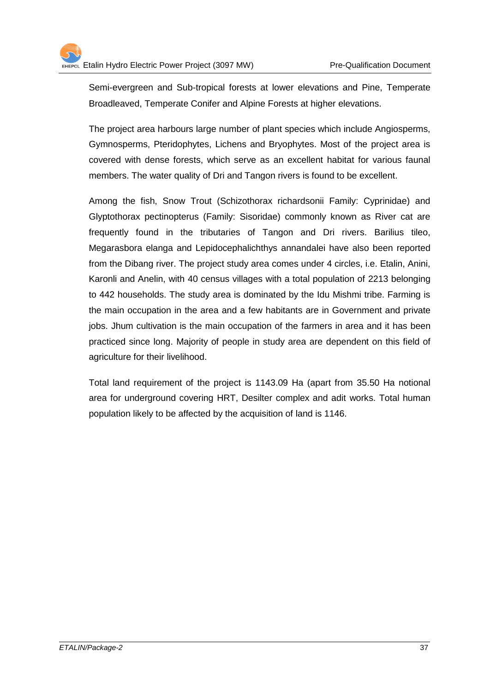Semi-evergreen and Sub-tropical forests at lower elevations and Pine, Temperate Broadleaved, Temperate Conifer and Alpine Forests at higher elevations.

The project area harbours large number of plant species which include Angiosperms, Gymnosperms, Pteridophytes, Lichens and Bryophytes. Most of the project area is covered with dense forests, which serve as an excellent habitat for various faunal members. The water quality of Dri and Tangon rivers is found to be excellent.

Among the fish, Snow Trout (Schizothorax richardsonii Family: Cyprinidae) and Glyptothorax pectinopterus (Family: Sisoridae) commonly known as River cat are frequently found in the tributaries of Tangon and Dri rivers. Barilius tileo, Megarasbora elanga and Lepidocephalichthys annandalei have also been reported from the Dibang river. The project study area comes under 4 circles, i.e. Etalin, Anini, Karonli and Anelin, with 40 census villages with a total population of 2213 belonging to 442 households. The study area is dominated by the Idu Mishmi tribe. Farming is the main occupation in the area and a few habitants are in Government and private jobs. Jhum cultivation is the main occupation of the farmers in area and it has been practiced since long. Majority of people in study area are dependent on this field of agriculture for their livelihood.

Total land requirement of the project is 1143.09 Ha (apart from 35.50 Ha notional area for underground covering HRT, Desilter complex and adit works. Total human population likely to be affected by the acquisition of land is 1146.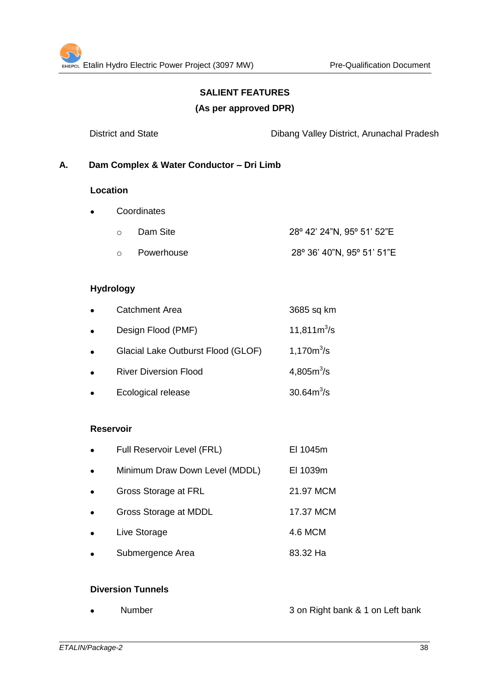# **SALIENT FEATURES**

#### **(As per approved DPR)**

District and State Dibang Valley District, Arunachal Pradesh

# **A. Dam Complex & Water Conductor – Dri Limb**

#### **Location**

- **Coordinates** 
	- o Dam Site 28º 42' 24"N, 95º 51' 52"E
	- o Powerhouse 28º 36' 40"N, 95º 51' 51"E

#### **Hydrology**

| $\bullet$ | <b>Catchment Area</b>              | 3685 sq km             |
|-----------|------------------------------------|------------------------|
| $\bullet$ | Design Flood (PMF)                 | 11,811 $m^3/s$         |
| $\bullet$ | Glacial Lake Outburst Flood (GLOF) | 1,170m <sup>3</sup> /s |
| $\bullet$ | <b>River Diversion Flood</b>       | 4,805 $m^3$ /s         |
|           | Ecological release                 | $30.64m^3/s$           |

#### **Reservoir**

| $\bullet$ | Full Reservoir Level (FRL)     | EI 1045m  |
|-----------|--------------------------------|-----------|
| $\bullet$ | Minimum Draw Down Level (MDDL) | EI 1039m  |
| $\bullet$ | Gross Storage at FRL           | 21.97 MCM |
| $\bullet$ | Gross Storage at MDDL          | 17.37 MCM |
|           | Live Storage                   | 4.6 MCM   |
|           | Submergence Area               | 83.32 Ha  |

# **Diversion Tunnels**

Number 3 on Right bank & 1 on Left bank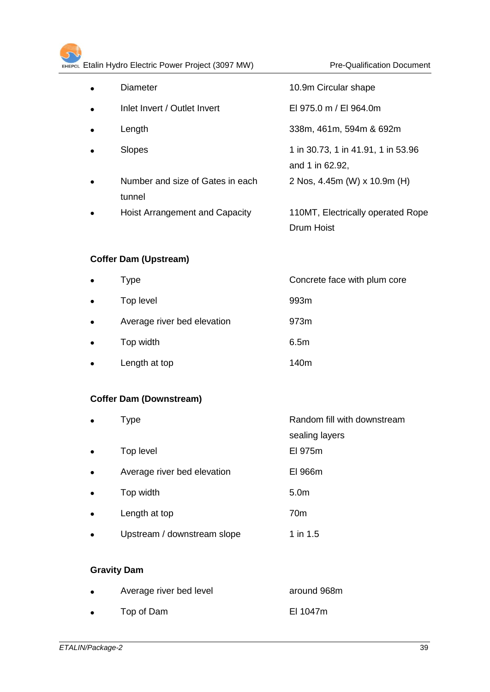| $\bullet$ | Diameter                                   | 10.9m Circular shape                                  |
|-----------|--------------------------------------------|-------------------------------------------------------|
| $\bullet$ | Inlet Invert / Outlet Invert               | EI 975.0 m / EI 964.0m                                |
| $\bullet$ | Length                                     | 338m, 461m, 594m & 692m                               |
| $\bullet$ | Slopes                                     | 1 in 30.73, 1 in 41.91, 1 in 53.96<br>and 1 in 62.92, |
| $\bullet$ | Number and size of Gates in each<br>tunnel | 2 Nos, 4.45m (W) x 10.9m (H)                          |
| $\bullet$ | Hoist Arrangement and Capacity             | 110MT, Electrically operated Rope<br>Drum Hoist       |

# **Coffer Dam (Upstream)**

| $\bullet$ | Type                        | Concrete face with plum core |
|-----------|-----------------------------|------------------------------|
| $\bullet$ | Top level                   | 993m                         |
| $\bullet$ | Average river bed elevation | 973m                         |
| $\bullet$ | Top width                   | 6.5m                         |
| $\bullet$ | Length at top               | 140m                         |

# **Coffer Dam (Downstream)**

| Type                        | Random fill with downstream |
|-----------------------------|-----------------------------|
|                             | sealing layers              |
| Top level                   | EI 975m                     |
| Average river bed elevation | EI 966m                     |
| Top width                   | 5.0 <sub>m</sub>            |
| Length at top               | 70 <sub>m</sub>             |
| Upstream / downstream slope | 1 in 1.5                    |
|                             |                             |

# **Gravity Dam**

| $\bullet$ | Average river bed level | around 968m |
|-----------|-------------------------|-------------|
| $\bullet$ | Top of Dam              | EI 1047m    |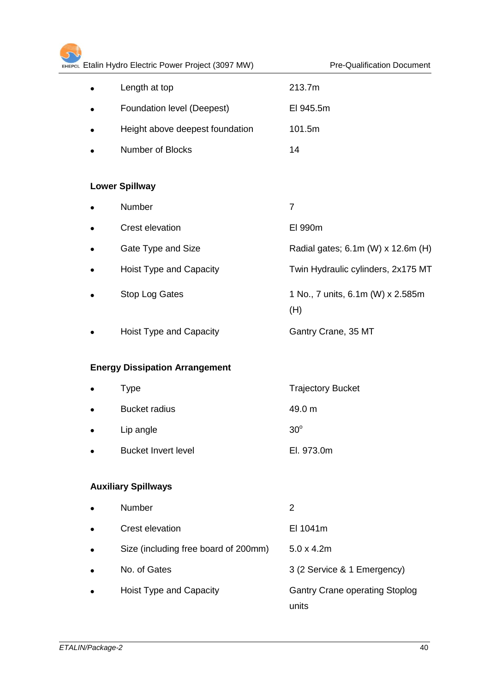| EHEPCL Etalin Hydro Electric Power Project (3097 MW) | <b>Pre-Qualification Document</b>              |
|------------------------------------------------------|------------------------------------------------|
| Length at top                                        | 213.7m                                         |
| Foundation level (Deepest)                           | El 945.5m                                      |
| Height above deepest foundation                      | 101.5m                                         |
| Number of Blocks                                     | 14                                             |
| <b>Lower Spillway</b>                                |                                                |
| Number                                               | $\overline{7}$                                 |
| Crest elevation                                      | EI 990m                                        |
| Gate Type and Size                                   | Radial gates; 6.1m (W) x 12.6m (H)             |
| Hoist Type and Capacity                              | Twin Hydraulic cylinders, 2x175 MT             |
| Stop Log Gates                                       | 1 No., 7 units, 6.1m (W) x 2.585m<br>(H)       |
| Hoist Type and Capacity                              | Gantry Crane, 35 MT                            |
| <b>Energy Dissipation Arrangement</b>                |                                                |
| <b>Type</b>                                          | <b>Trajectory Bucket</b>                       |
| <b>Bucket radius</b>                                 | 49.0 m                                         |
| Lip angle                                            | $30^\circ$                                     |
| <b>Bucket Invert level</b>                           | El. 973.0m                                     |
| <b>Auxiliary Spillways</b>                           |                                                |
| Number                                               | 2                                              |
| Crest elevation                                      | El 1041m                                       |
| Size (including free board of 200mm)                 | $5.0 \times 4.2m$                              |
| No. of Gates                                         | 3 (2 Service & 1 Emergency)                    |
|                                                      |                                                |
| <b>Hoist Type and Capacity</b>                       | <b>Gantry Crane operating Stoplog</b><br>units |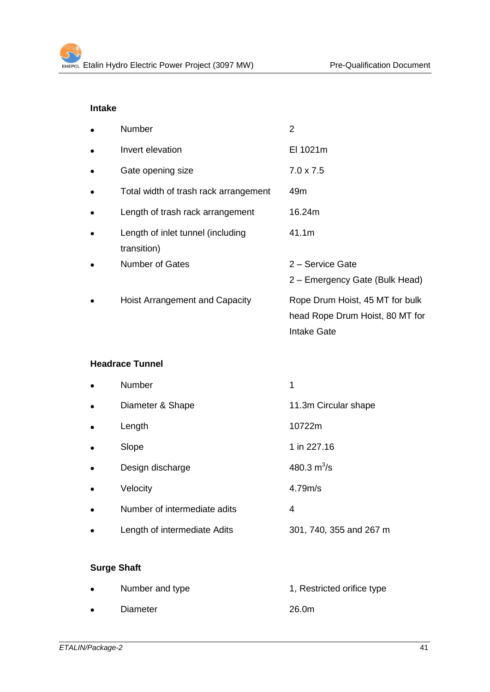# **Intake**

|   | <b>Number</b>                                    | $\overline{2}$                                                                    |
|---|--------------------------------------------------|-----------------------------------------------------------------------------------|
| ٠ | Invert elevation                                 | EI 1021m                                                                          |
|   | Gate opening size                                | $7.0 \times 7.5$                                                                  |
|   | Total width of trash rack arrangement            | 49m                                                                               |
|   | Length of trash rack arrangement                 | 16.24m                                                                            |
|   | Length of inlet tunnel (including<br>transition) | 41.1m                                                                             |
|   | <b>Number of Gates</b>                           | 2 – Service Gate<br>2 – Emergency Gate (Bulk Head)                                |
|   | <b>Hoist Arrangement and Capacity</b>            | Rope Drum Hoist, 45 MT for bulk<br>head Rope Drum Hoist, 80 MT for<br>Intake Gate |

# **Headrace Tunnel**

| <b>Number</b>                | 1                       |
|------------------------------|-------------------------|
| Diameter & Shape             | 11.3m Circular shape    |
| Length                       | 10722m                  |
| Slope                        | 1 in 227.16             |
| Design discharge             | 480.3 $m^3$ /s          |
| Velocity                     | 4.79m/s                 |
| Number of intermediate adits | 4                       |
| Length of intermediate Adits | 301, 740, 355 and 267 m |
|                              |                         |

# **Surge Shaft**

| $\bullet$ | Number and type | 1, Restricted orifice type |
|-----------|-----------------|----------------------------|
| $\bullet$ | Diameter        | 26.0m                      |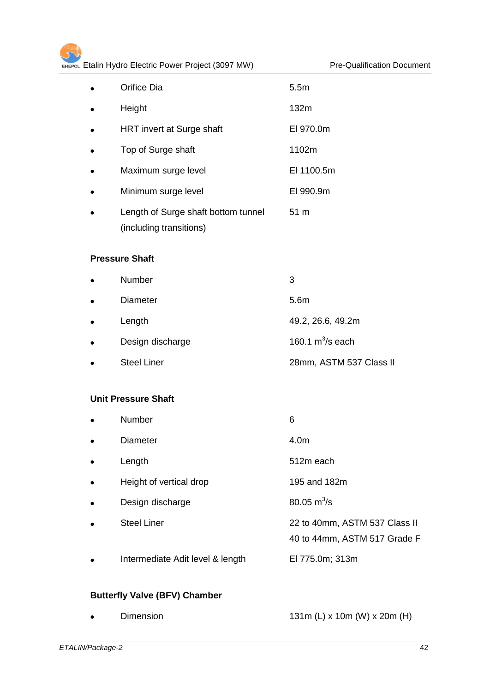| Orifice Dia                         | 5.5 <sub>m</sub> |
|-------------------------------------|------------------|
| Height                              | 132m             |
| HRT invert at Surge shaft           | EI 970.0m        |
| Top of Surge shaft                  | 1102m            |
| Maximum surge level                 | EI 1100.5m       |
| Minimum surge level                 | EI 990.9m        |
| Length of Surge shaft bottom tunnel | 51 m             |
| (including transitions)             |                  |

# **Pressure Shaft**

| $\bullet$ | <b>Number</b>      | 3                       |
|-----------|--------------------|-------------------------|
| $\bullet$ | Diameter           | 5.6m                    |
| $\bullet$ | Length             | 49.2, 26.6, 49.2m       |
| $\bullet$ | Design discharge   | 160.1 $m^3$ /s each     |
|           | <b>Steel Liner</b> | 28mm, ASTM 537 Class II |

# **Unit Pressure Shaft**

| $\bullet$ | Number                           | 6                                                             |
|-----------|----------------------------------|---------------------------------------------------------------|
| $\bullet$ | <b>Diameter</b>                  | 4.0m                                                          |
| $\bullet$ | Length                           | 512m each                                                     |
| $\bullet$ | Height of vertical drop          | 195 and 182m                                                  |
| $\bullet$ | Design discharge                 | $80.05 \text{ m}^3\text{/s}$                                  |
| $\bullet$ | <b>Steel Liner</b>               | 22 to 40mm, ASTM 537 Class II<br>40 to 44mm, ASTM 517 Grade F |
| $\bullet$ | Intermediate Adit level & length | El 775.0m; 313m                                               |

# **Butterfly Valve (BFV) Chamber**

|  | <b>Dimension</b> | 131m (L) x 10m (W) x 20m (H) |
|--|------------------|------------------------------|
|--|------------------|------------------------------|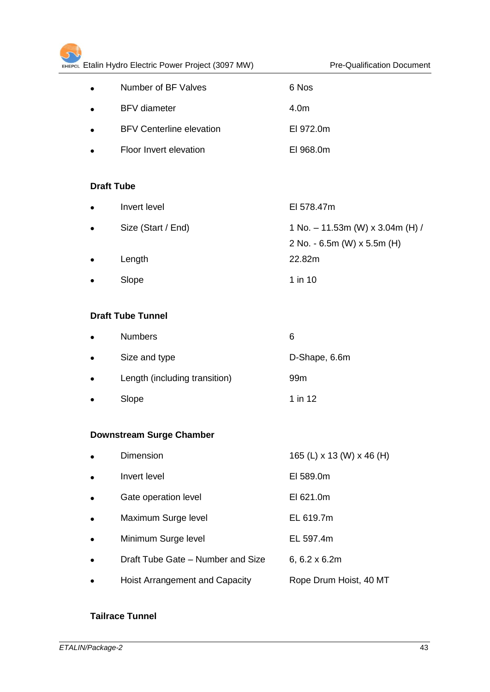| $\bullet$ | Number of BF Valves             | 6 Nos     |
|-----------|---------------------------------|-----------|
| $\bullet$ | <b>BFV</b> diameter             | 4.0m      |
| $\bullet$ | <b>BFV Centerline elevation</b> | EI 972.0m |
| $\bullet$ | Floor Invert elevation          | EI 968.0m |

# **Draft Tube**

| $\bullet$ | Invert level       | El 578.47m                         |
|-----------|--------------------|------------------------------------|
| $\bullet$ | Size (Start / End) | 1 No. $-$ 11.53m (W) x 3.04m (H) / |
|           |                    | 2 No. - 6.5m (W) $\times$ 5.5m (H) |
| $\bullet$ | Length             | 22.82m                             |
| $\bullet$ | Slope              | $1$ in $10$                        |

# **Draft Tube Tunnel**

| $\bullet$ | <b>Numbers</b>                | 6               |
|-----------|-------------------------------|-----------------|
| $\bullet$ | Size and type                 | D-Shape, 6.6m   |
| $\bullet$ | Length (including transition) | 99 <sub>m</sub> |
| $\bullet$ | Slope                         | 1 in 12         |

# **Downstream Surge Chamber**

|           | Dimension                             | 165 (L) x 13 (W) x 46 (H) |
|-----------|---------------------------------------|---------------------------|
| $\bullet$ | Invert level                          | EI 589.0m                 |
| $\bullet$ | Gate operation level                  | EI 621.0m                 |
| $\bullet$ | Maximum Surge level                   | EL 619.7m                 |
| $\bullet$ | Minimum Surge level                   | EL 597.4m                 |
|           | Draft Tube Gate - Number and Size     | $6, 6.2 \times 6.2m$      |
|           | <b>Hoist Arrangement and Capacity</b> | Rope Drum Hoist, 40 MT    |

# **Tailrace Tunnel**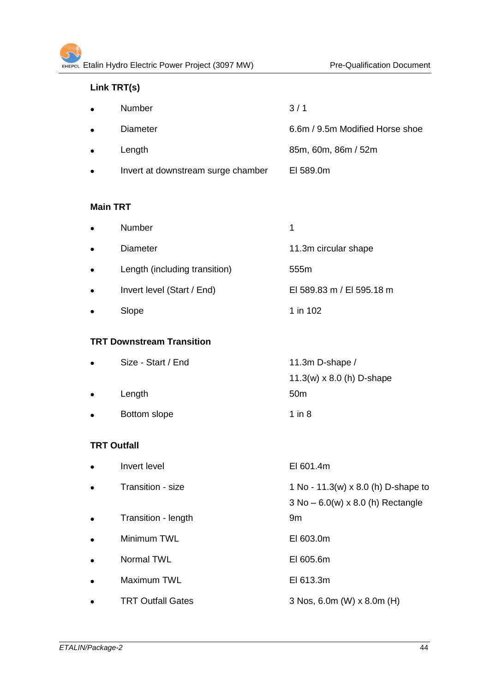# **Link TRT(s)**

| $\bullet$ | Number                             | 3/1                             |
|-----------|------------------------------------|---------------------------------|
| $\bullet$ | Diameter                           | 6.6m / 9.5m Modified Horse shoe |
| $\bullet$ | Length                             | 85m, 60m, 86m / 52m             |
| $\bullet$ | Invert at downstream surge chamber | EI 589.0m                       |

#### **Main TRT**

| $\bullet$ | <b>Number</b>                 |                           |
|-----------|-------------------------------|---------------------------|
| $\bullet$ | <b>Diameter</b>               | 11.3m circular shape      |
| $\bullet$ | Length (including transition) | 555 <sub>m</sub>          |
| $\bullet$ | Invert level (Start / End)    | EI 589.83 m / EI 595.18 m |
| $\bullet$ | Slope                         | 1 in 102                  |

# **TRT Downstream Transition**

| $\bullet$ | Size - Start / End | 11.3m D-shape /                  |
|-----------|--------------------|----------------------------------|
|           |                    | 11.3(w) $\times$ 8.0 (h) D-shape |
| $\bullet$ | Length             | 50 <sub>m</sub>                  |
| $\bullet$ | Bottom slope       | 1 in 8                           |

#### **TRT Outfall**

| $\bullet$ | Invert level             | EI 601.4m                                                                   |
|-----------|--------------------------|-----------------------------------------------------------------------------|
| $\bullet$ | Transition - size        | 1 No - 11.3(w) x 8.0 (h) D-shape to<br>$3$ No $-6.0(w)$ x 8.0 (h) Rectangle |
| $\bullet$ | Transition - length      | 9m                                                                          |
| $\bullet$ | Minimum TWL              | EI 603.0m                                                                   |
| $\bullet$ | Normal TWL               | EI 605.6m                                                                   |
| $\bullet$ | Maximum TWL              | EI 613.3m                                                                   |
| $\bullet$ | <b>TRT Outfall Gates</b> | 3 Nos, 6.0m (W) x 8.0m (H)                                                  |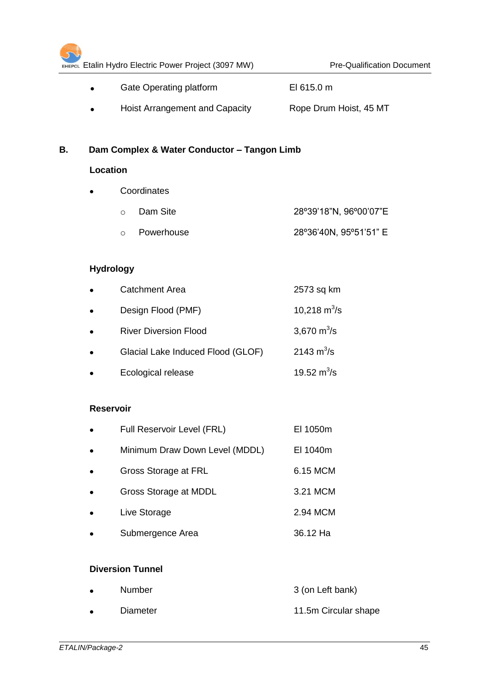|    |                  | EHEPCL Etalin Hydro Electric Power Project (3097 MW) | <b>Pre-Qualification Document</b> |
|----|------------------|------------------------------------------------------|-----------------------------------|
|    |                  | Gate Operating platform                              | El 615.0 m                        |
|    |                  | Hoist Arrangement and Capacity                       | Rope Drum Hoist, 45 MT            |
| В. |                  | Dam Complex & Water Conductor - Tangon Limb          |                                   |
|    | <b>Location</b>  |                                                      |                                   |
|    |                  | Coordinates                                          |                                   |
|    |                  | Dam Site<br>$\circ$                                  | 28°39'18"N, 96°00'07"E            |
|    |                  | Powerhouse<br>$\circ$                                | 28°36'40N, 95°51'51" E            |
|    |                  | <b>Hydrology</b>                                     |                                   |
|    | $\bullet$        | <b>Catchment Area</b>                                | 2573 sq km                        |
|    |                  | Design Flood (PMF)                                   | 10,218 $m^3/s$                    |
|    |                  | <b>River Diversion Flood</b>                         | 3,670 $m^3/s$                     |
|    |                  | Glacial Lake Induced Flood (GLOF)                    | 2143 $m^3/s$                      |
|    |                  | Ecological release                                   | 19.52 $m^3$ /s                    |
|    | <b>Reservoir</b> |                                                      |                                   |
|    |                  | Full Reservoir Level (FRL)                           | El 1050m                          |
|    |                  | Minimum Draw Down Level (MDDL)                       | El 1040m                          |
|    |                  | <b>Gross Storage at FRL</b>                          | 6.15 MCM                          |
|    |                  | Gross Storage at MDDL                                | 3.21 MCM                          |
|    |                  | Live Storage                                         | 2.94 MCM                          |
|    |                  | Submergence Area                                     | 36.12 Ha                          |
|    |                  | <b>Diversion Tunnel</b>                              |                                   |
|    |                  |                                                      |                                   |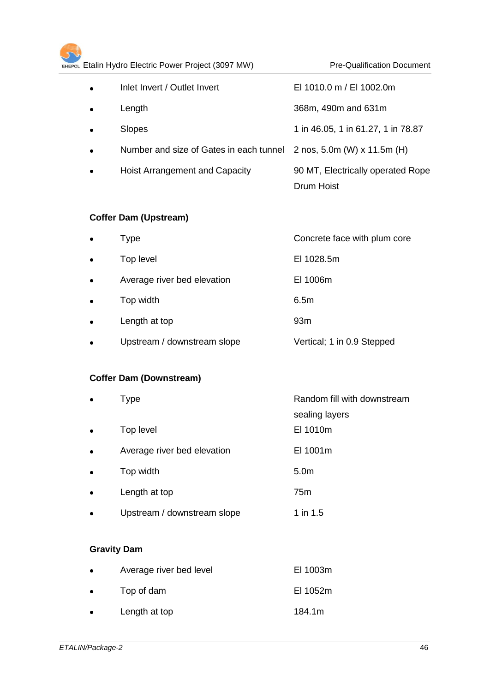| Etalin Hydro Electric Power Project (3097 MW)<br><b>Pre-Qualification Document</b><br>EHEPCL |           |                                         |                                    |
|----------------------------------------------------------------------------------------------|-----------|-----------------------------------------|------------------------------------|
|                                                                                              | $\bullet$ | Inlet Invert / Outlet Invert            | EI 1010.0 m / EI 1002.0m           |
|                                                                                              | $\bullet$ | Length                                  | 368m, 490m and 631m                |
|                                                                                              | $\bullet$ | Slopes                                  | 1 in 46.05, 1 in 61.27, 1 in 78.87 |
|                                                                                              | $\bullet$ | Number and size of Gates in each tunnel | 2 nos, 5.0m (W) x 11.5m (H)        |
|                                                                                              | $\bullet$ | Hoist Arrangement and Capacity          | 90 MT, Electrically operated Rope  |
|                                                                                              |           |                                         | <b>Drum Hoist</b>                  |

# **Coffer Dam (Upstream)**

| $\bullet$ | Type                        | Concrete face with plum core |
|-----------|-----------------------------|------------------------------|
| $\bullet$ | Top level                   | EI 1028.5m                   |
| $\bullet$ | Average river bed elevation | EI 1006m                     |
| $\bullet$ | Top width                   | 6.5m                         |
| $\bullet$ | Length at top               | 93 <sub>m</sub>              |
| $\bullet$ | Upstream / downstream slope | Vertical; 1 in 0.9 Stepped   |

# **Coffer Dam (Downstream)**

| $\bullet$ | Type                        | Random fill with downstream |
|-----------|-----------------------------|-----------------------------|
|           |                             | sealing layers              |
| $\bullet$ | Top level                   | EI 1010m                    |
| $\bullet$ | Average river bed elevation | EI 1001m                    |
| $\bullet$ | Top width                   | 5.0 <sub>m</sub>            |
| $\bullet$ | Length at top               | 75m                         |
| $\bullet$ | Upstream / downstream slope | 1 in 1.5                    |

# **Gravity Dam**

| $\bullet$ | Average river bed level | EI 1003m |
|-----------|-------------------------|----------|
| $\bullet$ | Top of dam              | EI 1052m |
| $\bullet$ | Length at top           | 184.1m   |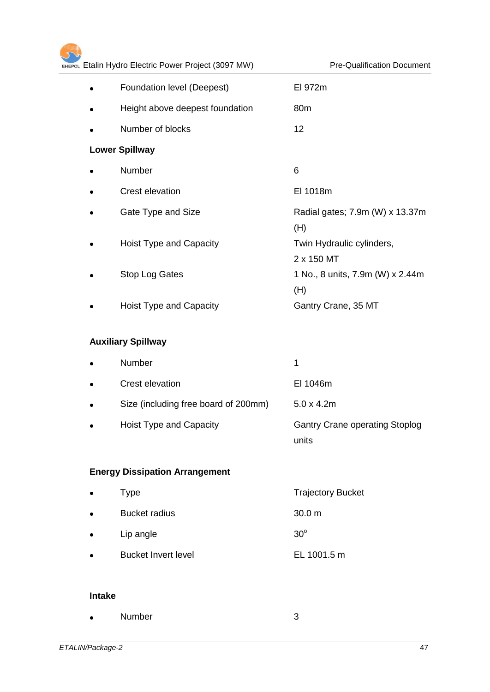|           | Foundation level (Deepest)      | EI 972m                                 |
|-----------|---------------------------------|-----------------------------------------|
| $\bullet$ | Height above deepest foundation | 80 <sub>m</sub>                         |
|           | Number of blocks                | 12                                      |
|           | <b>Lower Spillway</b>           |                                         |
|           | Number                          | 6                                       |
|           | Crest elevation                 | EI 1018m                                |
|           | Gate Type and Size              | Radial gates; 7.9m (W) x 13.37m<br>(H)  |
|           | Hoist Type and Capacity         | Twin Hydraulic cylinders,<br>2 x 150 MT |
|           | <b>Stop Log Gates</b>           | 1 No., 8 units, 7.9m (W) x 2.44m<br>(H) |
|           | Hoist Type and Capacity         | Gantry Crane, 35 MT                     |

# **Auxiliary Spillway**

| $\bullet$ | <b>Number</b>                        |                                                |
|-----------|--------------------------------------|------------------------------------------------|
| $\bullet$ | Crest elevation                      | EI 1046m                                       |
| $\bullet$ | Size (including free board of 200mm) | $5.0 \times 4.2m$                              |
| $\bullet$ | Hoist Type and Capacity              | <b>Gantry Crane operating Stoplog</b><br>units |

# **Energy Dissipation Arrangement**

| $\bullet$ | <b>Type</b>                | <b>Trajectory Bucket</b> |
|-----------|----------------------------|--------------------------|
| $\bullet$ | <b>Bucket radius</b>       | 30.0 m                   |
| $\bullet$ | Lip angle                  | $30^\circ$               |
| $\bullet$ | <b>Bucket Invert level</b> | EL 1001.5 m              |

#### **Intake**

| $\bullet$ | <b>Number</b> |  |
|-----------|---------------|--|
|           |               |  |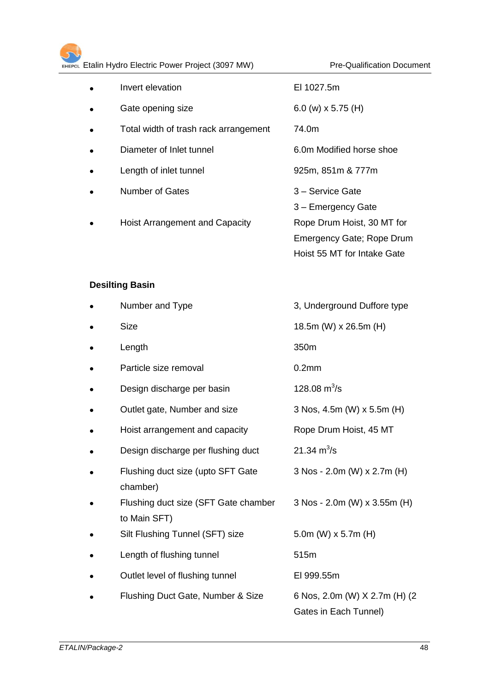| $\bullet$ | Invert elevation                      | EI 1027.5m                  |
|-----------|---------------------------------------|-----------------------------|
| $\bullet$ | Gate opening size                     | 6.0 (w) $\times$ 5.75 (H)   |
| $\bullet$ | Total width of trash rack arrangement | 74.0m                       |
| $\bullet$ | Diameter of Inlet tunnel              | 6.0m Modified horse shoe    |
| $\bullet$ | Length of inlet tunnel                | 925m, 851m & 777m           |
| $\bullet$ | <b>Number of Gates</b>                | 3 - Service Gate            |
|           |                                       | 3 - Emergency Gate          |
| $\bullet$ | Hoist Arrangement and Capacity        | Rope Drum Hoist, 30 MT for  |
|           |                                       | Emergency Gate; Rope Drum   |
|           |                                       | Hoist 55 MT for Intake Gate |

# **Desilting Basin**

| Number and Type                                      | 3, Underground Duffore type                            |
|------------------------------------------------------|--------------------------------------------------------|
| <b>Size</b>                                          | 18.5m (W) x 26.5m (H)                                  |
| Length                                               | 350m                                                   |
| Particle size removal                                | 0.2 <sub>mm</sub>                                      |
| Design discharge per basin                           | 128.08 $m^3$ /s                                        |
| Outlet gate, Number and size                         | 3 Nos, 4.5m (W) x 5.5m (H)                             |
| Hoist arrangement and capacity                       | Rope Drum Hoist, 45 MT                                 |
| Design discharge per flushing duct                   | 21.34 $m^3/s$                                          |
| Flushing duct size (upto SFT Gate<br>chamber)        | 3 Nos - 2.0m (W) x 2.7m (H)                            |
| Flushing duct size (SFT Gate chamber<br>to Main SFT) | 3 Nos - 2.0m (W) x 3.55m (H)                           |
| Silt Flushing Tunnel (SFT) size                      | 5.0m (W) $x$ 5.7m (H)                                  |
| Length of flushing tunnel                            | 515m                                                   |
| Outlet level of flushing tunnel                      | EI 999.55m                                             |
| Flushing Duct Gate, Number & Size                    | 6 Nos, 2.0m (W) X 2.7m (H) (2<br>Gates in Each Tunnel) |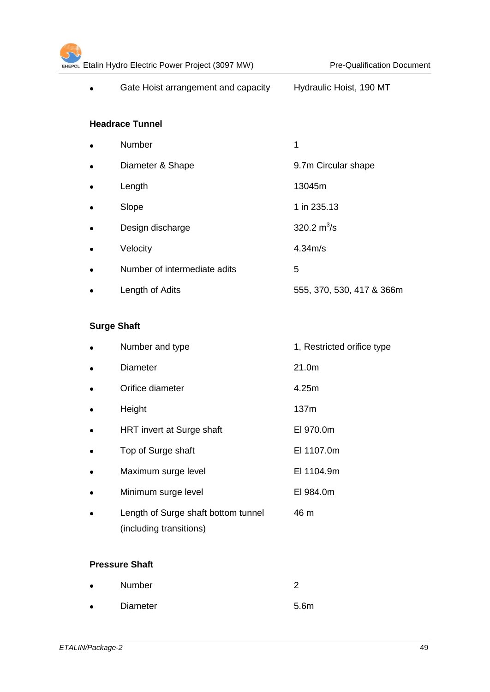| Gate Hoist arrangement and capacity | Hydraulic Hoist, 190 MT   |
|-------------------------------------|---------------------------|
| <b>Headrace Tunnel</b>              |                           |
| Number                              | 1                         |
| Diameter & Shape                    | 9.7m Circular shape       |
| Length                              | 13045m                    |
| Slope                               | 1 in 235.13               |
| Design discharge                    | 320.2 $m^3/s$             |
| Velocity                            | 4.34 <sub>m/s</sub>       |
| Number of intermediate adits        | 5                         |
| Length of Adits                     | 555, 370, 530, 417 & 366m |

# **Surge Shaft**

| Number and type                                                | 1, Restricted orifice type |
|----------------------------------------------------------------|----------------------------|
| <b>Diameter</b>                                                | 21.0m                      |
| Orifice diameter                                               | 4.25m                      |
| Height                                                         | 137m                       |
| HRT invert at Surge shaft                                      | EI 970.0m                  |
| Top of Surge shaft                                             | EI 1107.0m                 |
| Maximum surge level                                            | EI 1104.9m                 |
| Minimum surge level                                            | EI 984.0m                  |
| Length of Surge shaft bottom tunnel<br>(including transitions) | 46 m                       |

# **Pressure Shaft**

| $\bullet$ | <b>Number</b> | ◠                |
|-----------|---------------|------------------|
| $\bullet$ | Diameter      | 5.6 <sub>m</sub> |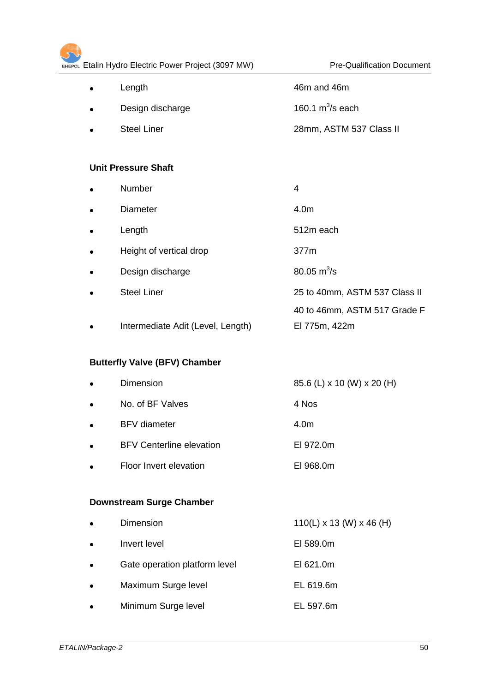| $\bullet$ | Length             | 46m and 46m             |
|-----------|--------------------|-------------------------|
| $\bullet$ | Design discharge   | 160.1 $m^3$ /s each     |
| $\bullet$ | <b>Steel Liner</b> | 28mm, ASTM 537 Class II |

# **Unit Pressure Shaft**

| $\bullet$ | <b>Number</b>                     | 4                             |
|-----------|-----------------------------------|-------------------------------|
| $\bullet$ | <b>Diameter</b>                   | 4.0m                          |
| $\bullet$ | Length                            | 512m each                     |
| $\bullet$ | Height of vertical drop           | 377m                          |
| $\bullet$ | Design discharge                  | $80.05 \text{ m}^3\text{/s}$  |
| $\bullet$ | <b>Steel Liner</b>                | 25 to 40mm, ASTM 537 Class II |
|           |                                   | 40 to 46mm, ASTM 517 Grade F  |
| $\bullet$ | Intermediate Adit (Level, Length) | El 775m, 422m                 |

# **Butterfly Valve (BFV) Chamber**

| $\bullet$ | Dimension                       | 85.6 (L) x 10 (W) x 20 (H) |
|-----------|---------------------------------|----------------------------|
| $\bullet$ | No. of BF Valves                | 4 Nos                      |
| $\bullet$ | <b>BFV</b> diameter             | 4.0m                       |
| $\bullet$ | <b>BFV Centerline elevation</b> | EI 972.0m                  |
| $\bullet$ | Floor Invert elevation          | EI 968.0m                  |
|           |                                 |                            |

# **Downstream Surge Chamber**

| $\bullet$ | Dimension                     | $110(L)$ x 13 (W) x 46 (H) |
|-----------|-------------------------------|----------------------------|
| $\bullet$ | Invert level                  | EI 589.0m                  |
| $\bullet$ | Gate operation platform level | EI 621.0m                  |
| $\bullet$ | Maximum Surge level           | EL 619.6m                  |
| $\bullet$ | Minimum Surge level           | EL 597.6m                  |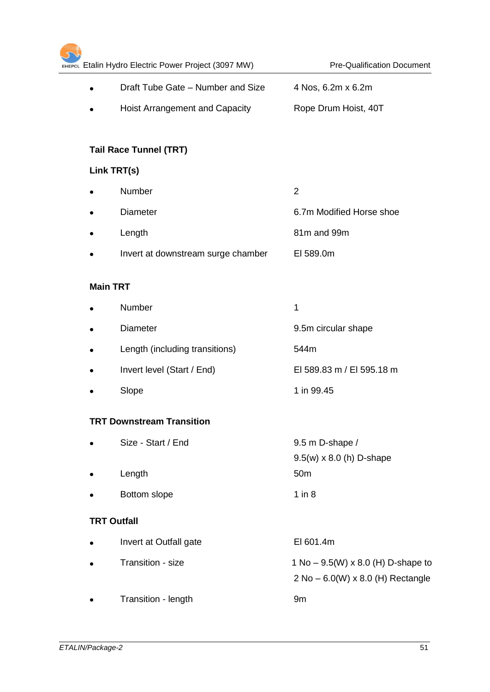|           | Link TRT(s)                        |                                           |
|-----------|------------------------------------|-------------------------------------------|
| $\bullet$ | Number                             | $\overline{2}$                            |
|           | <b>Diameter</b>                    | 6.7m Modified Horse shoe                  |
| $\bullet$ | Length                             | 81m and 99m                               |
| $\bullet$ | Invert at downstream surge chamber | EI 589.0m                                 |
|           | <b>Main TRT</b>                    |                                           |
| $\bullet$ | Number                             | 1                                         |
|           | <b>Diameter</b>                    | 9.5m circular shape                       |
|           | Length (including transitions)     | 544m                                      |
|           | Invert level (Start / End)         | EI 589.83 m / EI 595.18 m                 |
|           | Slope                              | 1 in 99.45                                |
|           | <b>TRT Downstream Transition</b>   |                                           |
|           | Size - Start / End                 | 9.5 m D-shape /                           |
|           |                                    | $9.5(w) \times 8.0$ (h) D-shape           |
|           | Length                             | 50 <sub>m</sub>                           |
|           | Bottom slope                       | $1$ in $8$                                |
|           | <b>TRT Outfall</b>                 |                                           |
| $\bullet$ | Invert at Outfall gate             | EI 601.4m                                 |
|           | Transition - size                  | 1 No – $9.5(W) \times 8.0$ (H) D-shape to |
|           |                                    | 2 No - 6.0(W) x 8.0 (H) Rectangle         |
|           | Transition - length                | 9m                                        |

• Draft Tube Gate – Number and Size 4 Nos, 6.2m x 6.2m

Hoist Arrangement and Capacity Rope Drum Hoist, 40T

# EHEPCL Etalin Hydro Electric Power Project (3097 MW) Pre-Qualification Document

5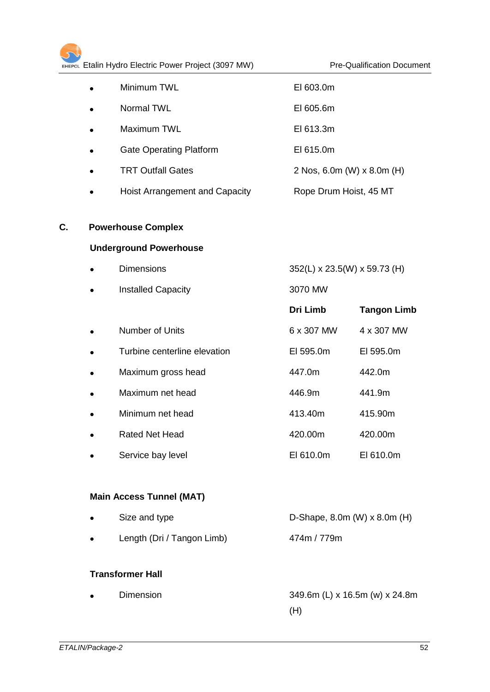| $\bullet$ | Minimum TWL                    | EI 603.0m                  |
|-----------|--------------------------------|----------------------------|
| $\bullet$ | Normal TWL                     | EI 605.6m                  |
| $\bullet$ | Maximum TWL                    | EI 613.3m                  |
| $\bullet$ | <b>Gate Operating Platform</b> | EI 615.0m                  |
|           | <b>TRT Outfall Gates</b>       | 2 Nos, 6.0m (W) x 8.0m (H) |
|           | Hoist Arrangement and Capacity | Rope Drum Hoist, 45 MT     |

# **C. Powerhouse Complex**

# **Underground Powerhouse**

| <b>Dimensions</b>            | 352(L) x 23.5(W) x 59.73 (H) |                    |
|------------------------------|------------------------------|--------------------|
| <b>Installed Capacity</b>    | 3070 MW                      |                    |
|                              | Dri Limb                     | <b>Tangon Limb</b> |
| Number of Units              | 6 x 307 MW                   | 4 x 307 MW         |
| Turbine centerline elevation | EI 595.0m                    | EI 595.0m          |
| Maximum gross head           | 447.0m                       | 442.0m             |
| Maximum net head             | 446.9m                       | 441.9m             |
| Minimum net head             | 413.40m                      | 415.90m            |
| <b>Rated Net Head</b>        | 420.00m                      | 420.00m            |
| Service bay level            | EI 610.0m                    | EI 610.0m          |

# **Main Access Tunnel (MAT)**

| $\bullet$ | Size and type              | D-Shape, $8.0m$ (W) $\times$ $8.0m$ (H) |
|-----------|----------------------------|-----------------------------------------|
| $\bullet$ | Length (Dri / Tangon Limb) | 474m / 779m                             |

# **Transformer Hall**

| $\bullet$ | Dimension | 349.6m (L) x 16.5m (w) x 24.8m |
|-----------|-----------|--------------------------------|
|           |           | (H)                            |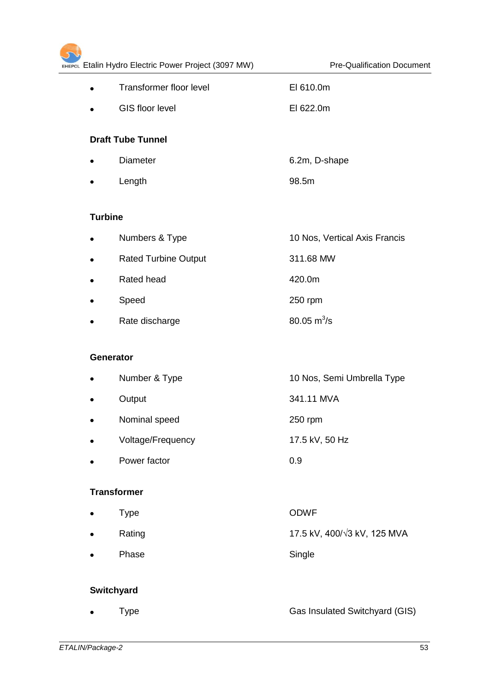| EHEPCL Etalin Hydro Electric Power Project (3097 MW) |                                | <b>Pre-Qualification Document</b> |
|------------------------------------------------------|--------------------------------|-----------------------------------|
|                                                      | <b>Transformer floor level</b> | EI 610.0m                         |
|                                                      | GIS floor level                | EI 622.0m                         |
|                                                      | <b>Draft Tube Tunnel</b>       |                                   |
| $\bullet$                                            | <b>Diameter</b>                | 6.2m, D-shape                     |
|                                                      | Length                         | 98.5m                             |
| <b>Turbine</b>                                       |                                |                                   |
| $\bullet$                                            | Numbers & Type                 | 10 Nos, Vertical Axis Francis     |
| $\bullet$                                            | <b>Rated Turbine Output</b>    | 311.68 MW                         |
|                                                      | Rated head                     | 420.0m                            |
|                                                      | Speed                          | 250 rpm                           |
|                                                      | Rate discharge                 | 80.05 $m^3$ /s                    |
|                                                      | <b>Generator</b>               |                                   |
|                                                      | Number & Type                  | 10 Nos, Semi Umbrella Type        |
|                                                      | Output                         | 341.11 MVA                        |
|                                                      | Nominal speed                  | 250 rpm                           |
|                                                      | Voltage/Frequency              | 17.5 kV, 50 Hz                    |
|                                                      | Power factor                   | 0.9                               |
|                                                      | <b>Transformer</b>             |                                   |
|                                                      | <b>Type</b>                    | <b>ODWF</b>                       |
|                                                      | Rating                         | 17.5 kV, 400/√3 kV, 125 MVA       |
|                                                      | Phase                          | Single                            |
|                                                      | <b>Switchyard</b>              |                                   |
|                                                      | Type                           | Gas Insulated Switchyard (GIS)    |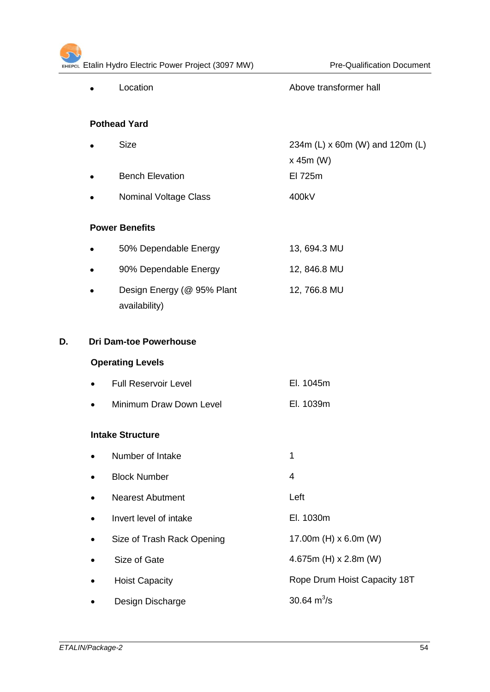# $\overline{\mathcal{L}}$ ETAL Etalin Hydro Electric Power Project (3097 MW) Pre-Qualification Document • Location **Above transformer hall**

|    | <b>Pothead Yard</b>           |                              |                                              |  |
|----|-------------------------------|------------------------------|----------------------------------------------|--|
|    | <b>Size</b><br>$\bullet$      |                              | 234m (L) x 60m (W) and 120m (L)<br>x 45m (W) |  |
|    | $\bullet$                     | <b>Bench Elevation</b>       | El 725m                                      |  |
|    |                               | <b>Nominal Voltage Class</b> | 400kV                                        |  |
|    | <b>Power Benefits</b>         |                              |                                              |  |
|    | $\bullet$                     | 50% Dependable Energy        | 13, 694.3 MU                                 |  |
|    | $\bullet$                     | 90% Dependable Energy        | 12, 846.8 MU                                 |  |
|    | $\bullet$<br>availability)    | Design Energy (@ 95% Plant   | 12, 766.8 MU                                 |  |
| D. | <b>Dri Dam-toe Powerhouse</b> |                              |                                              |  |
|    | <b>Operating Levels</b>       |                              |                                              |  |
|    |                               | <b>Full Reservoir Level</b>  | El. 1045m                                    |  |
|    |                               | Minimum Draw Down Level      | El. 1039m                                    |  |
|    | <b>Intake Structure</b>       |                              |                                              |  |
|    | Number of Intake<br>$\bullet$ |                              | 1                                            |  |
|    | <b>Block Number</b>           |                              | 4                                            |  |
|    |                               | <b>Nearest Abutment</b>      | Left                                         |  |
|    |                               | Invert level of intake       | El. 1030m                                    |  |
|    |                               | Size of Trash Rack Opening   | 17.00m (H) x 6.0m (W)                        |  |
|    | Size of Gate                  |                              | 4.675m (H) x 2.8m (W)                        |  |
|    | <b>Hoist Capacity</b>         |                              | Rope Drum Hoist Capacity 18T                 |  |
|    |                               | Design Discharge             | 30.64 $m^3/s$                                |  |
|    |                               |                              |                                              |  |
|    |                               |                              |                                              |  |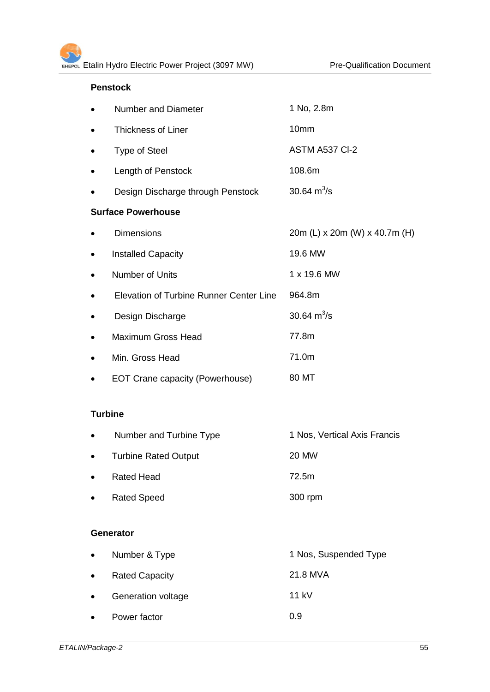# **Penstock**

|   | Number and Diameter                     | 1 No, 2.8m                    |
|---|-----------------------------------------|-------------------------------|
|   | <b>Thickness of Liner</b>               | 10mm                          |
|   | <b>Type of Steel</b>                    | ASTM A537 CI-2                |
|   | Length of Penstock                      | 108.6m                        |
|   | Design Discharge through Penstock       | 30.64 $m^3$ /s                |
|   | <b>Surface Powerhouse</b>               |                               |
|   | <b>Dimensions</b>                       | 20m (L) x 20m (W) x 40.7m (H) |
| ٠ | <b>Installed Capacity</b>               | 19.6 MW                       |
| ٠ | Number of Units                         | 1 x 19.6 MW                   |
|   | Elevation of Turbine Runner Center Line | 964.8m                        |
|   | Design Discharge                        | 30.64 $m^3/s$                 |
| ٠ | <b>Maximum Gross Head</b>               | 77.8m                         |
| ٠ | Min. Gross Head                         | 71.0m                         |
|   | <b>EOT Crane capacity (Powerhouse)</b>  | 80 MT                         |

# **Turbine**

| $\bullet$ | Number and Turbine Type     | 1 Nos, Vertical Axis Francis |
|-----------|-----------------------------|------------------------------|
| $\bullet$ | <b>Turbine Rated Output</b> | 20 MW                        |
| $\bullet$ | <b>Rated Head</b>           | 72.5m                        |
| $\bullet$ | <b>Rated Speed</b>          | 300 rpm                      |

#### **Generator**

| $\bullet$ | Number & Type             | 1 Nos, Suspended Type |
|-----------|---------------------------|-----------------------|
| $\bullet$ | <b>Rated Capacity</b>     | 21.8 MVA              |
| $\bullet$ | <b>Generation voltage</b> | 11 $kV$               |
| $\bullet$ | Power factor              | 0.9                   |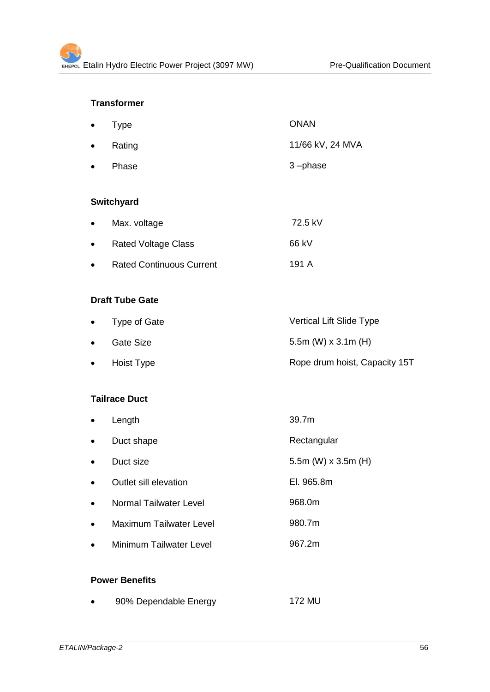# **Transformer**

| $\bullet$ Type   | <b>ONAN</b>      |
|------------------|------------------|
| $\bullet$ Rating | 11/66 kV, 24 MVA |
| • Phase          | $3$ -phase       |

# **Switchyard**

| $\bullet$ | Max. voltage                    | 72.5 kV |
|-----------|---------------------------------|---------|
| $\bullet$ | <b>Rated Voltage Class</b>      | 66 kV   |
| $\bullet$ | <b>Rated Continuous Current</b> | 191 A   |

#### **Draft Tube Gate**

| • Type of Gate | Vertical Lift Slide Type      |
|----------------|-------------------------------|
| Gate Size      | 5.5m (W) $\times$ 3.1m (H)    |
| Hoist Type     | Rope drum hoist, Capacity 15T |

# **Tailrace Duct**

| $\bullet$ | Length                  | 39.7m                 |
|-----------|-------------------------|-----------------------|
| $\bullet$ | Duct shape              | Rectangular           |
| $\bullet$ | Duct size               | 5.5m (W) $x$ 3.5m (H) |
| $\bullet$ | Outlet sill elevation   | El. 965.8m            |
| $\bullet$ | Normal Tailwater Level  | 968.0m                |
| $\bullet$ | Maximum Tailwater Level | 980.7m                |
| $\bullet$ | Minimum Tailwater Level | 967.2m                |
|           |                         |                       |

# **Power Benefits**

|  | 90% Dependable Energy | 172 MU |
|--|-----------------------|--------|
|--|-----------------------|--------|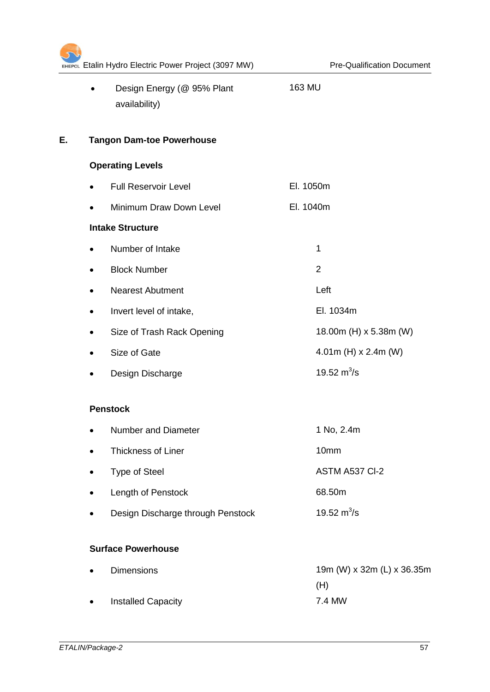|    |           | EHEPCL Etalin Hydro Electric Power Project (3097 MW) |           | <b>Pre-Qualification Document</b> |
|----|-----------|------------------------------------------------------|-----------|-----------------------------------|
|    | $\bullet$ | Design Energy (@ 95% Plant<br>availability)          | 163 MU    |                                   |
| Е. |           | <b>Tangon Dam-toe Powerhouse</b>                     |           |                                   |
|    |           | <b>Operating Levels</b>                              |           |                                   |
|    | $\bullet$ | <b>Full Reservoir Level</b>                          | El. 1050m |                                   |
|    | $\bullet$ | Minimum Draw Down Level                              | El. 1040m |                                   |
|    |           | <b>Intake Structure</b>                              |           |                                   |
|    | ٠         | Number of Intake                                     |           | 1                                 |
|    | ٠         | <b>Block Number</b>                                  |           | $\overline{2}$                    |
|    | $\bullet$ | <b>Nearest Abutment</b>                              |           | Left                              |
|    | $\bullet$ | Invert level of intake,                              |           | El. 1034m                         |
|    | ٠         | Size of Trash Rack Opening                           |           | 18.00m (H) x 5.38m (W)            |
|    |           | Size of Gate                                         |           | 4.01m (H) $x$ 2.4m (W)            |
|    |           | Design Discharge                                     |           | 19.52 $m^3$ /s                    |
|    |           | <b>Penstock</b>                                      |           |                                   |
|    |           | Number and Diameter                                  |           | 1 No, 2.4m                        |
|    |           | Thickness of Liner                                   |           | 10mm                              |
|    | ٠         | <b>Type of Steel</b>                                 |           | ASTM A537 CI-2                    |
|    | ٠         | Length of Penstock                                   |           | 68.50m                            |
|    | $\bullet$ | Design Discharge through Penstock                    |           | 19.52 $m^3$ /s                    |
|    |           | <b>Surface Powerhouse</b>                            |           |                                   |
|    |           | <b>Dimensions</b>                                    |           | 19m (W) x 32m (L) x 36.35m<br>(H) |
|    |           | <b>Installed Capacity</b>                            |           | 7.4 MW                            |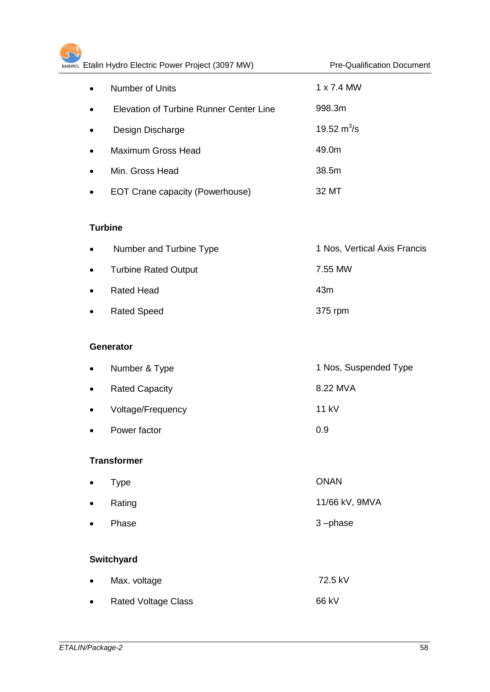|           | Number of Units                         | 1 x 7.4 MW                   |
|-----------|-----------------------------------------|------------------------------|
|           | Elevation of Turbine Runner Center Line | 998.3m                       |
|           | Design Discharge                        | 19.52 $m^3/s$                |
|           | <b>Maximum Gross Head</b>               | 49.0m                        |
|           | Min. Gross Head                         | 38.5m                        |
|           | <b>EOT Crane capacity (Powerhouse)</b>  | 32 MT                        |
|           | <b>Turbine</b>                          |                              |
|           | Number and Turbine Type                 | 1 Nos, Vertical Axis Francis |
|           | <b>Turbine Rated Output</b>             | 7.55 MW                      |
|           | <b>Rated Head</b>                       | 43m                          |
|           | <b>Rated Speed</b>                      | 375 rpm                      |
|           | Generator                               |                              |
| ٠         | Number & Type                           | 1 Nos, Suspended Type        |
| $\bullet$ | <b>Rated Capacity</b>                   | 8.22 MVA                     |
|           | Voltage/Frequency                       | 11 kV                        |
|           | Power factor                            | 0.9                          |
|           | <b>Transformer</b>                      |                              |
|           | <b>Type</b>                             | <b>ONAN</b>                  |
|           | Rating                                  | 11/66 kV, 9MVA               |
|           | Phase                                   | 3-phase                      |
|           |                                         |                              |

# **Switchyard**

| $\bullet$ | Max. voltage               | 72.5 kV |
|-----------|----------------------------|---------|
| $\bullet$ | <b>Rated Voltage Class</b> | 66 kV   |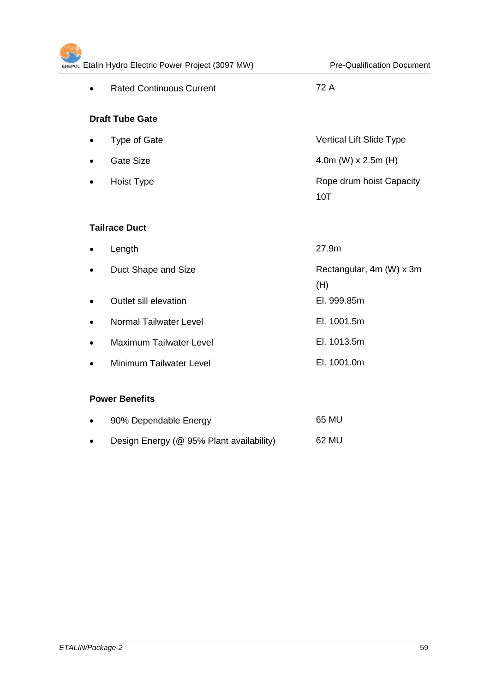| EHEPCL Etalin Hydro Electric Power Project (3097 MW) | <b>Pre-Qualification Document</b>      |
|------------------------------------------------------|----------------------------------------|
| <b>Rated Continuous Current</b><br>$\bullet$         | 72 A                                   |
| <b>Draft Tube Gate</b>                               |                                        |
| Type of Gate<br>$\bullet$                            | Vertical Lift Slide Type               |
| <b>Gate Size</b><br>$\bullet$                        | 4.0m (W) $x$ 2.5m (H)                  |
| <b>Hoist Type</b><br>$\bullet$                       | Rope drum hoist Capacity<br><b>10T</b> |
| <b>Tailrace Duct</b>                                 |                                        |
| Length                                               | 27.9m                                  |
| Duct Shape and Size<br>$\bullet$                     | Rectangular, 4m (W) x 3m<br>(H)        |
| Outlet sill elevation<br>$\bullet$                   | El. 999.85m                            |
| <b>Normal Tailwater Level</b>                        | El. 1001.5m                            |
| <b>Maximum Tailwater Level</b><br>$\bullet$          | El. 1013.5m                            |
| Minimum Tailwater Level<br>$\bullet$                 | El. 1001.0m                            |
| <b>Power Benefits</b>                                |                                        |

| $\bullet$ | 90% Dependable Energy                    | 65 MU |
|-----------|------------------------------------------|-------|
| $\bullet$ | Design Energy (@ 95% Plant availability) | 62 MU |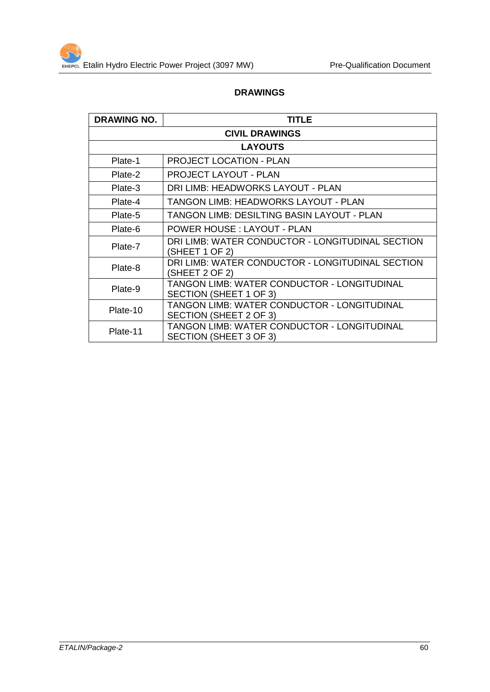#### **DRAWINGS**

| <b>DRAWING NO.</b>    | TITLE                                                                 |  |  |
|-----------------------|-----------------------------------------------------------------------|--|--|
| <b>CIVIL DRAWINGS</b> |                                                                       |  |  |
|                       | <b>LAYOUTS</b>                                                        |  |  |
| Plate-1               | <b>PROJECT LOCATION - PLAN</b>                                        |  |  |
| Plate-2               | <b>PROJECT LAYOUT - PLAN</b>                                          |  |  |
| Plate-3               | DRI LIMB: HEADWORKS LAYOUT - PLAN                                     |  |  |
| Plate-4               | TANGON LIMB: HEADWORKS LAYOUT - PLAN                                  |  |  |
| Plate-5               | TANGON LIMB: DESILTING BASIN LAYOUT - PLAN                            |  |  |
| Plate-6               | <b>POWER HOUSE: LAYOUT - PLAN</b>                                     |  |  |
| Plate-7               | DRI LIMB: WATER CONDUCTOR - LONGITUDINAL SECTION<br>(SHEET 1 OF 2)    |  |  |
| Plate-8               | DRI LIMB: WATER CONDUCTOR - LONGITUDINAL SECTION<br>SHEET 2 OF 2)     |  |  |
| Plate-9               | TANGON LIMB: WATER CONDUCTOR - LONGITUDINAL<br>SECTION (SHEET 1 OF 3) |  |  |
| Plate-10              | TANGON LIMB: WATER CONDUCTOR - LONGITUDINAL<br>SECTION (SHEET 2 OF 3) |  |  |
| Plate-11              | TANGON LIMB: WATER CONDUCTOR - LONGITUDINAL<br>SECTION (SHEET 3 OF 3) |  |  |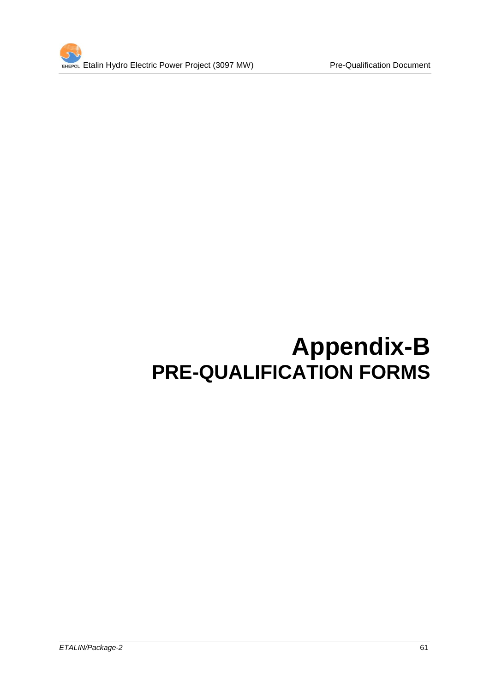

# **Appendix-B PRE-QUALIFICATION FORMS**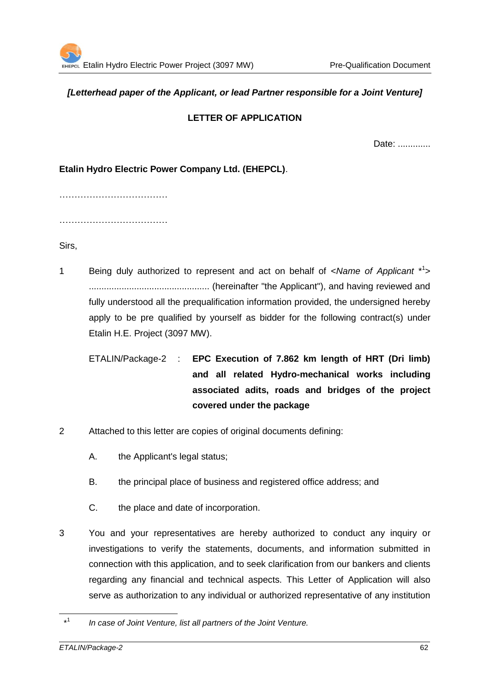#### *[Letterhead paper of the Applicant, or lead Partner responsible for a Joint Venture]*

# **LETTER OF APPLICATION**

Date: .............

**Etalin Hydro Electric Power Company Ltd. (EHEPCL)**.

………………………………

………………………………

Sirs,

- 1 Being duly authorized to represent and act on behalf of <*Name of Applicant* \* 1 > ................................................ (hereinafter "the Applicant"), and having reviewed and fully understood all the prequalification information provided, the undersigned hereby apply to be pre qualified by yourself as bidder for the following contract(s) under Etalin H.E. Project (3097 MW).
	- ETALIN/Package-2 : **EPC Execution of 7.862 km length of HRT (Dri limb) and all related Hydro-mechanical works including associated adits, roads and bridges of the project covered under the package**
- 2 Attached to this letter are copies of original documents defining:
	- A. the Applicant's legal status;
	- B. the principal place of business and registered office address; and
	- C. the place and date of incorporation.
- 3 You and your representatives are hereby authorized to conduct any inquiry or investigations to verify the statements, documents, and information submitted in connection with this application, and to seek clarification from our bankers and clients regarding any financial and technical aspects. This Letter of Application will also serve as authorization to any individual or authorized representative of any institution

<sup>1</sup>  $*1$ *In case of Joint Venture, list all partners of the Joint Venture.*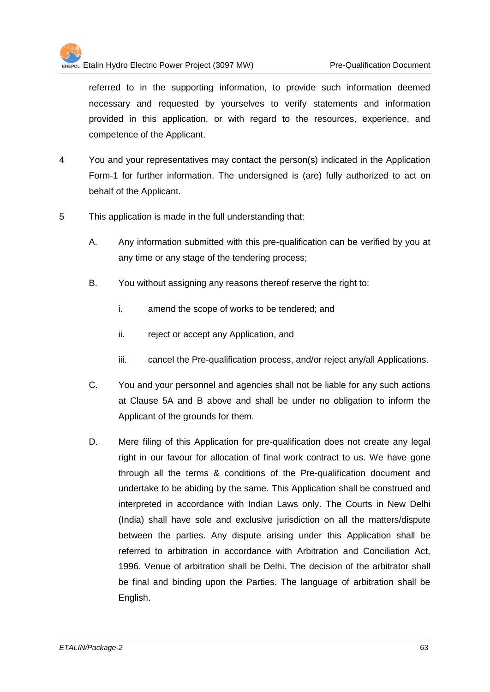

referred to in the supporting information, to provide such information deemed necessary and requested by yourselves to verify statements and information provided in this application, or with regard to the resources, experience, and competence of the Applicant.

- 4 You and your representatives may contact the person(s) indicated in the Application Form-1 for further information. The undersigned is (are) fully authorized to act on behalf of the Applicant.
- 5 This application is made in the full understanding that:
	- A. Any information submitted with this pre-qualification can be verified by you at any time or any stage of the tendering process;
	- B. You without assigning any reasons thereof reserve the right to:
		- i. amend the scope of works to be tendered; and
		- ii. reject or accept any Application, and
		- iii. cancel the Pre-qualification process, and/or reject any/all Applications.
	- C. You and your personnel and agencies shall not be liable for any such actions at Clause 5A and B above and shall be under no obligation to inform the Applicant of the grounds for them.
	- D. Mere filing of this Application for pre-qualification does not create any legal right in our favour for allocation of final work contract to us. We have gone through all the terms & conditions of the Pre-qualification document and undertake to be abiding by the same. This Application shall be construed and interpreted in accordance with Indian Laws only. The Courts in New Delhi (India) shall have sole and exclusive jurisdiction on all the matters/dispute between the parties. Any dispute arising under this Application shall be referred to arbitration in accordance with Arbitration and Conciliation Act, 1996. Venue of arbitration shall be Delhi. The decision of the arbitrator shall be final and binding upon the Parties. The language of arbitration shall be English.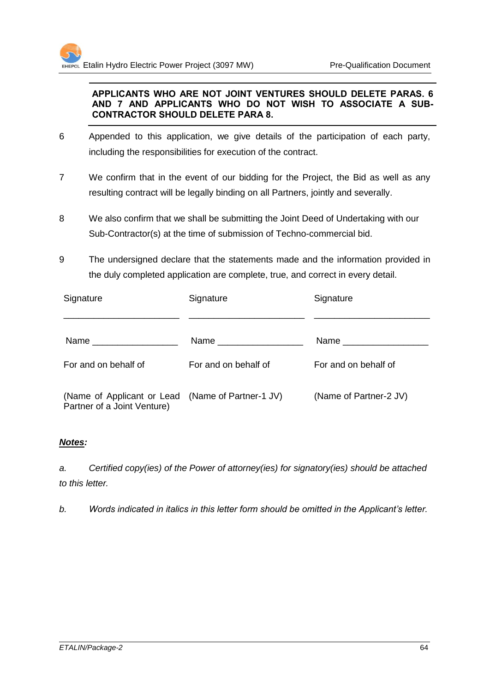#### **APPLICANTS WHO ARE NOT JOINT VENTURES SHOULD DELETE PARAS. 6 AND 7 AND APPLICANTS WHO DO NOT WISH TO ASSOCIATE A SUB-CONTRACTOR SHOULD DELETE PARA 8.**

- 6 Appended to this application, we give details of the participation of each party, including the responsibilities for execution of the contract.
- 7 We confirm that in the event of our bidding for the Project, the Bid as well as any resulting contract will be legally binding on all Partners, jointly and severally.
- 8 We also confirm that we shall be submitting the Joint Deed of Undertaking with our Sub-Contractor(s) at the time of submission of Techno-commercial bid.
- 9 The undersigned declare that the statements made and the information provided in the duly completed application are complete, true, and correct in every detail.

| Signature                                                                        | Signature            | Signature              |
|----------------------------------------------------------------------------------|----------------------|------------------------|
|                                                                                  |                      | Name ___________       |
| For and on behalf of                                                             | For and on behalf of | For and on behalf of   |
| (Name of Applicant or Lead (Name of Partner-1 JV)<br>Partner of a Joint Venture) |                      | (Name of Partner-2 JV) |

# *Notes:*

*a. Certified copy(ies) of the Power of attorney(ies) for signatory(ies) should be attached to this letter.*

*b. Words indicated in italics in this letter form should be omitted in the Applicant's letter.*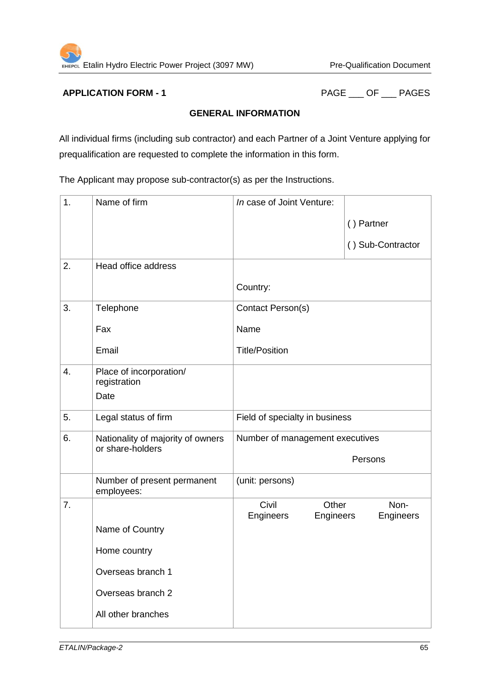**APPLICATION FORM - 1** PAGE \_\_\_ OF \_\_\_ PAGES

# **GENERAL INFORMATION**

All individual firms (including sub contractor) and each Partner of a Joint Venture applying for prequalification are requested to complete the information in this form.

The Applicant may propose sub-contractor(s) as per the Instructions.

| 1.               | Name of firm                                          | In case of Joint Venture:                  |                   |  |
|------------------|-------------------------------------------------------|--------------------------------------------|-------------------|--|
|                  |                                                       |                                            | () Partner        |  |
|                  |                                                       |                                            | () Sub-Contractor |  |
| 2.               | Head office address                                   |                                            |                   |  |
|                  |                                                       | Country:                                   |                   |  |
| 3.               | Telephone                                             | Contact Person(s)                          |                   |  |
|                  | Fax                                                   | Name                                       |                   |  |
|                  | Email                                                 | <b>Title/Position</b>                      |                   |  |
| $\overline{4}$ . | Place of incorporation/<br>registration               |                                            |                   |  |
|                  | Date                                                  |                                            |                   |  |
| 5.               | Legal status of firm                                  | Field of specialty in business             |                   |  |
| 6.               | Nationality of majority of owners<br>or share-holders | Number of management executives<br>Persons |                   |  |
|                  |                                                       |                                            |                   |  |
|                  | Number of present permanent<br>employees:             | (unit: persons)                            |                   |  |
| 7.               |                                                       | Civil<br>Other<br>Engineers<br>Engineers   | Non-<br>Engineers |  |
|                  | Name of Country                                       |                                            |                   |  |
|                  | Home country                                          |                                            |                   |  |
|                  | Overseas branch 1                                     |                                            |                   |  |
|                  | Overseas branch 2                                     |                                            |                   |  |
|                  | All other branches                                    |                                            |                   |  |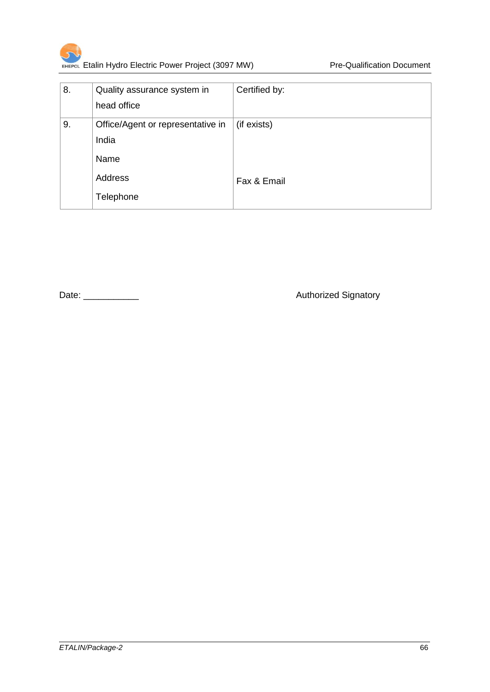

| 8. | Quality assurance system in<br>head office | Certified by: |
|----|--------------------------------------------|---------------|
| 9. | Office/Agent or representative in<br>India | (if exists)   |
|    | Name                                       |               |
|    | Address                                    | Fax & Email   |
|    | Telephone                                  |               |

Date: \_\_\_\_\_\_\_\_\_\_\_ Authorized Signatory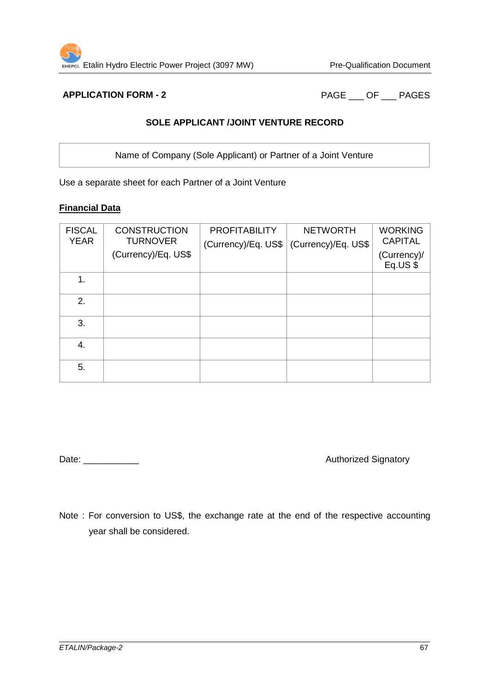**APPLICATION FORM - 2** PAGE \_\_\_ OF \_\_\_ PAGES

# **SOLE APPLICANT /JOINT VENTURE RECORD**

Name of Company (Sole Applicant) or Partner of a Joint Venture

Use a separate sheet for each Partner of a Joint Venture

# **Financial Data**

| <b>FISCAL</b><br><b>YEAR</b> | <b>CONSTRUCTION</b><br><b>TURNOVER</b><br>(Currency)/Eq. US\$ | <b>PROFITABILITY</b><br>(Currency)/Eq. $US$$ | <b>NETWORTH</b><br>(Currency)/Eq. US\$ | <b>WORKING</b><br><b>CAPITAL</b><br>(Currency)/<br>Eq.US\$ |
|------------------------------|---------------------------------------------------------------|----------------------------------------------|----------------------------------------|------------------------------------------------------------|
| 1.                           |                                                               |                                              |                                        |                                                            |
| 2.                           |                                                               |                                              |                                        |                                                            |
| 3.                           |                                                               |                                              |                                        |                                                            |
| 4.                           |                                                               |                                              |                                        |                                                            |
| 5.                           |                                                               |                                              |                                        |                                                            |

Date: \_\_\_\_\_\_\_\_\_\_\_ Authorized Signatory

Note : For conversion to US\$, the exchange rate at the end of the respective accounting year shall be considered.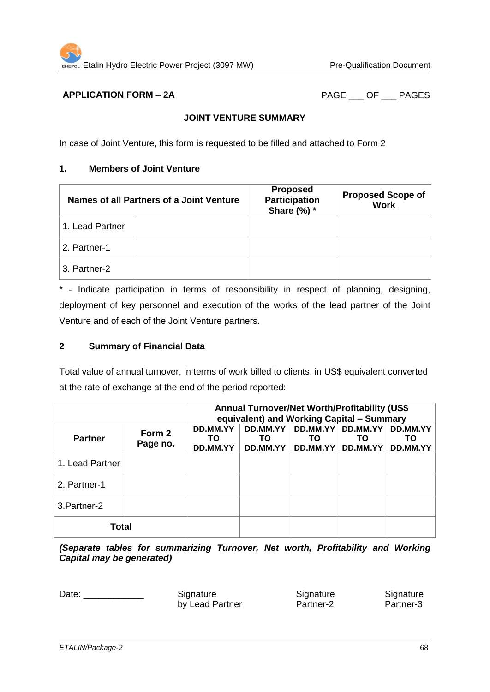# **APPLICATION FORM – 2A** PAGE OF PAGES

# **JOINT VENTURE SUMMARY**

In case of Joint Venture, this form is requested to be filled and attached to Form 2

#### **1. Members of Joint Venture**

| Names of all Partners of a Joint Venture |  | <b>Proposed</b><br><b>Participation</b><br>Share $(\%)$ * | <b>Proposed Scope of</b><br><b>Work</b> |
|------------------------------------------|--|-----------------------------------------------------------|-----------------------------------------|
| 1. Lead Partner                          |  |                                                           |                                         |
| 2. Partner-1                             |  |                                                           |                                         |
| 3. Partner-2                             |  |                                                           |                                         |

\* - Indicate participation in terms of responsibility in respect of planning, designing, deployment of key personnel and execution of the works of the lead partner of the Joint Venture and of each of the Joint Venture partners.

# **2 Summary of Financial Data**

Total value of annual turnover, in terms of work billed to clients, in US\$ equivalent converted at the rate of exchange at the end of the period reported:

|                 |                    | Annual Turnover/Net Worth/Profitability (US\$<br>equivalent) and Working Capital - Summary |                            |                            |                            |                            |
|-----------------|--------------------|--------------------------------------------------------------------------------------------|----------------------------|----------------------------|----------------------------|----------------------------|
| <b>Partner</b>  | Form 2<br>Page no. | DD.MM.YY<br>ТΟ<br>DD.MM.YY                                                                 | DD.MM.YY<br>ΤO<br>DD.MM.YY | DD.MM.YY<br>ТΟ<br>DD.MM.YY | DD.MM.YY<br>ΤО<br>DD.MM.YY | DD.MM.YY<br>ΤО<br>DD.MM.YY |
| 1. Lead Partner |                    |                                                                                            |                            |                            |                            |                            |
| 2. Partner-1    |                    |                                                                                            |                            |                            |                            |                            |
| 3. Partner-2    |                    |                                                                                            |                            |                            |                            |                            |
| <b>Total</b>    |                    |                                                                                            |                            |                            |                            |                            |

*(Separate tables for summarizing Turnover, Net worth, Profitability and Working Capital may be generated)*

Date: \_\_\_\_\_\_\_\_\_\_\_\_\_\_\_\_ Signature Signature Signature Signature

by Lead Partner **Partner-2** Partner-3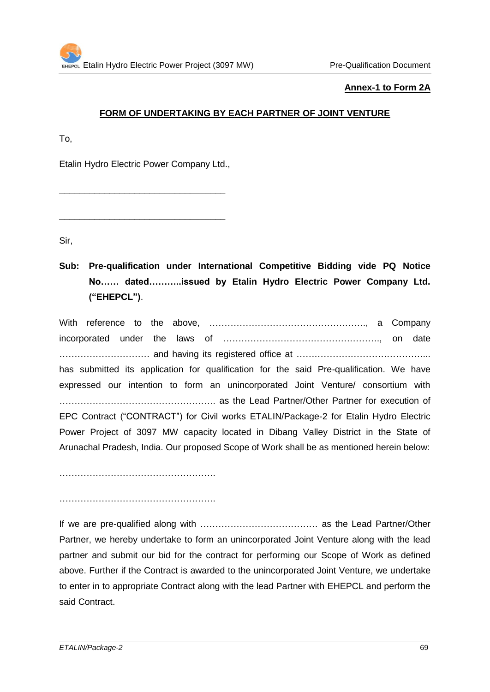#### **Annex-1 to Form 2A**

# **FORM OF UNDERTAKING BY EACH PARTNER OF JOINT VENTURE**

To,

Etalin Hydro Electric Power Company Ltd.,

\_\_\_\_\_\_\_\_\_\_\_\_\_\_\_\_\_\_\_\_\_\_\_\_\_\_\_\_\_\_\_\_\_

\_\_\_\_\_\_\_\_\_\_\_\_\_\_\_\_\_\_\_\_\_\_\_\_\_\_\_\_\_\_\_\_\_

Sir,

**Sub: Pre-qualification under International Competitive Bidding vide PQ Notice No…… dated………..issued by Etalin Hydro Electric Power Company Ltd. ("EHEPCL")**.

With reference to the above, ……………………………………………., a Company incorporated under the laws of ……………………………………………., on date ………………………… and having its registered office at ……………………………………... has submitted its application for qualification for the said Pre-qualification. We have expressed our intention to form an unincorporated Joint Venture/ consortium with ……………………………………………. as the Lead Partner/Other Partner for execution of EPC Contract ("CONTRACT") for Civil works ETALIN/Package-2 for Etalin Hydro Electric Power Project of 3097 MW capacity located in Dibang Valley District in the State of Arunachal Pradesh, India. Our proposed Scope of Work shall be as mentioned herein below:

…………………………………………….

…………………………………………….

If we are pre-qualified along with ………………………………… as the Lead Partner/Other Partner, we hereby undertake to form an unincorporated Joint Venture along with the lead partner and submit our bid for the contract for performing our Scope of Work as defined above. Further if the Contract is awarded to the unincorporated Joint Venture, we undertake to enter in to appropriate Contract along with the lead Partner with EHEPCL and perform the said Contract.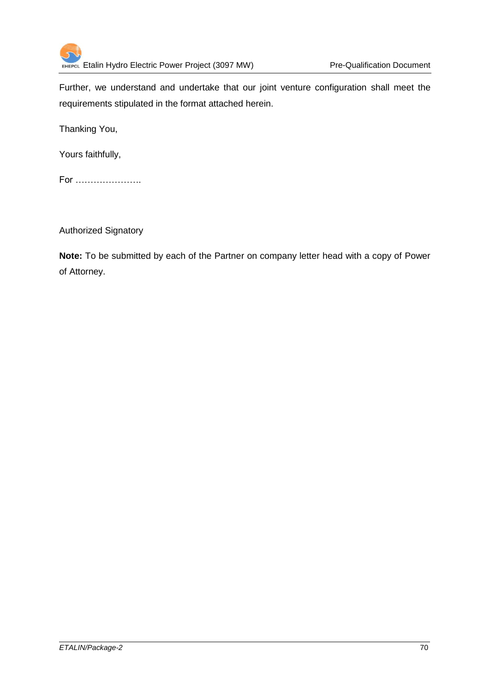

Further, we understand and undertake that our joint venture configuration shall meet the requirements stipulated in the format attached herein.

Thanking You,

Yours faithfully,

For ………………….

Authorized Signatory

**Note:** To be submitted by each of the Partner on company letter head with a copy of Power of Attorney.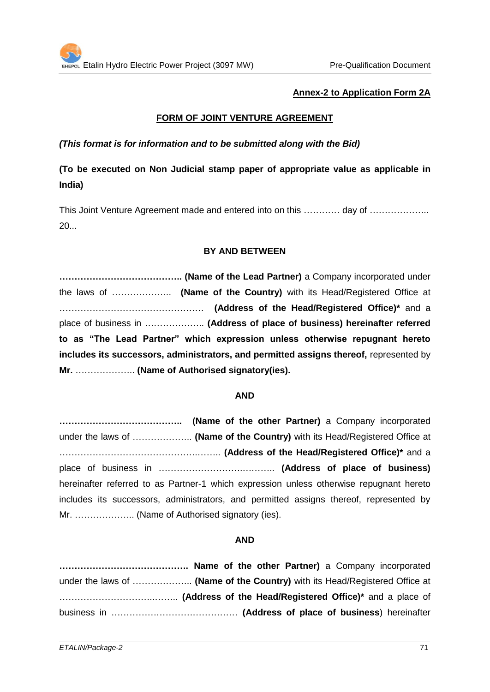# **Annex-2 to Application Form 2A**

# **FORM OF JOINT VENTURE AGREEMENT**

#### *(This format is for information and to be submitted along with the Bid)*

# **(To be executed on Non Judicial stamp paper of appropriate value as applicable in India)**

This Joint Venture Agreement made and entered into on this ………… day of ……………….. 20...

#### **BY AND BETWEEN**

**………………………………….. (Name of the Lead Partner)** a Company incorporated under the laws of ……………….. **(Name of the Country)** with its Head/Registered Office at ………………………………………… **(Address of the Head/Registered Office)\*** and a place of business in ……………….. **(Address of place of business) hereinafter referred to as "The Lead Partner" which expression unless otherwise repugnant hereto includes its successors, administrators, and permitted assigns thereof,** represented by **Mr.** ……………….. **(Name of Authorised signatory(ies).**

#### **AND**

**………………………………….. (Name of the other Partner)** a Company incorporated under the laws of ……………….. **(Name of the Country)** with its Head/Registered Office at ……………………………………….…….. **(Address of the Head/Registered Office)\*** and a place of business in ……………………….……….. **(Address of place of business)** hereinafter referred to as Partner-1 which expression unless otherwise repugnant hereto includes its successors, administrators, and permitted assigns thereof, represented by Mr. ……………….. (Name of Authorised signatory (ies).

#### **AND**

**……………………………………. Name of the other Partner)** a Company incorporated under the laws of ……………….. **(Name of the Country)** with its Head/Registered Office at …………………………..…….. **(Address of the Head/Registered Office)\*** and a place of business in …………………………………… **(Address of place of business**) hereinafter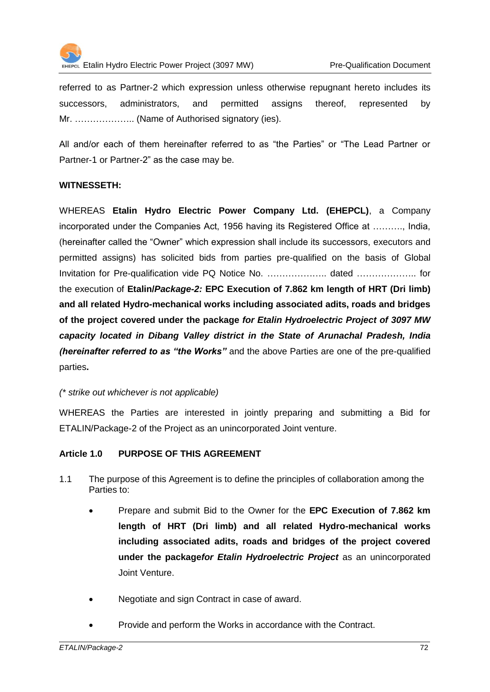

referred to as Partner-2 which expression unless otherwise repugnant hereto includes its successors, administrators, and permitted assigns thereof, represented by Mr. ……………….. (Name of Authorised signatory (ies).

All and/or each of them hereinafter referred to as "the Parties" or "The Lead Partner or Partner-1 or Partner-2" as the case may be.

### **WITNESSETH:**

WHEREAS **Etalin Hydro Electric Power Company Ltd. (EHEPCL)**, a Company incorporated under the Companies Act, 1956 having its Registered Office at ………., India, (hereinafter called the "Owner" which expression shall include its successors, executors and permitted assigns) has solicited bids from parties pre-qualified on the basis of Global Invitation for Pre-qualification vide PQ Notice No. ……………….. dated ……………….. for the execution of **Etalin/***Package-2:* **EPC Execution of 7.862 km length of HRT (Dri limb) and all related Hydro-mechanical works including associated adits, roads and bridges of the project covered under the package** *for Etalin Hydroelectric Project of 3097 MW capacity located in Dibang Valley district in the State of Arunachal Pradesh, India (hereinafter referred to as "the Works"* and the above Parties are one of the pre-qualified parties**.** 

## *(\* strike out whichever is not applicable)*

WHEREAS the Parties are interested in jointly preparing and submitting a Bid for ETALIN/Package-2 of the Project as an unincorporated Joint venture.

## **Article 1.0 PURPOSE OF THIS AGREEMENT**

- 1.1 The purpose of this Agreement is to define the principles of collaboration among the Parties to:
	- Prepare and submit Bid to the Owner for the **EPC Execution of 7.862 km length of HRT (Dri limb) and all related Hydro-mechanical works including associated adits, roads and bridges of the project covered under the package***for Etalin Hydroelectric Project* as an unincorporated Joint Venture.
	- Negotiate and sign Contract in case of award.
	- Provide and perform the Works in accordance with the Contract.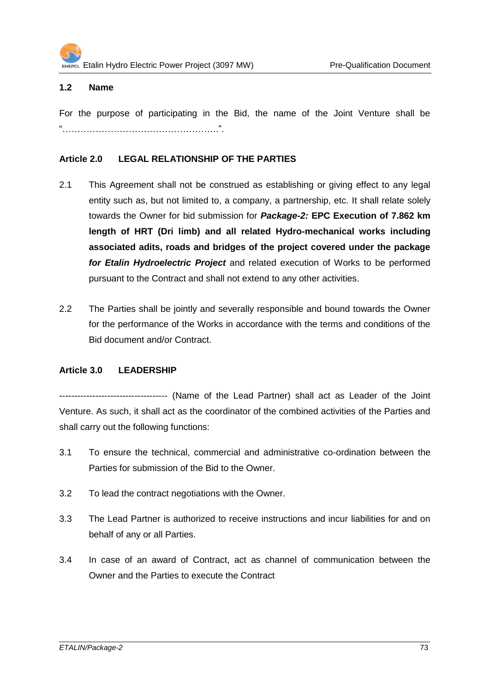## **1.2 Name**

For the purpose of participating in the Bid, the name of the Joint Venture shall be "…………………………………………….".

## **Article 2.0 LEGAL RELATIONSHIP OF THE PARTIES**

- 2.1 This Agreement shall not be construed as establishing or giving effect to any legal entity such as, but not limited to, a company, a partnership, etc. It shall relate solely towards the Owner for bid submission for *Package-2:* **EPC Execution of 7.862 km length of HRT (Dri limb) and all related Hydro-mechanical works including associated adits, roads and bridges of the project covered under the package** *for Etalin Hydroelectric Project* and related execution of Works to be performed pursuant to the Contract and shall not extend to any other activities.
- 2.2 The Parties shall be jointly and severally responsible and bound towards the Owner for the performance of the Works in accordance with the terms and conditions of the Bid document and/or Contract.

## **Article 3.0 LEADERSHIP**

------------------------------------ (Name of the Lead Partner) shall act as Leader of the Joint Venture. As such, it shall act as the coordinator of the combined activities of the Parties and shall carry out the following functions:

- 3.1 To ensure the technical, commercial and administrative co-ordination between the Parties for submission of the Bid to the Owner.
- 3.2 To lead the contract negotiations with the Owner.
- 3.3 The Lead Partner is authorized to receive instructions and incur liabilities for and on behalf of any or all Parties.
- 3.4 In case of an award of Contract, act as channel of communication between the Owner and the Parties to execute the Contract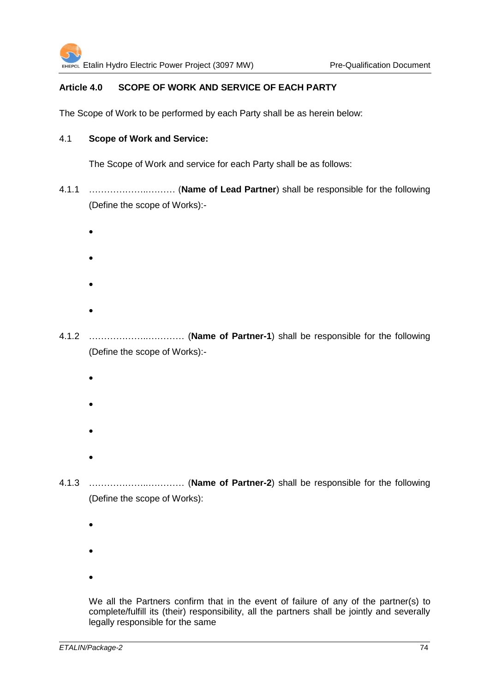## **Article 4.0 SCOPE OF WORK AND SERVICE OF EACH PARTY**

The Scope of Work to be performed by each Party shall be as herein below:

### 4.1 **Scope of Work and Service:**

The Scope of Work and service for each Party shall be as follows:

- 4.1.1 ………………..……… (**Name of Lead Partner**) shall be responsible for the following (Define the scope of Works):-
	- $\bullet$
	- $\bullet$
	-
	- $\bullet$
	- $\bullet$

4.1.2 ………………..………… (**Name of Partner-1**) shall be responsible for the following (Define the scope of Works):-

- $\bullet$
- $\bullet$
- 
- $\bullet$
- $\bullet$

4.1.3 ………………..………… (**Name of Partner-2**) shall be responsible for the following (Define the scope of Works):

- $\bullet$
- $\bullet$
- 
- $\bullet$

We all the Partners confirm that in the event of failure of any of the partner(s) to complete/fulfill its (their) responsibility, all the partners shall be jointly and severally legally responsible for the same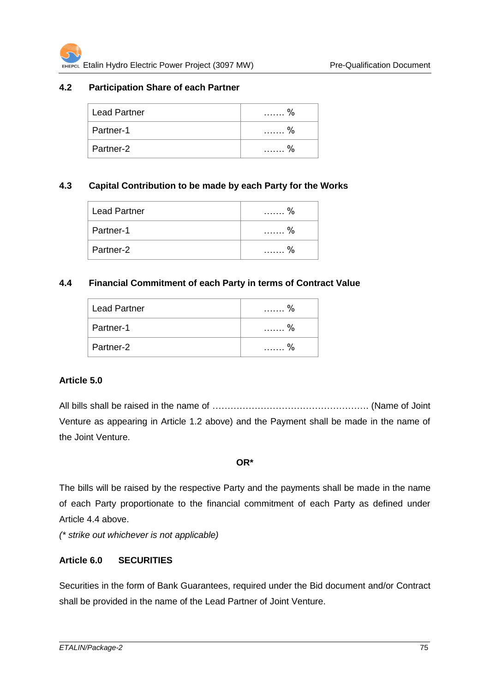## **4.2 Participation Share of each Partner**

| $\frac{0}{6}$ |
|---------------|
|               |
| 0/2           |
|               |

## **4.3 Capital Contribution to be made by each Party for the Works**

| <b>Lead Partner</b> | $\frac{0}{6}$ |
|---------------------|---------------|
| Partner-1           | $\frac{0}{6}$ |
| Partner-2           |               |

### **4.4 Financial Commitment of each Party in terms of Contract Value**

| <b>Lead Partner</b> | $\frac{0}{6}$      |
|---------------------|--------------------|
| Partner-1           | $\frac{0}{6}$<br>. |
| Partner-2           | 0/<br>.            |

#### **Article 5.0**

All bills shall be raised in the name of ……………………………………………. (Name of Joint Venture as appearing in Article 1.2 above) and the Payment shall be made in the name of the Joint Venture.

#### **OR\***

The bills will be raised by the respective Party and the payments shall be made in the name of each Party proportionate to the financial commitment of each Party as defined under Article 4.4 above.

*(\* strike out whichever is not applicable)*

## **Article 6.0 SECURITIES**

Securities in the form of Bank Guarantees, required under the Bid document and/or Contract shall be provided in the name of the Lead Partner of Joint Venture.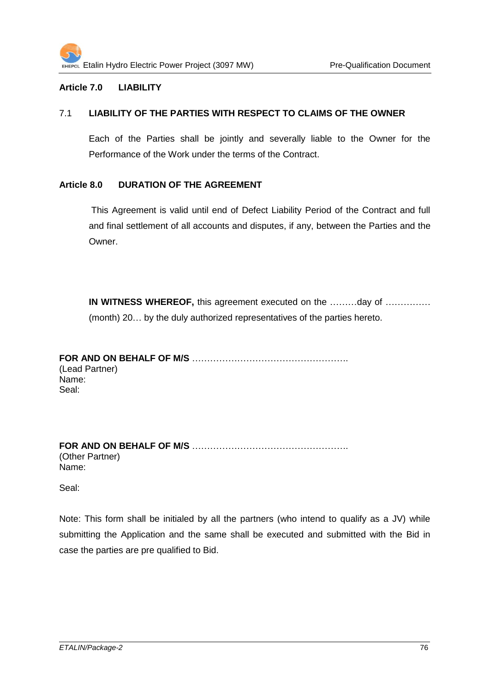### **Article 7.0 LIABILITY**

#### 7.1 **LIABILITY OF THE PARTIES WITH RESPECT TO CLAIMS OF THE OWNER**

Each of the Parties shall be jointly and severally liable to the Owner for the Performance of the Work under the terms of the Contract.

### **Article 8.0 DURATION OF THE AGREEMENT**

This Agreement is valid until end of Defect Liability Period of the Contract and full and final settlement of all accounts and disputes, if any, between the Parties and the Owner.

**IN WITNESS WHEREOF,** this agreement executed on the ………day of …………… (month) 20… by the duly authorized representatives of the parties hereto.

**FOR AND ON BEHALF OF M/S** ……………………………………………. (Lead Partner) Name: Seal:

**FOR AND ON BEHALF OF M/S** ……………………………………………. (Other Partner) Name:

Seal:

Note: This form shall be initialed by all the partners (who intend to qualify as a JV) while submitting the Application and the same shall be executed and submitted with the Bid in case the parties are pre qualified to Bid.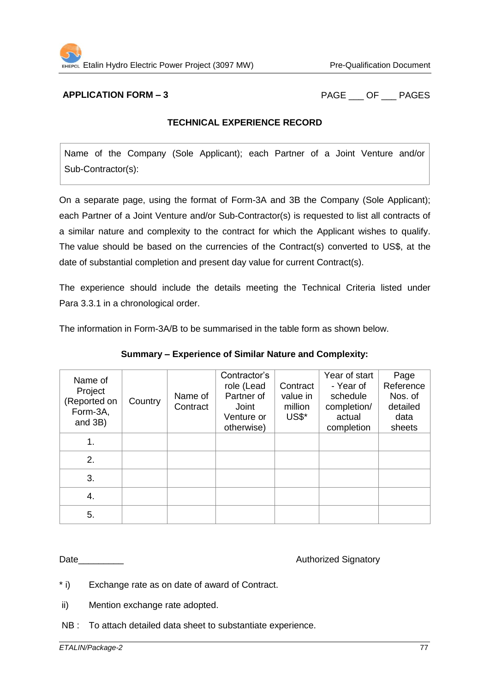**APPLICATION FORM – 3** PAGE OF PAGES

### **TECHNICAL EXPERIENCE RECORD**

Name of the Company (Sole Applicant); each Partner of a Joint Venture and/or Sub-Contractor(s):

On a separate page, using the format of Form-3A and 3B the Company (Sole Applicant); each Partner of a Joint Venture and/or Sub-Contractor(s) is requested to list all contracts of a similar nature and complexity to the contract for which the Applicant wishes to qualify. The value should be based on the currencies of the Contract(s) converted to US\$, at the date of substantial completion and present day value for current Contract(s).

The experience should include the details meeting the Technical Criteria listed under Para 3.3.1 in a chronological order.

The information in Form-3A/B to be summarised in the table form as shown below.

| Name of<br>Project<br>(Reported on<br>Form-3A,<br>and 3B) | Country | Name of<br>Contract | Contractor's<br>role (Lead<br>Partner of<br>Joint<br>Venture or<br>otherwise) | Contract<br>value in<br>million<br>US\$* | Year of start<br>- Year of<br>schedule<br>completion/<br>actual<br>completion | Page<br>Reference<br>Nos. of<br>detailed<br>data<br>sheets |
|-----------------------------------------------------------|---------|---------------------|-------------------------------------------------------------------------------|------------------------------------------|-------------------------------------------------------------------------------|------------------------------------------------------------|
| 1.                                                        |         |                     |                                                                               |                                          |                                                                               |                                                            |
| 2.                                                        |         |                     |                                                                               |                                          |                                                                               |                                                            |
| 3.                                                        |         |                     |                                                                               |                                          |                                                                               |                                                            |
| 4.                                                        |         |                     |                                                                               |                                          |                                                                               |                                                            |
| 5.                                                        |         |                     |                                                                               |                                          |                                                                               |                                                            |

**Summary – Experience of Similar Nature and Complexity:**

Date

\* i) Exchange rate as on date of award of Contract.

ii) Mention exchange rate adopted.

NB : To attach detailed data sheet to substantiate experience.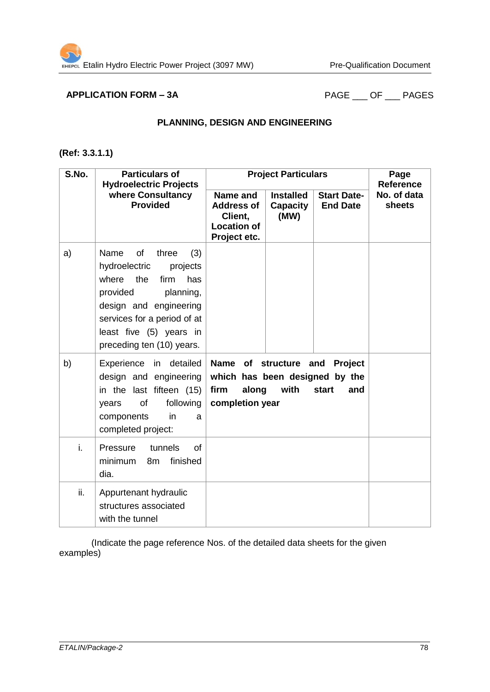# **APPLICATION FORM – 3A** PAGE \_\_\_ OF \_\_\_ PAGES

#### **PLANNING, DESIGN AND ENGINEERING**

## **(Ref: 3.3.1.1)**

| S.No. | <b>Particulars of</b><br><b>Hydroelectric Projects</b>                                                                                                                                                                           |                                                                                                     | <b>Project Particulars</b>                  |                                       | Page<br><b>Reference</b> |
|-------|----------------------------------------------------------------------------------------------------------------------------------------------------------------------------------------------------------------------------------|-----------------------------------------------------------------------------------------------------|---------------------------------------------|---------------------------------------|--------------------------|
|       | where Consultancy<br><b>Provided</b>                                                                                                                                                                                             | Name and<br><b>Address of</b><br>Client,<br><b>Location of</b><br>Project etc.                      | <b>Installed</b><br><b>Capacity</b><br>(MW) | <b>Start Date-</b><br><b>End Date</b> | No. of data<br>sheets    |
| a)    | of<br>Name<br>three<br>(3)<br>hydroelectric<br>projects<br>where<br>the<br>firm<br>has<br>provided<br>planning,<br>design and engineering<br>services for a period of at<br>least five (5) years in<br>preceding ten (10) years. |                                                                                                     |                                             |                                       |                          |
| b)    | Experience in detailed<br>design and engineering<br>in the last fifteen (15)<br>following<br>of<br>years<br>components<br>in<br>a<br>completed project:                                                                          | Name of structure and Project<br>which has been designed by the<br>firm<br>along<br>completion year | with                                        | start<br>and                          |                          |
| i.    | Pressure<br>tunnels<br><b>of</b><br>minimum<br>finished<br>8m<br>dia.                                                                                                                                                            |                                                                                                     |                                             |                                       |                          |
| ii.   | Appurtenant hydraulic<br>structures associated<br>with the tunnel                                                                                                                                                                |                                                                                                     |                                             |                                       |                          |

(Indicate the page reference Nos. of the detailed data sheets for the given examples)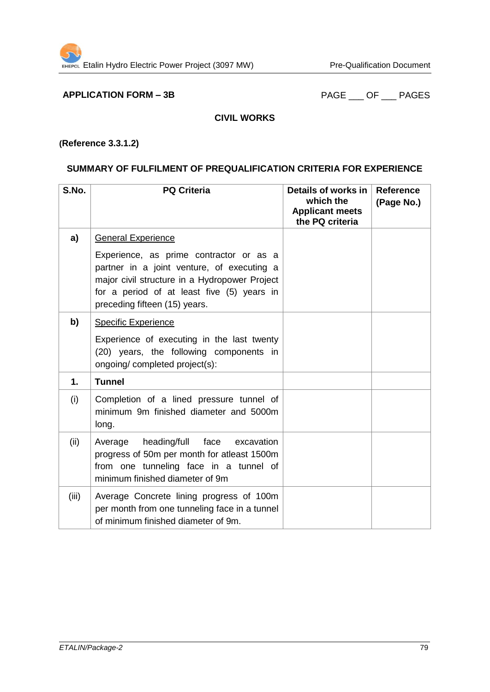**APPLICATION FORM – 3B** PAGE \_\_\_ OF \_\_\_ PAGES

### **CIVIL WORKS**

## **(Reference 3.3.1.2)**

## **SUMMARY OF FULFILMENT OF PREQUALIFICATION CRITERIA FOR EXPERIENCE**

| S.No.         | <b>PQ Criteria</b>                                                                                                                                                                                                    | Details of works in<br>which the<br><b>Applicant meets</b><br>the PQ criteria | <b>Reference</b><br>(Page No.) |
|---------------|-----------------------------------------------------------------------------------------------------------------------------------------------------------------------------------------------------------------------|-------------------------------------------------------------------------------|--------------------------------|
| a)            | <b>General Experience</b>                                                                                                                                                                                             |                                                                               |                                |
|               | Experience, as prime contractor or as a<br>partner in a joint venture, of executing a<br>major civil structure in a Hydropower Project<br>for a period of at least five (5) years in<br>preceding fifteen (15) years. |                                                                               |                                |
| b)            | <b>Specific Experience</b>                                                                                                                                                                                            |                                                                               |                                |
|               | Experience of executing in the last twenty<br>(20) years, the following components in<br>ongoing/ completed project(s):                                                                                               |                                                                               |                                |
| $\mathbf 1$ . | <b>Tunnel</b>                                                                                                                                                                                                         |                                                                               |                                |
| (i)           | Completion of a lined pressure tunnel of<br>minimum 9m finished diameter and 5000m<br>long.                                                                                                                           |                                                                               |                                |
| (ii)          | heading/full<br>face<br>Average<br>excavation<br>progress of 50m per month for atleast 1500m<br>from one tunneling face in a tunnel of<br>minimum finished diameter of 9m                                             |                                                                               |                                |
| (iii)         | Average Concrete lining progress of 100m<br>per month from one tunneling face in a tunnel<br>of minimum finished diameter of 9m.                                                                                      |                                                                               |                                |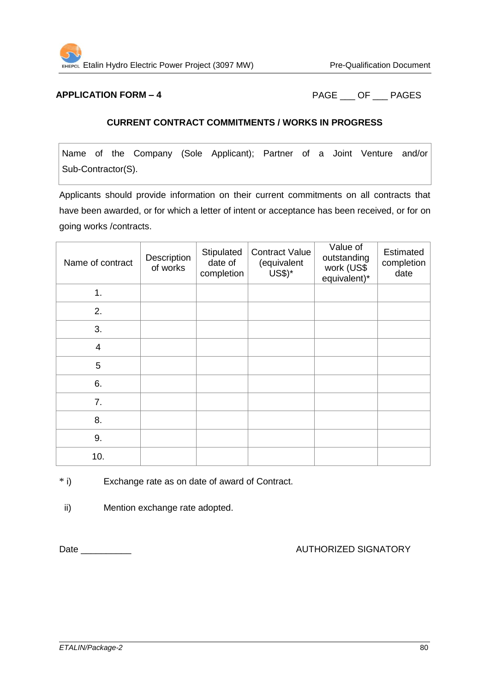

**APPLICATION FORM – 4** PAGE OF PAGES

#### **CURRENT CONTRACT COMMITMENTS / WORKS IN PROGRESS**

Name of the Company (Sole Applicant); Partner of a Joint Venture and/or Sub-Contractor(S).

Applicants should provide information on their current commitments on all contracts that have been awarded, or for which a letter of intent or acceptance has been received, or for on going works /contracts.

| Name of contract | Description<br>of works | Stipulated<br>date of<br>completion | <b>Contract Value</b><br>(equivalent<br>US\$)* | Value of<br>outstanding<br>work (US\$<br>equivalent)* | Estimated<br>completion<br>date |
|------------------|-------------------------|-------------------------------------|------------------------------------------------|-------------------------------------------------------|---------------------------------|
| 1.               |                         |                                     |                                                |                                                       |                                 |
| 2.               |                         |                                     |                                                |                                                       |                                 |
| 3.               |                         |                                     |                                                |                                                       |                                 |
| 4                |                         |                                     |                                                |                                                       |                                 |
| 5                |                         |                                     |                                                |                                                       |                                 |
| 6.               |                         |                                     |                                                |                                                       |                                 |
| 7.               |                         |                                     |                                                |                                                       |                                 |
| 8.               |                         |                                     |                                                |                                                       |                                 |
| 9.               |                         |                                     |                                                |                                                       |                                 |
| 10.              |                         |                                     |                                                |                                                       |                                 |

\* i) Exchange rate as on date of award of Contract.

ii) Mention exchange rate adopted.

Date \_\_\_\_\_\_\_\_\_\_ AUTHORIZED SIGNATORY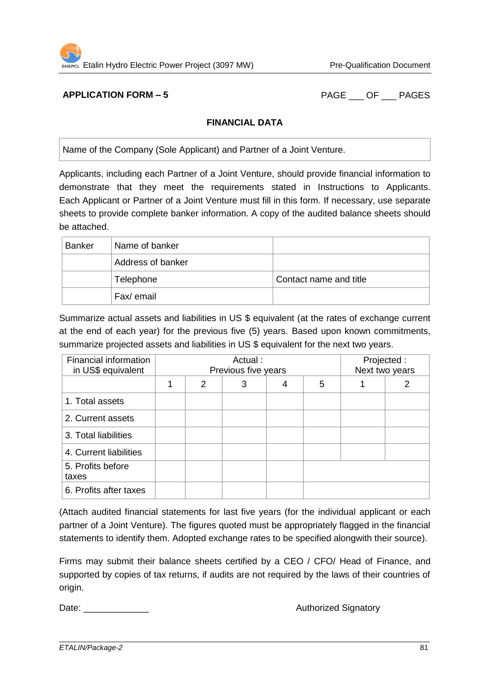

**APPLICATION FORM – 5** PAGE OF PAGES

### **FINANCIAL DATA**

Name of the Company (Sole Applicant) and Partner of a Joint Venture.

Applicants, including each Partner of a Joint Venture, should provide financial information to demonstrate that they meet the requirements stated in Instructions to Applicants. Each Applicant or Partner of a Joint Venture must fill in this form. If necessary, use separate sheets to provide complete banker information. A copy of the audited balance sheets should be attached.

| <b>Banker</b> | Name of banker    |                        |
|---------------|-------------------|------------------------|
|               | Address of banker |                        |
|               | Telephone         | Contact name and title |
|               | Fax/ email        |                        |

Summarize actual assets and liabilities in US \$ equivalent (at the rates of exchange current at the end of each year) for the previous five (5) years. Based upon known commitments, summarize projected assets and liabilities in US \$ equivalent for the next two years.

| Financial information<br>in US\$ equivalent | Actual:<br>Previous five years |   |   |   |  | Projected :<br>Next two years |
|---------------------------------------------|--------------------------------|---|---|---|--|-------------------------------|
|                                             | 2                              | 3 | 4 | 5 |  | 2                             |
| 1. Total assets                             |                                |   |   |   |  |                               |
| 2. Current assets                           |                                |   |   |   |  |                               |
| 3. Total liabilities                        |                                |   |   |   |  |                               |
| 4. Current liabilities                      |                                |   |   |   |  |                               |
| 5. Profits before<br>taxes                  |                                |   |   |   |  |                               |
| 6. Profits after taxes                      |                                |   |   |   |  |                               |

(Attach audited financial statements for last five years (for the individual applicant or each partner of a Joint Venture). The figures quoted must be appropriately flagged in the financial statements to identify them. Adopted exchange rates to be specified alongwith their source).

Firms may submit their balance sheets certified by a CEO / CFO/ Head of Finance, and supported by copies of tax returns, if audits are not required by the laws of their countries of origin.

Date: \_\_\_\_\_\_\_\_\_\_\_\_\_ Authorized Signatory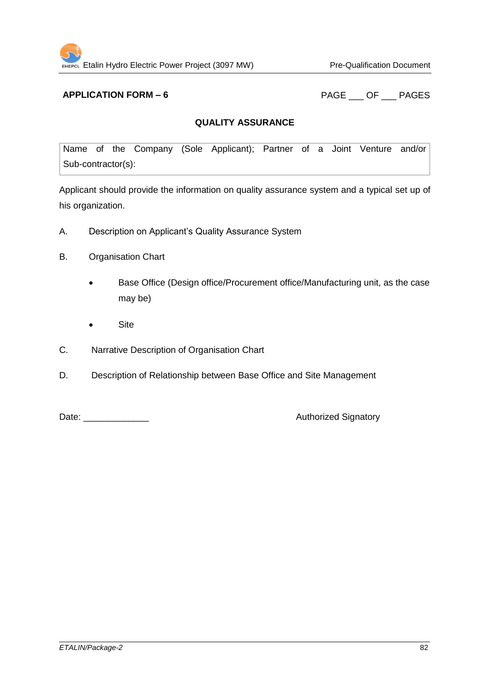**APPLICATION FORM – 6** PAGE OF PAGES

### **QUALITY ASSURANCE**

Name of the Company (Sole Applicant); Partner of a Joint Venture and/or Sub-contractor(s):

Applicant should provide the information on quality assurance system and a typical set up of his organization.

- A. Description on Applicant's Quality Assurance System
- B. Organisation Chart
	- Base Office (Design office/Procurement office/Manufacturing unit, as the case may be)
	- Site
- C. Narrative Description of Organisation Chart
- D. Description of Relationship between Base Office and Site Management

Date: \_\_\_\_\_\_\_\_\_\_\_\_\_ Authorized Signatory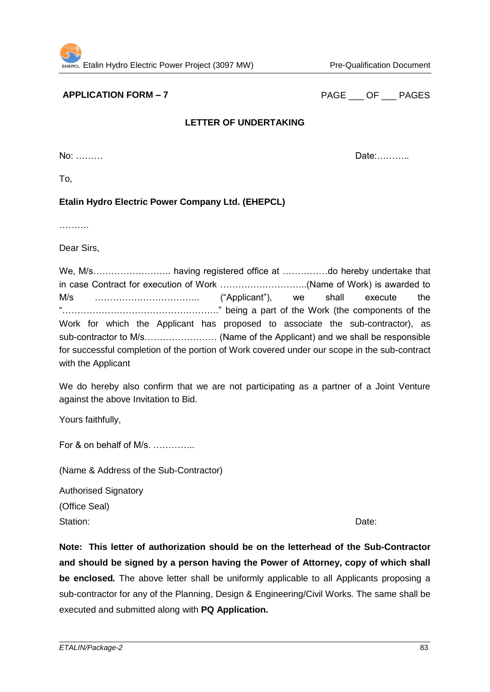**APPLICATION FORM – 7** PAGE OF PAGES

## **LETTER OF UNDERTAKING**

No: ……… Date:………..

To,

## **Etalin Hydro Electric Power Company Ltd. (EHEPCL)**

…………

Dear Sirs,

We, M/s……………………………... having registered office at ……………..do hereby undertake that in case Contract for execution of Work ………………………..(Name of Work) is awarded to M/s …………………………….. ("Applicant"), we shall execute the "……………………………………………." being a part of the Work (the components of the Work for which the Applicant has proposed to associate the sub-contractor), as sub-contractor to M/s…………………… (Name of the Applicant) and we shall be responsible for successful completion of the portion of Work covered under our scope in the sub-contract with the Applicant

We do hereby also confirm that we are not participating as a partner of a Joint Venture against the above Invitation to Bid.

Yours faithfully,

For & on behalf of M/s. ..............

(Name & Address of the Sub-Contractor)

Authorised Signatory (Office Seal) Station: **Date:** Date: **Date:** Date: **Date:** Property of *Date:* **Date: Date: Date: Date: Date: Date: Date: Date: Date: Date: Date: Date: Date: Date: Date: Date: Date: Date: Date: Date** 

**Note: This letter of authorization should be on the letterhead of the Sub-Contractor and should be signed by a person having the Power of Attorney, copy of which shall be enclosed***.* The above letter shall be uniformly applicable to all Applicants proposing a sub-contractor for any of the Planning, Design & Engineering/Civil Works. The same shall be executed and submitted along with **PQ Application.**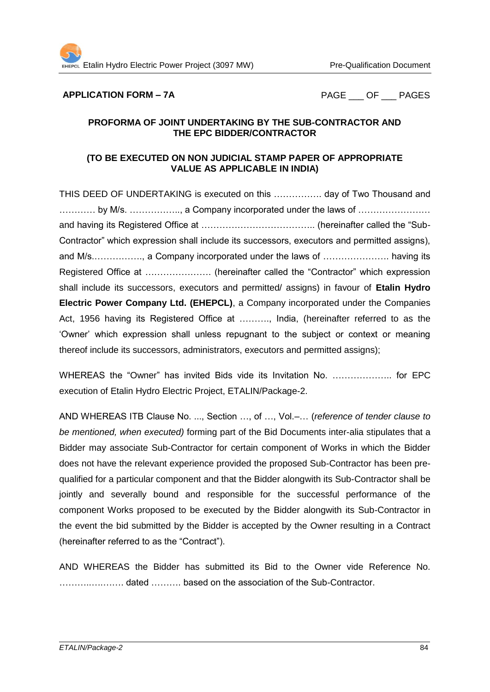#### **APPLICATION FORM – 7A** PAGE OF PAGES

### **PROFORMA OF JOINT UNDERTAKING BY THE SUB-CONTRACTOR AND THE EPC BIDDER/CONTRACTOR**

## **(TO BE EXECUTED ON NON JUDICIAL STAMP PAPER OF APPROPRIATE VALUE AS APPLICABLE IN INDIA)**

THIS DEED OF UNDERTAKING is executed on this ……………. day of Two Thousand and ………… by M/s. …………….., a Company incorporated under the laws of …………………… and having its Registered Office at ……………………………….. (hereinafter called the "Sub-Contractor" which expression shall include its successors, executors and permitted assigns), and M/s.……………., a Company incorporated under the laws of …………………. having its Registered Office at …………………. (hereinafter called the "Contractor" which expression shall include its successors, executors and permitted/ assigns) in favour of **Etalin Hydro Electric Power Company Ltd. (EHEPCL)**, a Company incorporated under the Companies Act, 1956 having its Registered Office at ………., India, (hereinafter referred to as the 'Owner' which expression shall unless repugnant to the subject or context or meaning thereof include its successors, administrators, executors and permitted assigns);

WHEREAS the "Owner" has invited Bids vide its Invitation No. ……………….. for EPC execution of Etalin Hydro Electric Project, ETALIN/Package-2.

AND WHEREAS ITB Clause No. ..., Section …, of …, Vol.–… (*reference of tender clause to be mentioned, when executed)* forming part of the Bid Documents inter-alia stipulates that a Bidder may associate Sub-Contractor for certain component of Works in which the Bidder does not have the relevant experience provided the proposed Sub-Contractor has been prequalified for a particular component and that the Bidder alongwith its Sub-Contractor shall be jointly and severally bound and responsible for the successful performance of the component Works proposed to be executed by the Bidder alongwith its Sub-Contractor in the event the bid submitted by the Bidder is accepted by the Owner resulting in a Contract (hereinafter referred to as the "Contract").

AND WHEREAS the Bidder has submitted its Bid to the Owner vide Reference No. ………..….……. dated ………. based on the association of the Sub-Contractor.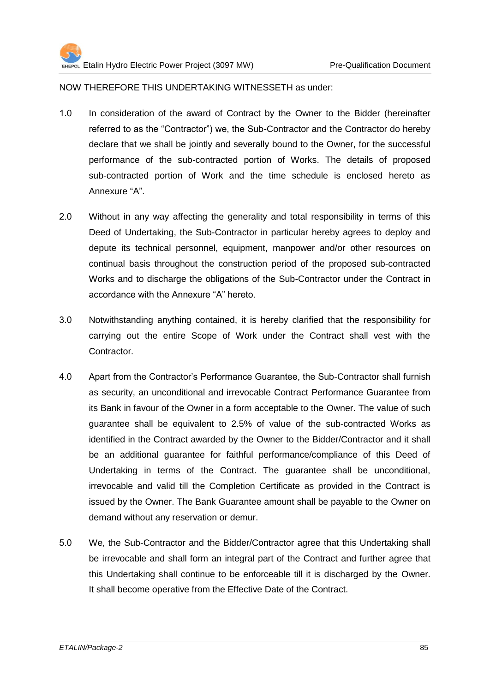NOW THEREFORE THIS UNDERTAKING WITNESSETH as under:

- 1.0 In consideration of the award of Contract by the Owner to the Bidder (hereinafter referred to as the "Contractor") we, the Sub-Contractor and the Contractor do hereby declare that we shall be jointly and severally bound to the Owner, for the successful performance of the sub-contracted portion of Works. The details of proposed sub-contracted portion of Work and the time schedule is enclosed hereto as Annexure "A".
- 2.0 Without in any way affecting the generality and total responsibility in terms of this Deed of Undertaking, the Sub-Contractor in particular hereby agrees to deploy and depute its technical personnel, equipment, manpower and/or other resources on continual basis throughout the construction period of the proposed sub-contracted Works and to discharge the obligations of the Sub-Contractor under the Contract in accordance with the Annexure "A" hereto.
- 0.1 Notwithstanding anything contained, it is hereby clarified that the responsibility for carrying out the entire Scope of Work under the Contract shall vest with the Contractor.
- 4.0 Apart from the Contractor's Performance Guarantee, the Sub-Contractor shall furnish as security, an unconditional and irrevocable Contract Performance Guarantee from its Bank in favour of the Owner in a form acceptable to the Owner. The value of such guarantee shall be equivalent to 2.5% of value of the sub-contracted Works as identified in the Contract awarded by the Owner to the Bidder/Contractor and it shall be an additional guarantee for faithful performance/compliance of this Deed of Undertaking in terms of the Contract. The guarantee shall be unconditional, irrevocable and valid till the Completion Certificate as provided in the Contract is issued by the Owner. The Bank Guarantee amount shall be payable to the Owner on demand without any reservation or demur.
- 5.0 We, the Sub-Contractor and the Bidder/Contractor agree that this Undertaking shall be irrevocable and shall form an integral part of the Contract and further agree that this Undertaking shall continue to be enforceable till it is discharged by the Owner. It shall become operative from the Effective Date of the Contract.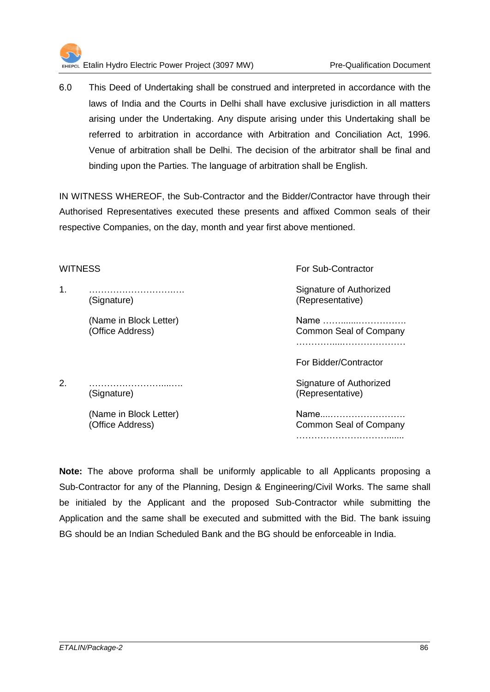

0.1 This Deed of Undertaking shall be construed and interpreted in accordance with the laws of India and the Courts in Delhi shall have exclusive jurisdiction in all matters arising under the Undertaking. Any dispute arising under this Undertaking shall be referred to arbitration in accordance with Arbitration and Conciliation Act, 1996. Venue of arbitration shall be Delhi. The decision of the arbitrator shall be final and binding upon the Parties. The language of arbitration shall be English.

IN WITNESS WHEREOF, the Sub-Contractor and the Bidder/Contractor have through their Authorised Representatives executed these presents and affixed Common seals of their respective Companies, on the day, month and year first above mentioned.

1. ……………………….…. Signature of Authorized (Signature) (Representative)

WITNESS For Sub-Contractor

(Name in Block Letter) Name …….......……………. (Office Address) Common Seal of Company …………....…………………

For Bidder/Contractor

(Name in Block Letter) Name....……………………. (Office Address) Common Seal of Company ………………………….......

**Note:** The above proforma shall be uniformly applicable to all Applicants proposing a Sub-Contractor for any of the Planning, Design & Engineering/Civil Works. The same shall be initialed by the Applicant and the proposed Sub-Contractor while submitting the Application and the same shall be executed and submitted with the Bid. The bank issuing BG should be an Indian Scheduled Bank and the BG should be enforceable in India.

2. ……………………....…. Signature of Authorized (Signature) (Representative)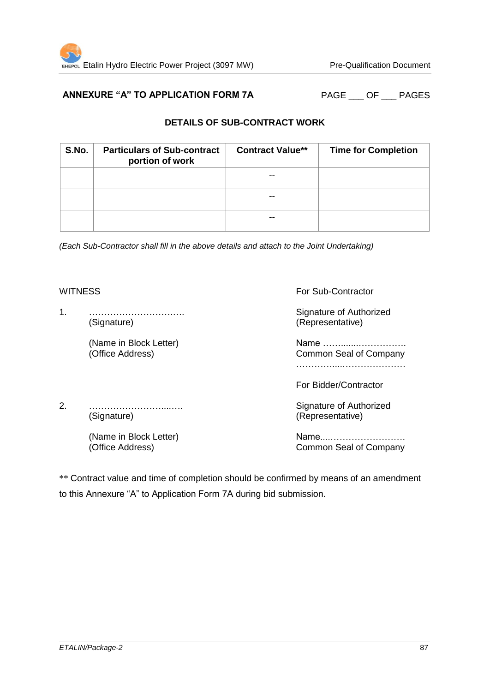## ANNEXURE "A" TO APPLICATION FORM 7A PAGE OF PAGES

## **DETAILS OF SUB-CONTRACT WORK**

| S.No. | <b>Particulars of Sub-contract</b><br>portion of work | <b>Contract Value**</b> | <b>Time for Completion</b> |
|-------|-------------------------------------------------------|-------------------------|----------------------------|
|       |                                                       |                         |                            |
|       |                                                       |                         |                            |
|       |                                                       |                         |                            |

*(Each Sub-Contractor shall fill in the above details and attach to the Joint Undertaking)* 

1. ……………………….…. Signature of Authorized (Signature) (Representative)

WITNESS For Sub-Contractor

(Name in Block Letter) Name …….......……………. (Office Address) Common Seal of Company …………....…………………

For Bidder/Contractor

2. ……………………....…. Signature of Authorized (Signature) (Representative)

(Name in Block Letter) Name....…………………….

(Office Address) Common Seal of Company

\*\* Contract value and time of completion should be confirmed by means of an amendment to this Annexure "A" to Application Form 7A during bid submission.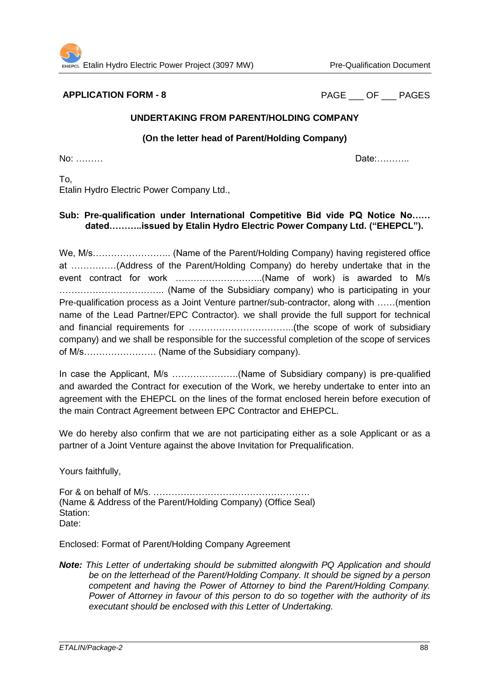**APPLICATION FORM - 8** PAGE OF PAGES

### **UNDERTAKING FROM PARENT/HOLDING COMPANY**

#### **(On the letter head of Parent/Holding Company)**

No: ……… Date:………..

To, Etalin Hydro Electric Power Company Ltd.,

### **Sub: Pre-qualification under International Competitive Bid vide PQ Notice No…… dated………..issued by Etalin Hydro Electric Power Company Ltd. ("EHEPCL").**

We, M/s…………………….. (Name of the Parent/Holding Company) having registered office at ……………(Address of the Parent/Holding Company) do hereby undertake that in the event contract for work ………………………..(Name of work) is awarded to M/s …………………………….. (Name of the Subsidiary company) who is participating in your Pre-qualification process as a Joint Venture partner/sub-contractor, along with ……(mention name of the Lead Partner/EPC Contractor). we shall provide the full support for technical and financial requirements for ……………………………..(the scope of work of subsidiary company) and we shall be responsible for the successful completion of the scope of services of M/s…………………… (Name of the Subsidiary company).

In case the Applicant, M/s ………………….(Name of Subsidiary company) is pre-qualified and awarded the Contract for execution of the Work, we hereby undertake to enter into an agreement with the EHEPCL on the lines of the format enclosed herein before execution of the main Contract Agreement between EPC Contractor and EHEPCL.

We do hereby also confirm that we are not participating either as a sole Applicant or as a partner of a Joint Venture against the above Invitation for Prequalification.

Yours faithfully,

For & on behalf of M/s. ……………………………………………. (Name & Address of the Parent/Holding Company) (Office Seal) Station: Date:

Enclosed: Format of Parent/Holding Company Agreement

*Note: This Letter of undertaking should be submitted alongwith PQ Application and should be on the letterhead of the Parent/Holding Company. It should be signed by a person competent and having the Power of Attorney to bind the Parent/Holding Company. Power of Attorney in favour of this person to do so together with the authority of its executant should be enclosed with this Letter of Undertaking.*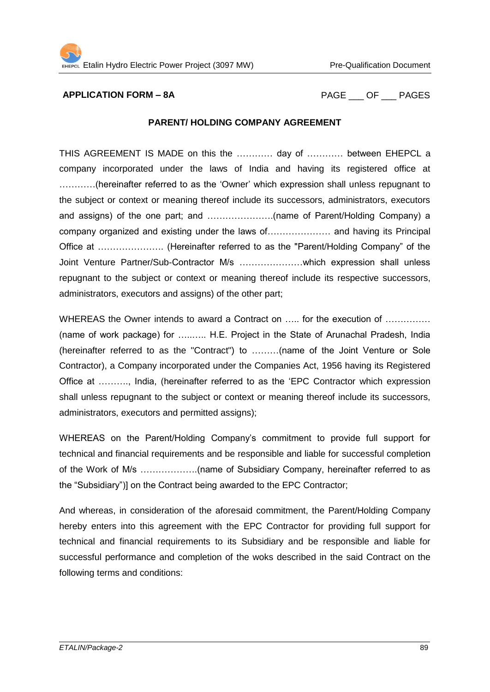**APPLICATION FORM – 8A** PAGE OF PAGES

#### **PARENT/ HOLDING COMPANY AGREEMENT**

THIS AGREEMENT IS MADE on this the ………… day of ………… between EHEPCL a company incorporated under the laws of India and having its registered office at …………(hereinafter referred to as the 'Owner' which expression shall unless repugnant to the subject or context or meaning thereof include its successors, administrators, executors and assigns) of the one part; and ………………….(name of Parent/Holding Company) a company organized and existing under the laws of………………… and having its Principal Office at …………………. (Hereinafter referred to as the "Parent/Holding Company" of the Joint Venture Partner/Sub-Contractor M/s …………………which expression shall unless repugnant to the subject or context or meaning thereof include its respective successors, administrators, executors and assigns) of the other part;

WHEREAS the Owner intends to award a Contract on ..... for the execution of ............... (name of work package) for …..….. H.E. Project in the State of Arunachal Pradesh, India (hereinafter referred to as the "Contract") to ………(name of the Joint Venture or Sole Contractor), a Company incorporated under the Companies Act, 1956 having its Registered Office at ………., India, (hereinafter referred to as the 'EPC Contractor which expression shall unless repugnant to the subject or context or meaning thereof include its successors, administrators, executors and permitted assigns);

WHEREAS on the Parent/Holding Company's commitment to provide full support for technical and financial requirements and be responsible and liable for successful completion of the Work of M/s ……………….(name of Subsidiary Company, hereinafter referred to as the "Subsidiary")] on the Contract being awarded to the EPC Contractor;

And whereas, in consideration of the aforesaid commitment, the Parent/Holding Company hereby enters into this agreement with the EPC Contractor for providing full support for technical and financial requirements to its Subsidiary and be responsible and liable for successful performance and completion of the woks described in the said Contract on the following terms and conditions: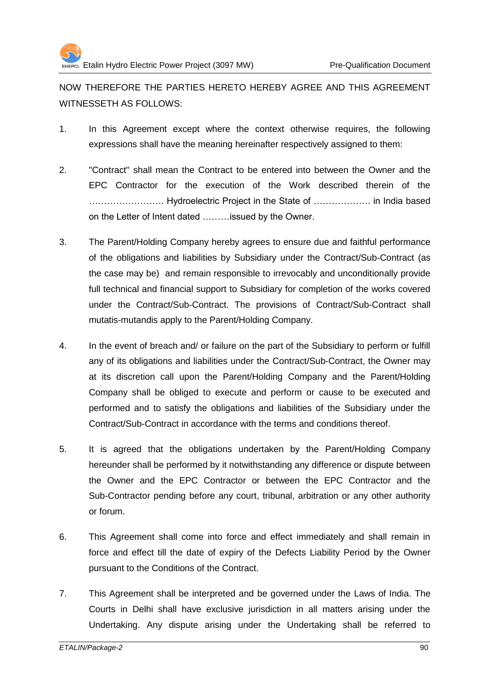

NOW THEREFORE THE PARTIES HERETO HEREBY AGREE AND THIS AGREEMENT WITNESSETH AS FOLLOWS:

- 1. In this Agreement except where the context otherwise requires, the following expressions shall have the meaning hereinafter respectively assigned to them:
- 2. "Contract" shall mean the Contract to be entered into between the Owner and the EPC Contractor for the execution of the Work described therein of the ……………………. Hydroelectric Project in the State of ………………. in India based on the Letter of Intent dated ………issued by the Owner.
- 3. The Parent/Holding Company hereby agrees to ensure due and faithful performance of the obligations and liabilities by Subsidiary under the Contract/Sub-Contract (as the case may be) and remain responsible to irrevocably and unconditionally provide full technical and financial support to Subsidiary for completion of the works covered under the Contract/Sub-Contract. The provisions of Contract/Sub-Contract shall mutatis-mutandis apply to the Parent/Holding Company.
- 4. In the event of breach and/ or failure on the part of the Subsidiary to perform or fulfill any of its obligations and liabilities under the Contract/Sub-Contract, the Owner may at its discretion call upon the Parent/Holding Company and the Parent/Holding Company shall be obliged to execute and perform or cause to be executed and performed and to satisfy the obligations and liabilities of the Subsidiary under the Contract/Sub-Contract in accordance with the terms and conditions thereof.
- 5. It is agreed that the obligations undertaken by the Parent/Holding Company hereunder shall be performed by it notwithstanding any difference or dispute between the Owner and the EPC Contractor or between the EPC Contractor and the Sub-Contractor pending before any court, tribunal, arbitration or any other authority or forum.
- 6. This Agreement shall come into force and effect immediately and shall remain in force and effect till the date of expiry of the Defects Liability Period by the Owner pursuant to the Conditions of the Contract.
- 7. This Agreement shall be interpreted and be governed under the Laws of India. The Courts in Delhi shall have exclusive jurisdiction in all matters arising under the Undertaking. Any dispute arising under the Undertaking shall be referred to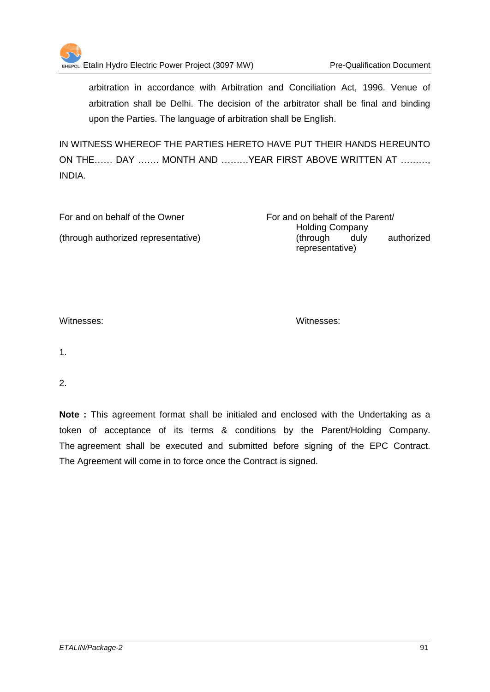

EHEPCL Etalin Hydro Electric Power Project (3097 MW) Pre-Qualification Document

arbitration in accordance with Arbitration and Conciliation Act, 1996. Venue of arbitration shall be Delhi. The decision of the arbitrator shall be final and binding upon the Parties. The language of arbitration shall be English.

IN WITNESS WHEREOF THE PARTIES HERETO HAVE PUT THEIR HANDS HEREUNTO ON THE…… DAY ……. MONTH AND ………YEAR FIRST ABOVE WRITTEN AT ………, INDIA.

| For and on behalf of the Owner      | For and on behalf of the Parent/ |
|-------------------------------------|----------------------------------|
|                                     | <b>Holding Company</b>           |
| (through authorized representative) | authorized<br>through)<br>dulv   |
|                                     | representative)                  |

Witnesses: Witnesses:

1.

2.

**Note :** This agreement format shall be initialed and enclosed with the Undertaking as a token of acceptance of its terms & conditions by the Parent/Holding Company. The agreement shall be executed and submitted before signing of the EPC Contract. The Agreement will come in to force once the Contract is signed.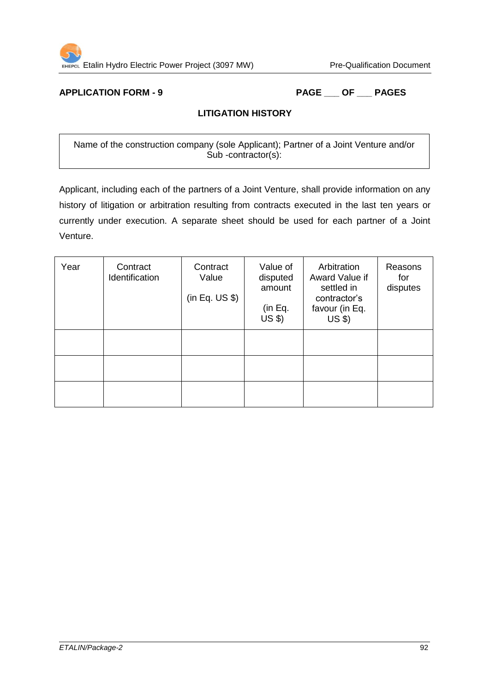

# **APPLICATION FORM - 9 PAGE \_\_\_ OF \_\_\_ PAGES**

## **LITIGATION HISTORY**

Name of the construction company (sole Applicant); Partner of a Joint Venture and/or Sub -contractor(s):

Applicant, including each of the partners of a Joint Venture, shall provide information on any history of litigation or arbitration resulting from contracts executed in the last ten years or currently under execution. A separate sheet should be used for each partner of a Joint Venture.

| Year | Contract<br>Identification | Contract<br>Value<br>(in Eq. US \$) | Value of<br>disputed<br>amount<br>(in Eq.<br>$US$ \$) | Arbitration<br>Award Value if<br>settled in<br>contractor's<br>favour (in Eq.<br>$US$ $$$ | Reasons<br>for<br>disputes |
|------|----------------------------|-------------------------------------|-------------------------------------------------------|-------------------------------------------------------------------------------------------|----------------------------|
|      |                            |                                     |                                                       |                                                                                           |                            |
|      |                            |                                     |                                                       |                                                                                           |                            |
|      |                            |                                     |                                                       |                                                                                           |                            |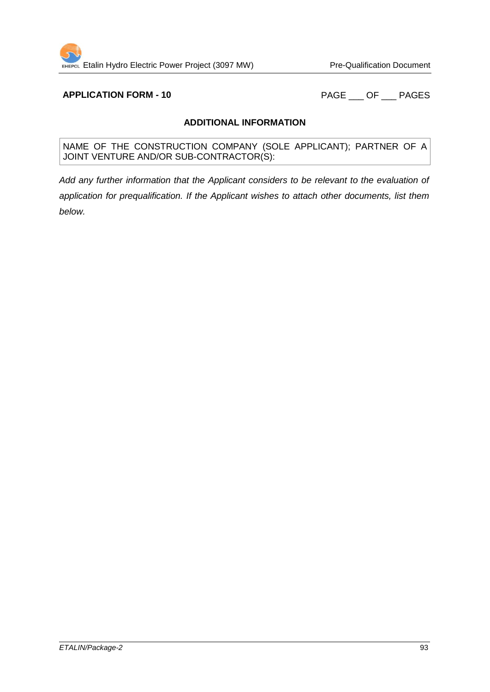**APPLICATION FORM - 10** PAGE \_\_\_ OF \_\_\_ PAGES

### **ADDITIONAL INFORMATION**

NAME OF THE CONSTRUCTION COMPANY (SOLE APPLICANT); PARTNER OF A JOINT VENTURE AND/OR SUB-CONTRACTOR(S):

*Add any further information that the Applicant considers to be relevant to the evaluation of application for prequalification. If the Applicant wishes to attach other documents, list them below.*